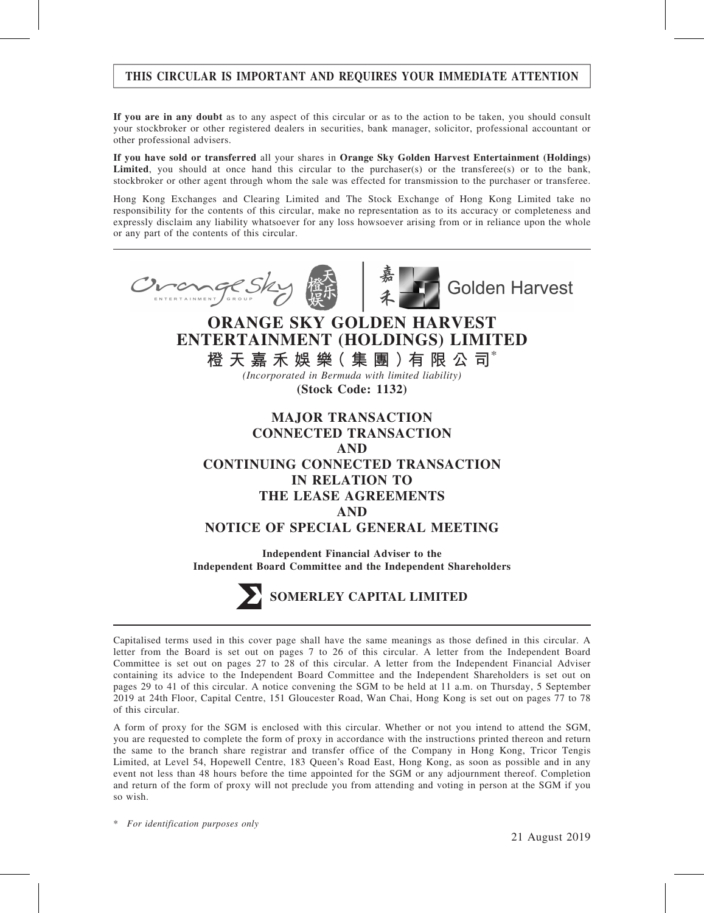# THIS CIRCULAR IS IMPORTANT AND REQUIRES YOUR IMMEDIATE ATTENTION

If you are in any doubt as to any aspect of this circular or as to the action to be taken, you should consult your stockbroker or other registered dealers in securities, bank manager, solicitor, professional accountant or other professional advisers.

If you have sold or transferred all your shares in Orange Sky Golden Harvest Entertainment (Holdings) **Limited,** you should at once hand this circular to the purchaser(s) or the transferee(s) or to the bank, stockbroker or other agent through whom the sale was effected for transmission to the purchaser or transferee.

Hong Kong Exchanges and Clearing Limited and The Stock Exchange of Hong Kong Limited take no responsibility for the contents of this circular, make no representation as to its accuracy or completeness and expressly disclaim any liability whatsoever for any loss howsoever arising from or in reliance upon the whole or any part of the contents of this circular.



Capitalised terms used in this cover page shall have the same meanings as those defined in this circular. A letter from the Board is set out on pages 7 to 26 of this circular. A letter from the Independent Board Committee is set out on pages 27 to 28 of this circular. A letter from the Independent Financial Adviser containing its advice to the Independent Board Committee and the Independent Shareholders is set out on pages 29 to 41 of this circular. A notice convening the SGM to be held at 11 a.m. on Thursday, 5 September 2019 at 24th Floor, Capital Centre, 151 Gloucester Road, Wan Chai, Hong Kong is set out on pages 77 to 78 of this circular.

A form of proxy for the SGM is enclosed with this circular. Whether or not you intend to attend the SGM, you are requested to complete the form of proxy in accordance with the instructions printed thereon and return the same to the branch share registrar and transfer office of the Company in Hong Kong, Tricor Tengis Limited, at Level 54, Hopewell Centre, 183 Queen's Road East, Hong Kong, as soon as possible and in any event not less than 48 hours before the time appointed for the SGM or any adjournment thereof. Completion and return of the form of proxy will not preclude you from attending and voting in person at the SGM if you so wish.

\* For identification purposes only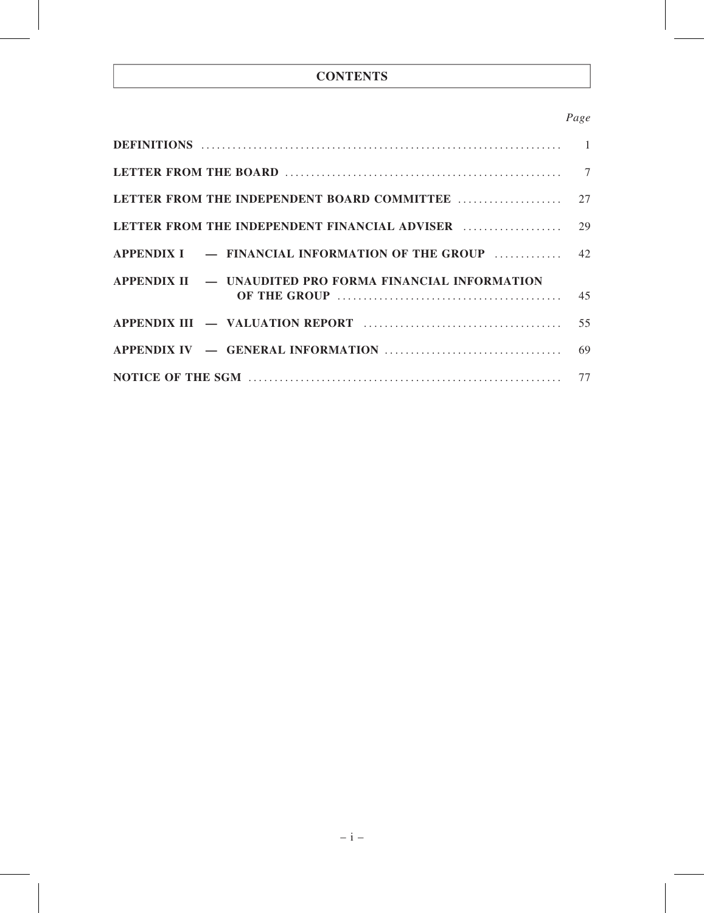# **CONTENTS**

## Page

| APPENDIX I – FINANCIAL INFORMATION OF THE GROUP  42     |  |
|---------------------------------------------------------|--|
| APPENDIX II — UNAUDITED PRO FORMA FINANCIAL INFORMATION |  |
|                                                         |  |
|                                                         |  |
|                                                         |  |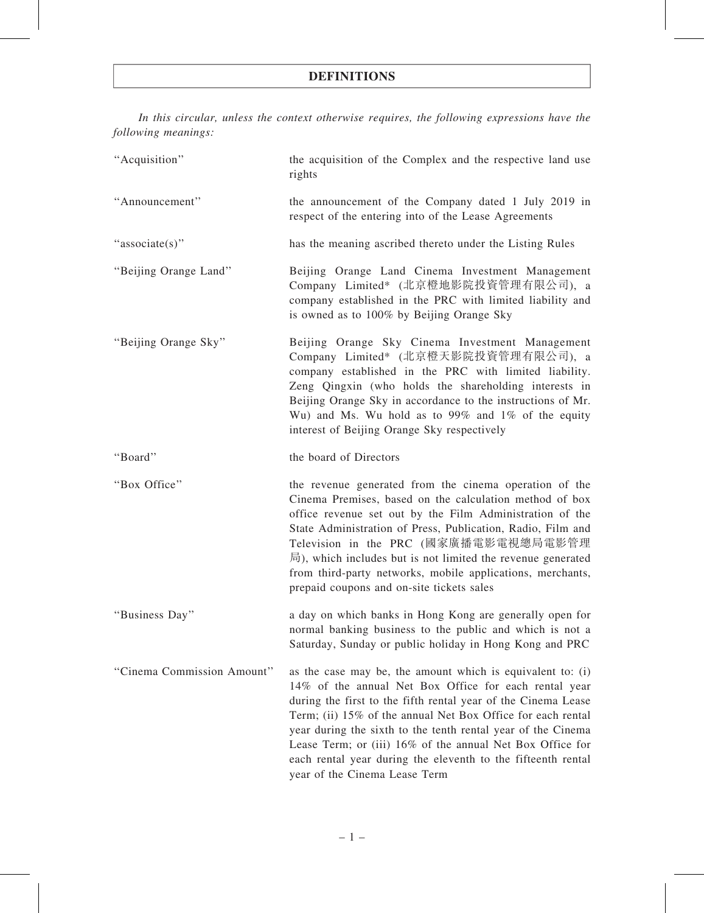In this circular, unless the context otherwise requires, the following expressions have the following meanings:

| "Acquisition"              | the acquisition of the Complex and the respective land use<br>rights                                                                                                                                                                                                                                                                                                                                                                                                              |
|----------------------------|-----------------------------------------------------------------------------------------------------------------------------------------------------------------------------------------------------------------------------------------------------------------------------------------------------------------------------------------------------------------------------------------------------------------------------------------------------------------------------------|
| "Announcement"             | the announcement of the Company dated 1 July 2019 in<br>respect of the entering into of the Lease Agreements                                                                                                                                                                                                                                                                                                                                                                      |
| "associate(s)"             | has the meaning ascribed thereto under the Listing Rules                                                                                                                                                                                                                                                                                                                                                                                                                          |
| "Beijing Orange Land"      | Beijing Orange Land Cinema Investment Management<br>Company Limited* (北京橙地影院投資管理有限公司), a<br>company established in the PRC with limited liability and<br>is owned as to 100% by Beijing Orange Sky                                                                                                                                                                                                                                                                                |
| "Beijing Orange Sky"       | Beijing Orange Sky Cinema Investment Management<br>Company Limited* (北京橙天影院投資管理有限公司), a<br>company established in the PRC with limited liability.<br>Zeng Qingxin (who holds the shareholding interests in<br>Beijing Orange Sky in accordance to the instructions of Mr.<br>Wu) and Ms. Wu hold as to 99% and 1% of the equity<br>interest of Beijing Orange Sky respectively                                                                                                    |
| "Board"                    | the board of Directors                                                                                                                                                                                                                                                                                                                                                                                                                                                            |
| "Box Office"               | the revenue generated from the cinema operation of the<br>Cinema Premises, based on the calculation method of box<br>office revenue set out by the Film Administration of the<br>State Administration of Press, Publication, Radio, Film and<br>Television in the PRC (國家廣播電影電視總局電影管理<br>$\overline{B}$ ), which includes but is not limited the revenue generated<br>from third-party networks, mobile applications, merchants,<br>prepaid coupons and on-site tickets sales     |
| "Business Day"             | a day on which banks in Hong Kong are generally open for<br>normal banking business to the public and which is not a<br>Saturday, Sunday or public holiday in Hong Kong and PRC                                                                                                                                                                                                                                                                                                   |
| "Cinema Commission Amount" | as the case may be, the amount which is equivalent to: (i)<br>14% of the annual Net Box Office for each rental year<br>during the first to the fifth rental year of the Cinema Lease<br>Term; (ii) 15% of the annual Net Box Office for each rental<br>year during the sixth to the tenth rental year of the Cinema<br>Lease Term; or (iii) 16% of the annual Net Box Office for<br>each rental year during the eleventh to the fifteenth rental<br>year of the Cinema Lease Term |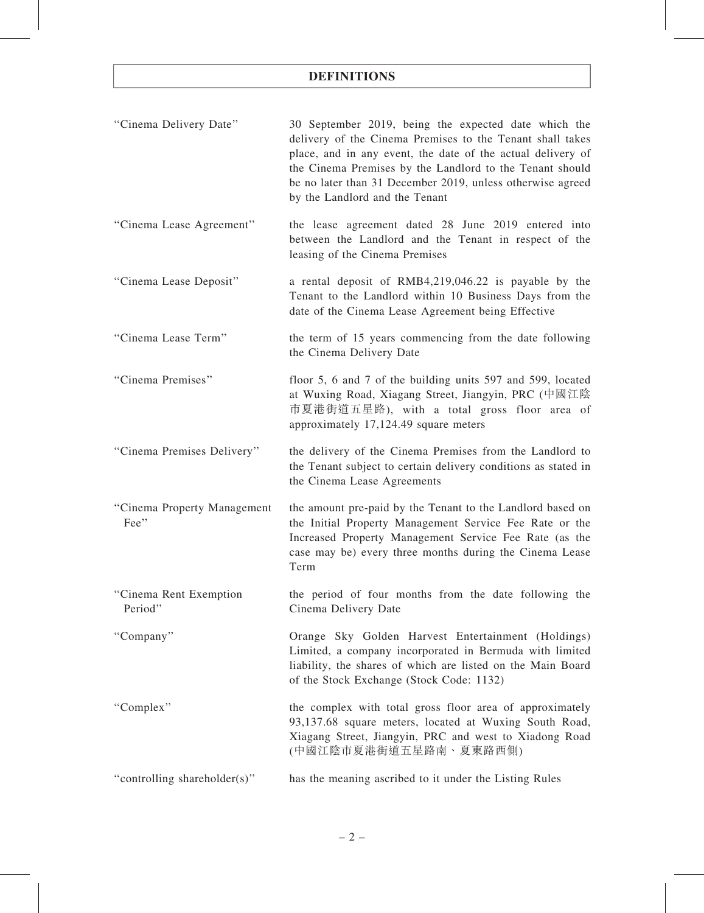| "Cinema Delivery Date"              | 30 September 2019, being the expected date which the<br>delivery of the Cinema Premises to the Tenant shall takes<br>place, and in any event, the date of the actual delivery of<br>the Cinema Premises by the Landlord to the Tenant should<br>be no later than 31 December 2019, unless otherwise agreed<br>by the Landlord and the Tenant |
|-------------------------------------|----------------------------------------------------------------------------------------------------------------------------------------------------------------------------------------------------------------------------------------------------------------------------------------------------------------------------------------------|
| "Cinema Lease Agreement"            | the lease agreement dated 28 June 2019 entered into<br>between the Landlord and the Tenant in respect of the<br>leasing of the Cinema Premises                                                                                                                                                                                               |
| "Cinema Lease Deposit"              | a rental deposit of RMB4,219,046.22 is payable by the<br>Tenant to the Landlord within 10 Business Days from the<br>date of the Cinema Lease Agreement being Effective                                                                                                                                                                       |
| "Cinema Lease Term"                 | the term of 15 years commencing from the date following<br>the Cinema Delivery Date                                                                                                                                                                                                                                                          |
| "Cinema Premises"                   | floor 5, 6 and 7 of the building units 597 and 599, located<br>at Wuxing Road, Xiagang Street, Jiangyin, PRC (中國江陰<br>市夏港街道五星路), with a total gross floor area of<br>approximately 17,124.49 square meters                                                                                                                                   |
| "Cinema Premises Delivery"          | the delivery of the Cinema Premises from the Landlord to<br>the Tenant subject to certain delivery conditions as stated in<br>the Cinema Lease Agreements                                                                                                                                                                                    |
| "Cinema Property Management<br>Fee" | the amount pre-paid by the Tenant to the Landlord based on<br>the Initial Property Management Service Fee Rate or the<br>Increased Property Management Service Fee Rate (as the<br>case may be) every three months during the Cinema Lease<br>Term                                                                                           |
| "Cinema Rent Exemption<br>Period"   | the period of four months from the date following the<br>Cinema Delivery Date                                                                                                                                                                                                                                                                |
| "Company"                           | Orange Sky Golden Harvest Entertainment (Holdings)<br>Limited, a company incorporated in Bermuda with limited<br>liability, the shares of which are listed on the Main Board<br>of the Stock Exchange (Stock Code: 1132)                                                                                                                     |
| "Complex"                           | the complex with total gross floor area of approximately<br>93,137.68 square meters, located at Wuxing South Road,<br>Xiagang Street, Jiangyin, PRC and west to Xiadong Road<br>(中國江陰市夏港街道五星路南、夏東路西側)                                                                                                                                        |
| "controlling shareholder(s)"        | has the meaning ascribed to it under the Listing Rules                                                                                                                                                                                                                                                                                       |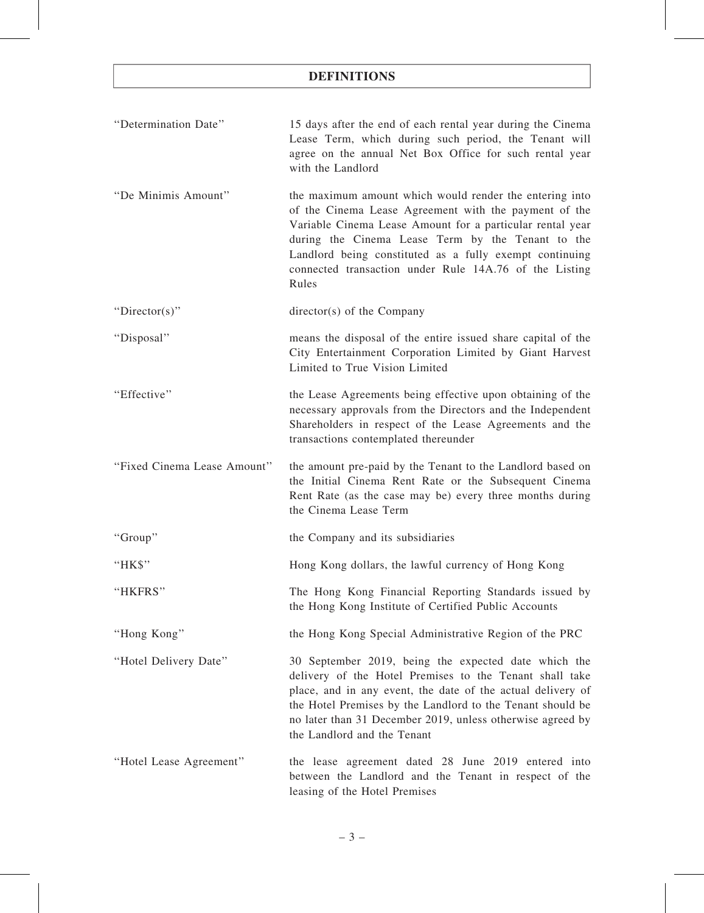| "Determination Date"        | 15 days after the end of each rental year during the Cinema<br>Lease Term, which during such period, the Tenant will<br>agree on the annual Net Box Office for such rental year<br>with the Landlord                                                                                                                                                             |
|-----------------------------|------------------------------------------------------------------------------------------------------------------------------------------------------------------------------------------------------------------------------------------------------------------------------------------------------------------------------------------------------------------|
| "De Minimis Amount"         | the maximum amount which would render the entering into<br>of the Cinema Lease Agreement with the payment of the<br>Variable Cinema Lease Amount for a particular rental year<br>during the Cinema Lease Term by the Tenant to the<br>Landlord being constituted as a fully exempt continuing<br>connected transaction under Rule 14A.76 of the Listing<br>Rules |
| "Director(s)"               | director(s) of the Company                                                                                                                                                                                                                                                                                                                                       |
| "Disposal"                  | means the disposal of the entire issued share capital of the<br>City Entertainment Corporation Limited by Giant Harvest<br>Limited to True Vision Limited                                                                                                                                                                                                        |
| "Effective"                 | the Lease Agreements being effective upon obtaining of the<br>necessary approvals from the Directors and the Independent<br>Shareholders in respect of the Lease Agreements and the<br>transactions contemplated thereunder                                                                                                                                      |
| "Fixed Cinema Lease Amount" | the amount pre-paid by the Tenant to the Landlord based on<br>the Initial Cinema Rent Rate or the Subsequent Cinema<br>Rent Rate (as the case may be) every three months during<br>the Cinema Lease Term                                                                                                                                                         |
| "Group"                     | the Company and its subsidiaries                                                                                                                                                                                                                                                                                                                                 |
| "HK\$"                      | Hong Kong dollars, the lawful currency of Hong Kong                                                                                                                                                                                                                                                                                                              |
| "HKFRS"                     | The Hong Kong Financial Reporting Standards issued by<br>the Hong Kong Institute of Certified Public Accounts                                                                                                                                                                                                                                                    |
| "Hong Kong"                 | the Hong Kong Special Administrative Region of the PRC                                                                                                                                                                                                                                                                                                           |
| "Hotel Delivery Date"       |                                                                                                                                                                                                                                                                                                                                                                  |
|                             | 30 September 2019, being the expected date which the<br>delivery of the Hotel Premises to the Tenant shall take<br>place, and in any event, the date of the actual delivery of<br>the Hotel Premises by the Landlord to the Tenant should be<br>no later than 31 December 2019, unless otherwise agreed by<br>the Landlord and the Tenant                        |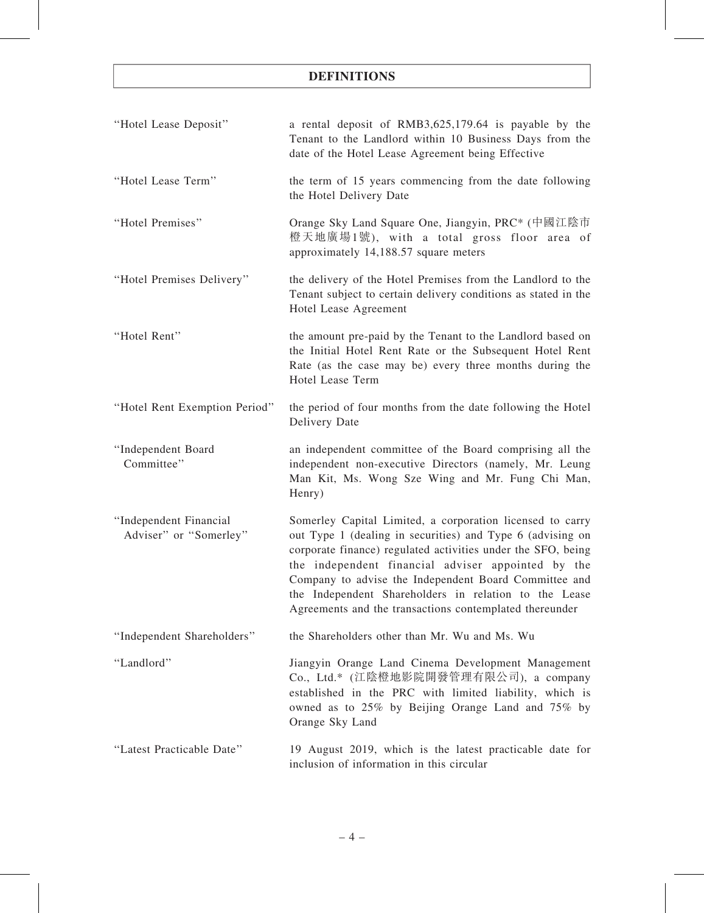| "Hotel Lease Deposit"                            | a rental deposit of RMB3,625,179.64 is payable by the<br>Tenant to the Landlord within 10 Business Days from the<br>date of the Hotel Lease Agreement being Effective                                                                                                                                                                                                                                                      |
|--------------------------------------------------|----------------------------------------------------------------------------------------------------------------------------------------------------------------------------------------------------------------------------------------------------------------------------------------------------------------------------------------------------------------------------------------------------------------------------|
| "Hotel Lease Term"                               | the term of 15 years commencing from the date following<br>the Hotel Delivery Date                                                                                                                                                                                                                                                                                                                                         |
| "Hotel Premises"                                 | Orange Sky Land Square One, Jiangyin, PRC <sup>*</sup> (中國江陰市<br>橙天地廣場1號), with a total gross floor area of<br>approximately 14,188.57 square meters                                                                                                                                                                                                                                                                       |
| "Hotel Premises Delivery"                        | the delivery of the Hotel Premises from the Landlord to the<br>Tenant subject to certain delivery conditions as stated in the<br>Hotel Lease Agreement                                                                                                                                                                                                                                                                     |
| "Hotel Rent"                                     | the amount pre-paid by the Tenant to the Landlord based on<br>the Initial Hotel Rent Rate or the Subsequent Hotel Rent<br>Rate (as the case may be) every three months during the<br>Hotel Lease Term                                                                                                                                                                                                                      |
| "Hotel Rent Exemption Period"                    | the period of four months from the date following the Hotel<br>Delivery Date                                                                                                                                                                                                                                                                                                                                               |
| "Independent Board<br>Committee"                 | an independent committee of the Board comprising all the<br>independent non-executive Directors (namely, Mr. Leung<br>Man Kit, Ms. Wong Sze Wing and Mr. Fung Chi Man,<br>Henry)                                                                                                                                                                                                                                           |
| "Independent Financial<br>Adviser" or "Somerley" | Somerley Capital Limited, a corporation licensed to carry<br>out Type 1 (dealing in securities) and Type 6 (advising on<br>corporate finance) regulated activities under the SFO, being<br>the independent financial adviser appointed by the<br>Company to advise the Independent Board Committee and<br>the Independent Shareholders in relation to the Lease<br>Agreements and the transactions contemplated thereunder |
| "Independent Shareholders"                       | the Shareholders other than Mr. Wu and Ms. Wu                                                                                                                                                                                                                                                                                                                                                                              |
| "Landlord"                                       | Jiangyin Orange Land Cinema Development Management<br>Co., Ltd.* (江陰橙地影院開發管理有限公司), a company<br>established in the PRC with limited liability, which is<br>owned as to 25% by Beijing Orange Land and 75% by<br>Orange Sky Land                                                                                                                                                                                            |
| "Latest Practicable Date"                        | 19 August 2019, which is the latest practicable date for<br>inclusion of information in this circular                                                                                                                                                                                                                                                                                                                      |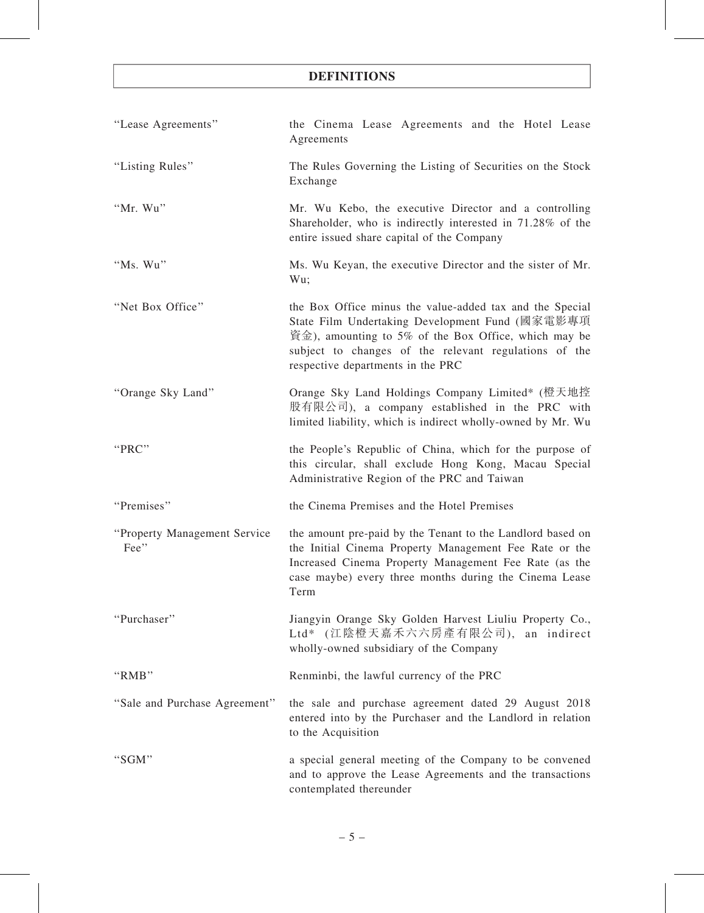| "Lease Agreements"                   | the Cinema Lease Agreements and the Hotel Lease<br>Agreements                                                                                                                                                                                                     |
|--------------------------------------|-------------------------------------------------------------------------------------------------------------------------------------------------------------------------------------------------------------------------------------------------------------------|
| "Listing Rules"                      | The Rules Governing the Listing of Securities on the Stock<br>Exchange                                                                                                                                                                                            |
| "Mr. Wu"                             | Mr. Wu Kebo, the executive Director and a controlling<br>Shareholder, who is indirectly interested in 71.28% of the<br>entire issued share capital of the Company                                                                                                 |
| "Ms. Wu"                             | Ms. Wu Keyan, the executive Director and the sister of Mr.<br>Wu;                                                                                                                                                                                                 |
| "Net Box Office"                     | the Box Office minus the value-added tax and the Special<br>State Film Undertaking Development Fund (國家電影專項<br>資金), amounting to 5% of the Box Office, which may be<br>subject to changes of the relevant regulations of the<br>respective departments in the PRC |
| "Orange Sky Land"                    | Orange Sky Land Holdings Company Limited* (橙天地控<br>股有限公司), a company established in the PRC with<br>limited liability, which is indirect wholly-owned by Mr. Wu                                                                                                   |
| "PRC"                                | the People's Republic of China, which for the purpose of<br>this circular, shall exclude Hong Kong, Macau Special<br>Administrative Region of the PRC and Taiwan                                                                                                  |
| "Premises"                           | the Cinema Premises and the Hotel Premises                                                                                                                                                                                                                        |
| "Property Management Service<br>Fee" | the amount pre-paid by the Tenant to the Landlord based on<br>the Initial Cinema Property Management Fee Rate or the<br>Increased Cinema Property Management Fee Rate (as the<br>case maybe) every three months during the Cinema Lease<br>Term                   |
| "Purchaser"                          | Jiangyin Orange Sky Golden Harvest Liuliu Property Co.,<br>Ltd* (江陰橙天嘉禾六六房產有限公司), an indirect<br>wholly-owned subsidiary of the Company                                                                                                                           |
| "RMB"                                | Renminbi, the lawful currency of the PRC                                                                                                                                                                                                                          |
| "Sale and Purchase Agreement"        | the sale and purchase agreement dated 29 August 2018<br>entered into by the Purchaser and the Landlord in relation<br>to the Acquisition                                                                                                                          |
| "SGM"                                | a special general meeting of the Company to be convened<br>and to approve the Lease Agreements and the transactions<br>contemplated thereunder                                                                                                                    |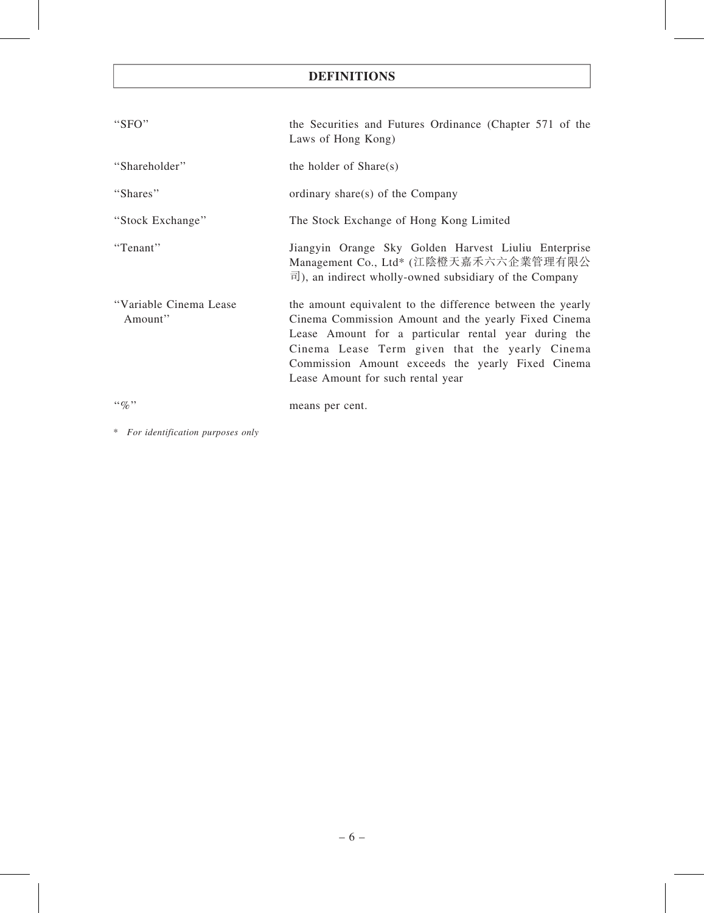| " $SFO"$                          | the Securities and Futures Ordinance (Chapter 571 of the<br>Laws of Hong Kong)                                                                                                                                                                                                                                         |
|-----------------------------------|------------------------------------------------------------------------------------------------------------------------------------------------------------------------------------------------------------------------------------------------------------------------------------------------------------------------|
| "Shareholder"                     | the holder of Share(s)                                                                                                                                                                                                                                                                                                 |
| "Shares"                          | ordinary share(s) of the Company                                                                                                                                                                                                                                                                                       |
| "Stock Exchange"                  | The Stock Exchange of Hong Kong Limited                                                                                                                                                                                                                                                                                |
| "Tenant"                          | Jiangyin Orange Sky Golden Harvest Liuliu Enterprise<br>Management Co., Ltd* (江陰橙天嘉禾六六企業管理有限公<br>$\vec{p}$ ), an indirect wholly-owned subsidiary of the Company                                                                                                                                                       |
| "Variable Cinema Lease<br>Amount" | the amount equivalent to the difference between the yearly<br>Cinema Commission Amount and the yearly Fixed Cinema<br>Lease Amount for a particular rental year during the<br>Cinema Lease Term given that the yearly Cinema<br>Commission Amount exceeds the yearly Fixed Cinema<br>Lease Amount for such rental year |
| $\lq\lq q_0$ "                    | means per cent.                                                                                                                                                                                                                                                                                                        |

\* For identification purposes only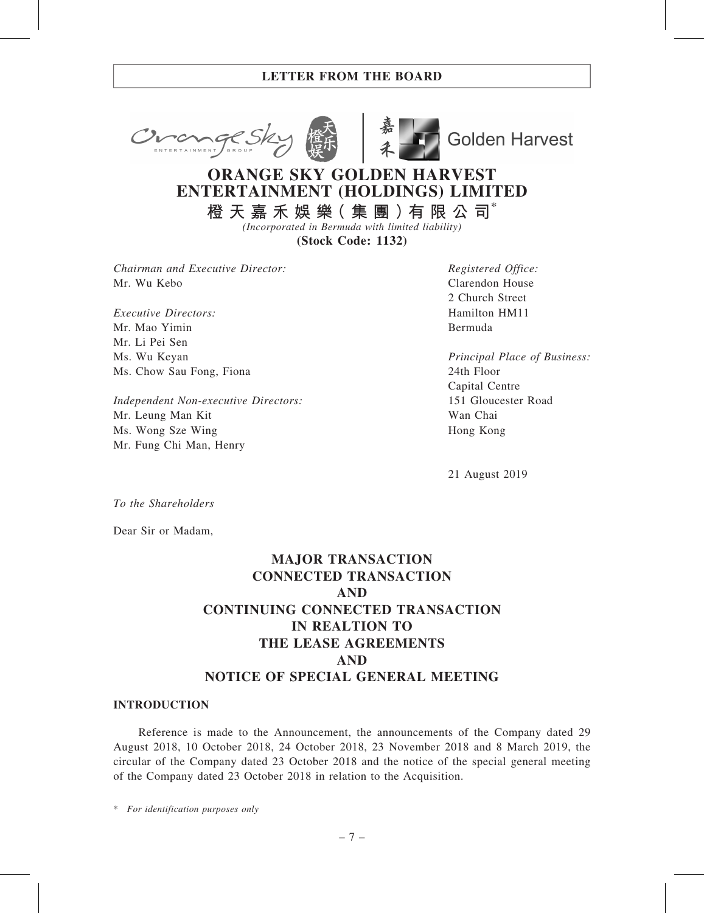



**Golden Harvest** 

# ORANGE SKY GOLDEN HARVEST ENTERTAINMENT (HOLDINGS) LIMITED

橙 天 嘉 禾 娛 樂 ( 集 團 ) 有 限 公 司 $^*$ (Incorporated in Bermuda with limited liability)

(Stock Code: 1132)

Chairman and Executive Director: Mr. Wu Kebo

Executive Directors: Mr. Mao Yimin Mr. Li Pei Sen Ms. Wu Keyan Ms. Chow Sau Fong, Fiona

Independent Non-executive Directors: Mr. Leung Man Kit Ms. Wong Sze Wing Mr. Fung Chi Man, Henry

Registered Office: Clarendon House 2 Church Street Hamilton HM11 Bermuda

Principal Place of Business: 24th Floor Capital Centre 151 Gloucester Road Wan Chai Hong Kong

21 August 2019

To the Shareholders

Dear Sir or Madam,

# MAJOR TRANSACTION CONNECTED TRANSACTION AND CONTINUING CONNECTED TRANSACTION IN REALTION TO THE LEASE AGREEMENTS AND NOTICE OF SPECIAL GENERAL MEETING

#### INTRODUCTION

Reference is made to the Announcement, the announcements of the Company dated 29 August 2018, 10 October 2018, 24 October 2018, 23 November 2018 and 8 March 2019, the circular of the Company dated 23 October 2018 and the notice of the special general meeting of the Company dated 23 October 2018 in relation to the Acquisition.

\* For identification purposes only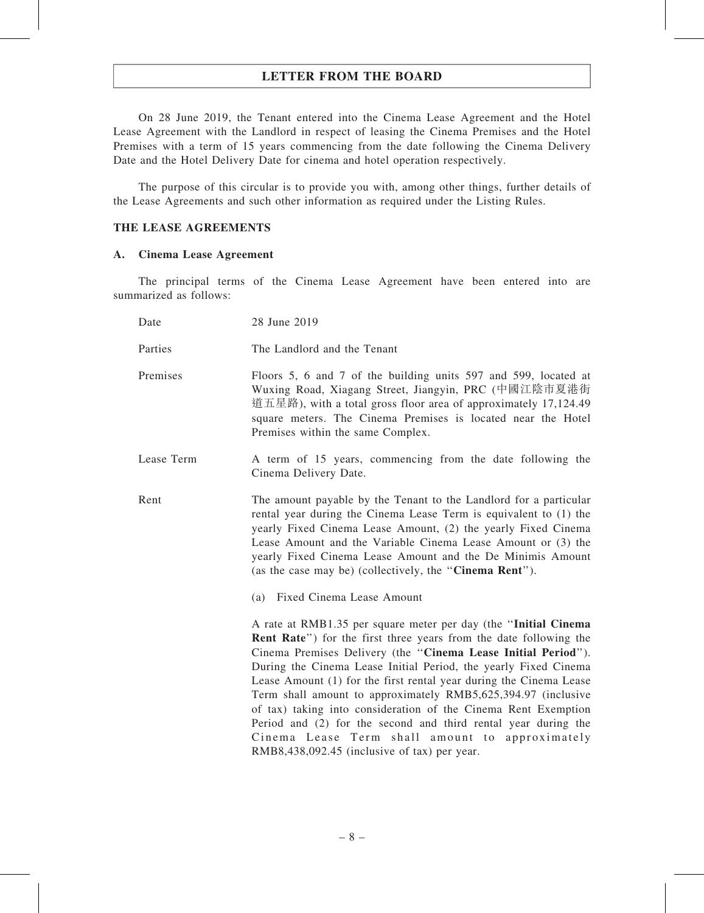On 28 June 2019, the Tenant entered into the Cinema Lease Agreement and the Hotel Lease Agreement with the Landlord in respect of leasing the Cinema Premises and the Hotel Premises with a term of 15 years commencing from the date following the Cinema Delivery Date and the Hotel Delivery Date for cinema and hotel operation respectively.

The purpose of this circular is to provide you with, among other things, further details of the Lease Agreements and such other information as required under the Listing Rules.

#### THE LEASE AGREEMENTS

#### A. Cinema Lease Agreement

The principal terms of the Cinema Lease Agreement have been entered into are summarized as follows:

| Date       | 28 June 2019                                                                                                                                                                                                                                                                                                                                                                                                                                                                                                                                                                                                                                                    |
|------------|-----------------------------------------------------------------------------------------------------------------------------------------------------------------------------------------------------------------------------------------------------------------------------------------------------------------------------------------------------------------------------------------------------------------------------------------------------------------------------------------------------------------------------------------------------------------------------------------------------------------------------------------------------------------|
| Parties    | The Landlord and the Tenant                                                                                                                                                                                                                                                                                                                                                                                                                                                                                                                                                                                                                                     |
| Premises   | Floors 5, 6 and 7 of the building units 597 and 599, located at<br>Wuxing Road, Xiagang Street, Jiangyin, PRC (中國江陰市夏港街<br>道五星路), with a total gross floor area of approximately 17,124.49<br>square meters. The Cinema Premises is located near the Hotel<br>Premises within the same Complex.                                                                                                                                                                                                                                                                                                                                                                 |
| Lease Term | A term of 15 years, commencing from the date following the<br>Cinema Delivery Date.                                                                                                                                                                                                                                                                                                                                                                                                                                                                                                                                                                             |
| Rent       | The amount payable by the Tenant to the Landlord for a particular<br>rental year during the Cinema Lease Term is equivalent to (1) the<br>yearly Fixed Cinema Lease Amount, (2) the yearly Fixed Cinema<br>Lease Amount and the Variable Cinema Lease Amount or (3) the<br>yearly Fixed Cinema Lease Amount and the De Minimis Amount<br>(as the case may be) (collectively, the "Cinema Rent").<br>(a) Fixed Cinema Lease Amount                                                                                                                                                                                                                               |
|            |                                                                                                                                                                                                                                                                                                                                                                                                                                                                                                                                                                                                                                                                 |
|            | A rate at RMB1.35 per square meter per day (the "Initial Cinema"<br><b>Rent Rate</b> ") for the first three years from the date following the<br>Cinema Premises Delivery (the "Cinema Lease Initial Period").<br>During the Cinema Lease Initial Period, the yearly Fixed Cinema<br>Lease Amount (1) for the first rental year during the Cinema Lease<br>Term shall amount to approximately RMB5,625,394.97 (inclusive<br>of tax) taking into consideration of the Cinema Rent Exemption<br>Period and (2) for the second and third rental year during the<br>Cinema Lease Term shall amount to approximately<br>RMB8,438,092.45 (inclusive of tax) per year. |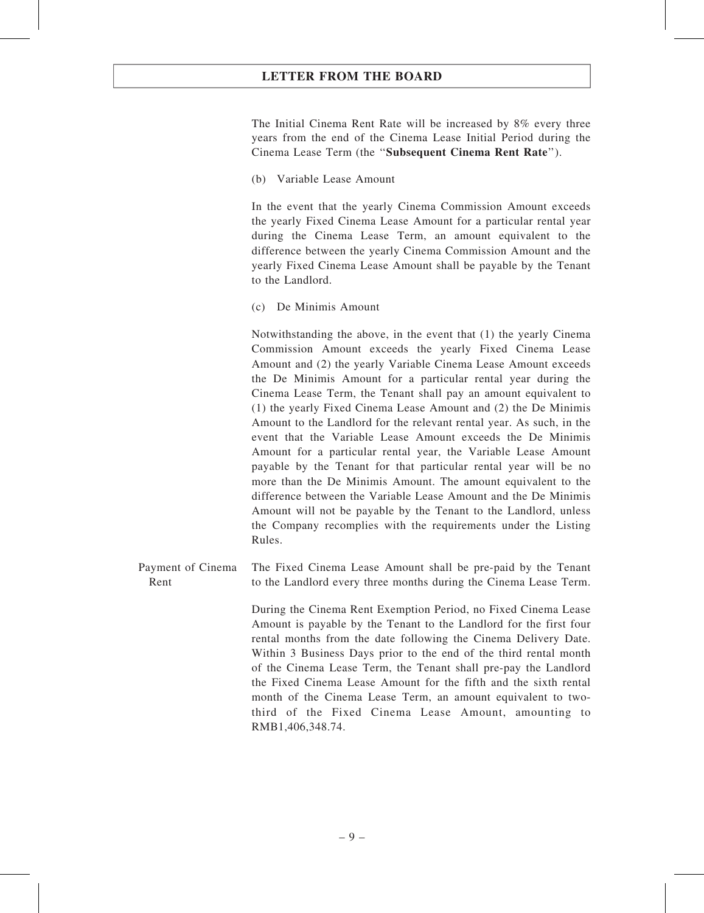The Initial Cinema Rent Rate will be increased by 8% every three years from the end of the Cinema Lease Initial Period during the Cinema Lease Term (the ''Subsequent Cinema Rent Rate'').

(b) Variable Lease Amount

In the event that the yearly Cinema Commission Amount exceeds the yearly Fixed Cinema Lease Amount for a particular rental year during the Cinema Lease Term, an amount equivalent to the difference between the yearly Cinema Commission Amount and the yearly Fixed Cinema Lease Amount shall be payable by the Tenant to the Landlord.

(c) De Minimis Amount

Notwithstanding the above, in the event that (1) the yearly Cinema Commission Amount exceeds the yearly Fixed Cinema Lease Amount and (2) the yearly Variable Cinema Lease Amount exceeds the De Minimis Amount for a particular rental year during the Cinema Lease Term, the Tenant shall pay an amount equivalent to (1) the yearly Fixed Cinema Lease Amount and (2) the De Minimis Amount to the Landlord for the relevant rental year. As such, in the event that the Variable Lease Amount exceeds the De Minimis Amount for a particular rental year, the Variable Lease Amount payable by the Tenant for that particular rental year will be no more than the De Minimis Amount. The amount equivalent to the difference between the Variable Lease Amount and the De Minimis Amount will not be payable by the Tenant to the Landlord, unless the Company recomplies with the requirements under the Listing Rules.

Payment of Cinema Rent The Fixed Cinema Lease Amount shall be pre-paid by the Tenant to the Landlord every three months during the Cinema Lease Term.

> During the Cinema Rent Exemption Period, no Fixed Cinema Lease Amount is payable by the Tenant to the Landlord for the first four rental months from the date following the Cinema Delivery Date. Within 3 Business Days prior to the end of the third rental month of the Cinema Lease Term, the Tenant shall pre-pay the Landlord the Fixed Cinema Lease Amount for the fifth and the sixth rental month of the Cinema Lease Term, an amount equivalent to twothird of the Fixed Cinema Lease Amount, amounting to RMB1,406,348.74.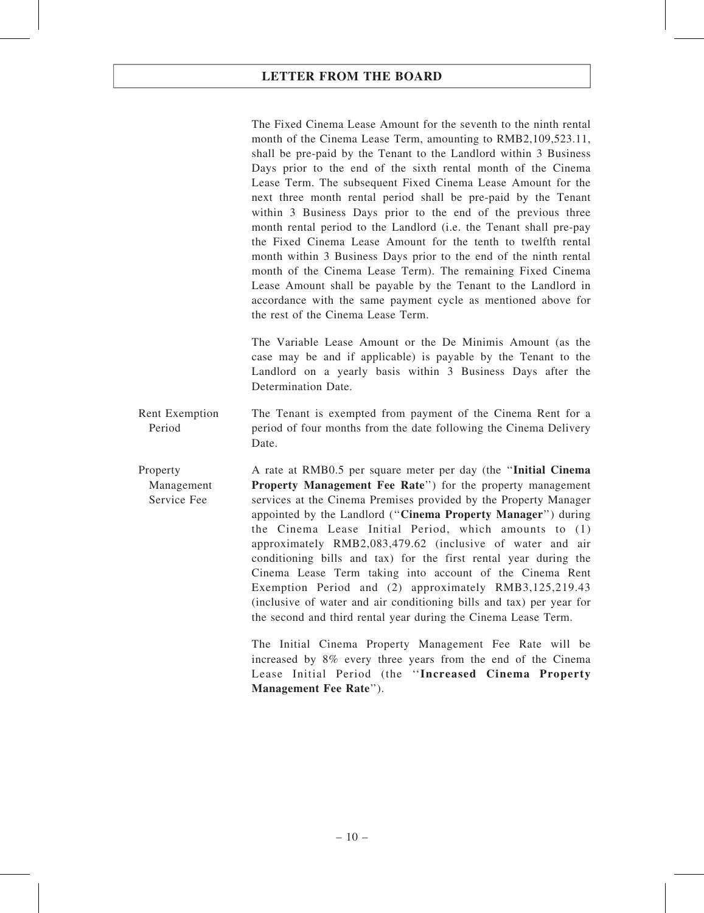The Fixed Cinema Lease Amount for the seventh to the ninth rental month of the Cinema Lease Term, amounting to RMB2,109,523.11, shall be pre-paid by the Tenant to the Landlord within 3 Business Days prior to the end of the sixth rental month of the Cinema Lease Term. The subsequent Fixed Cinema Lease Amount for the next three month rental period shall be pre-paid by the Tenant within 3 Business Days prior to the end of the previous three month rental period to the Landlord (i.e. the Tenant shall pre-pay the Fixed Cinema Lease Amount for the tenth to twelfth rental month within 3 Business Days prior to the end of the ninth rental month of the Cinema Lease Term). The remaining Fixed Cinema Lease Amount shall be payable by the Tenant to the Landlord in accordance with the same payment cycle as mentioned above for the rest of the Cinema Lease Term.

The Variable Lease Amount or the De Minimis Amount (as the case may be and if applicable) is payable by the Tenant to the Landlord on a yearly basis within 3 Business Days after the Determination Date.

Rent Exemption Period The Tenant is exempted from payment of the Cinema Rent for a period of four months from the date following the Cinema Delivery Date.

Property Management Service Fee A rate at RMB0.5 per square meter per day (the "Initial Cinema" Property Management Fee Rate") for the property management services at the Cinema Premises provided by the Property Manager appointed by the Landlord (''Cinema Property Manager'') during the Cinema Lease Initial Period, which amounts to (1) approximately RMB2,083,479.62 (inclusive of water and air conditioning bills and tax) for the first rental year during the Cinema Lease Term taking into account of the Cinema Rent Exemption Period and (2) approximately RMB3,125,219.43 (inclusive of water and air conditioning bills and tax) per year for the second and third rental year during the Cinema Lease Term.

> The Initial Cinema Property Management Fee Rate will be increased by 8% every three years from the end of the Cinema Lease Initial Period (the ''Increased Cinema Property Management Fee Rate'').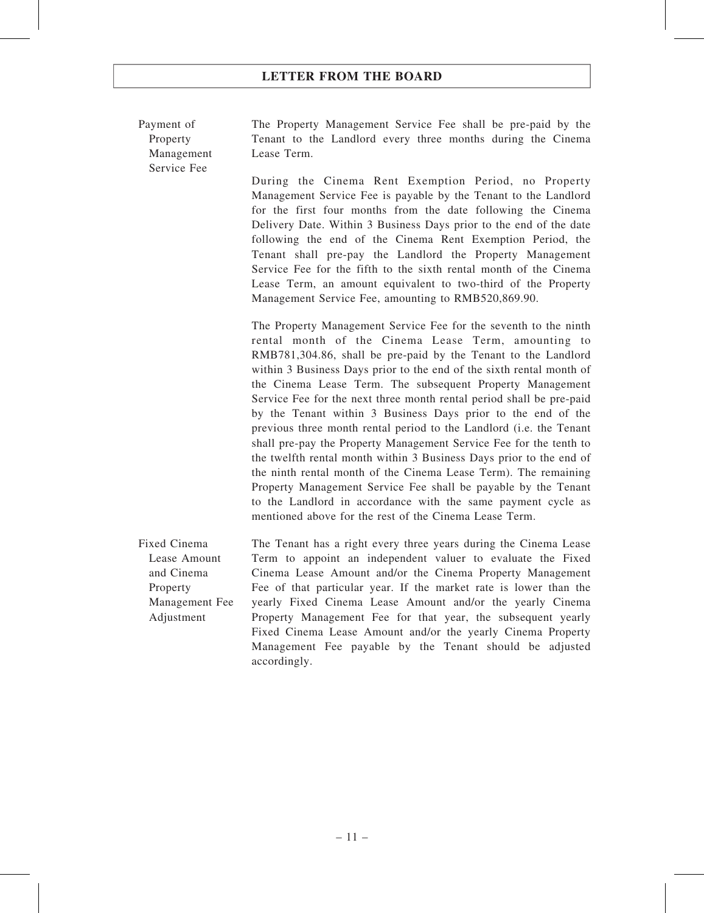Payment of Property Management Service Fee

The Property Management Service Fee shall be pre-paid by the Tenant to the Landlord every three months during the Cinema Lease Term.

During the Cinema Rent Exemption Period, no Property Management Service Fee is payable by the Tenant to the Landlord for the first four months from the date following the Cinema Delivery Date. Within 3 Business Days prior to the end of the date following the end of the Cinema Rent Exemption Period, the Tenant shall pre-pay the Landlord the Property Management Service Fee for the fifth to the sixth rental month of the Cinema Lease Term, an amount equivalent to two-third of the Property Management Service Fee, amounting to RMB520,869.90.

The Property Management Service Fee for the seventh to the ninth rental month of the Cinema Lease Term, amounting to RMB781,304.86, shall be pre-paid by the Tenant to the Landlord within 3 Business Days prior to the end of the sixth rental month of the Cinema Lease Term. The subsequent Property Management Service Fee for the next three month rental period shall be pre-paid by the Tenant within 3 Business Days prior to the end of the previous three month rental period to the Landlord (i.e. the Tenant shall pre-pay the Property Management Service Fee for the tenth to the twelfth rental month within 3 Business Days prior to the end of the ninth rental month of the Cinema Lease Term). The remaining Property Management Service Fee shall be payable by the Tenant to the Landlord in accordance with the same payment cycle as mentioned above for the rest of the Cinema Lease Term.

Fixed Cinema Lease Amount and Cinema Property Management Fee Adjustment The Tenant has a right every three years during the Cinema Lease Term to appoint an independent valuer to evaluate the Fixed Cinema Lease Amount and/or the Cinema Property Management Fee of that particular year. If the market rate is lower than the yearly Fixed Cinema Lease Amount and/or the yearly Cinema Property Management Fee for that year, the subsequent yearly Fixed Cinema Lease Amount and/or the yearly Cinema Property Management Fee payable by the Tenant should be adjusted accordingly.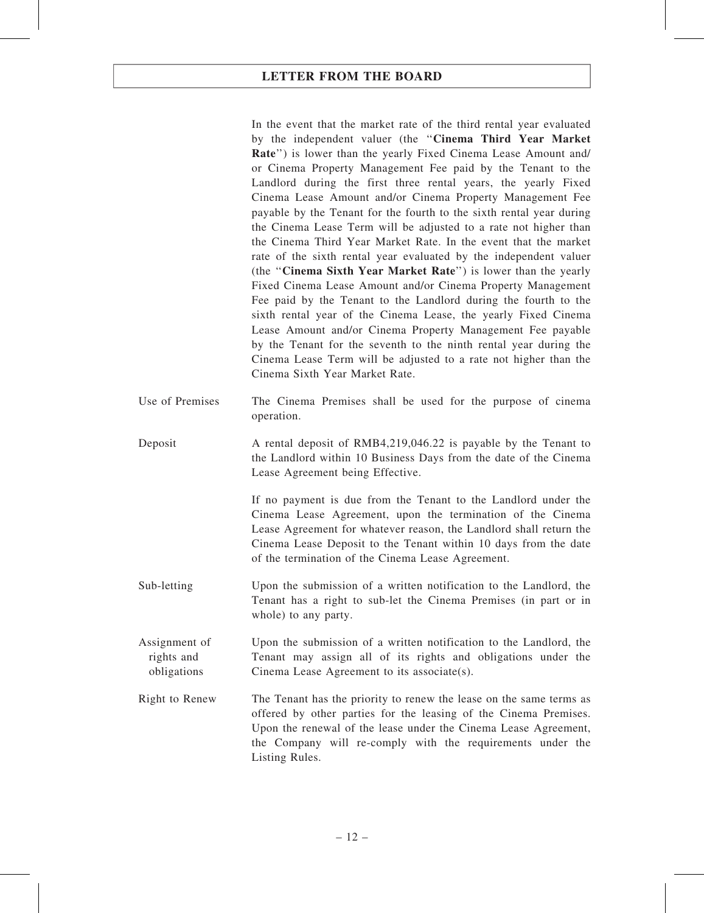In the event that the market rate of the third rental year evaluated by the independent valuer (the ''Cinema Third Year Market Rate") is lower than the yearly Fixed Cinema Lease Amount and/ or Cinema Property Management Fee paid by the Tenant to the Landlord during the first three rental years, the yearly Fixed Cinema Lease Amount and/or Cinema Property Management Fee payable by the Tenant for the fourth to the sixth rental year during the Cinema Lease Term will be adjusted to a rate not higher than the Cinema Third Year Market Rate. In the event that the market rate of the sixth rental year evaluated by the independent valuer (the ''Cinema Sixth Year Market Rate'') is lower than the yearly Fixed Cinema Lease Amount and/or Cinema Property Management Fee paid by the Tenant to the Landlord during the fourth to the sixth rental year of the Cinema Lease, the yearly Fixed Cinema Lease Amount and/or Cinema Property Management Fee payable by the Tenant for the seventh to the ninth rental year during the Cinema Lease Term will be adjusted to a rate not higher than the Cinema Sixth Year Market Rate.

- Use of Premises The Cinema Premises shall be used for the purpose of cinema operation.
- Deposit A rental deposit of RMB4,219,046.22 is payable by the Tenant to the Landlord within 10 Business Days from the date of the Cinema Lease Agreement being Effective.

If no payment is due from the Tenant to the Landlord under the Cinema Lease Agreement, upon the termination of the Cinema Lease Agreement for whatever reason, the Landlord shall return the Cinema Lease Deposit to the Tenant within 10 days from the date of the termination of the Cinema Lease Agreement.

- Sub-letting Upon the submission of a written notification to the Landlord, the Tenant has a right to sub-let the Cinema Premises (in part or in whole) to any party.
- Assignment of rights and obligations Upon the submission of a written notification to the Landlord, the Tenant may assign all of its rights and obligations under the Cinema Lease Agreement to its associate(s).
- Right to Renew The Tenant has the priority to renew the lease on the same terms as offered by other parties for the leasing of the Cinema Premises. Upon the renewal of the lease under the Cinema Lease Agreement, the Company will re-comply with the requirements under the Listing Rules.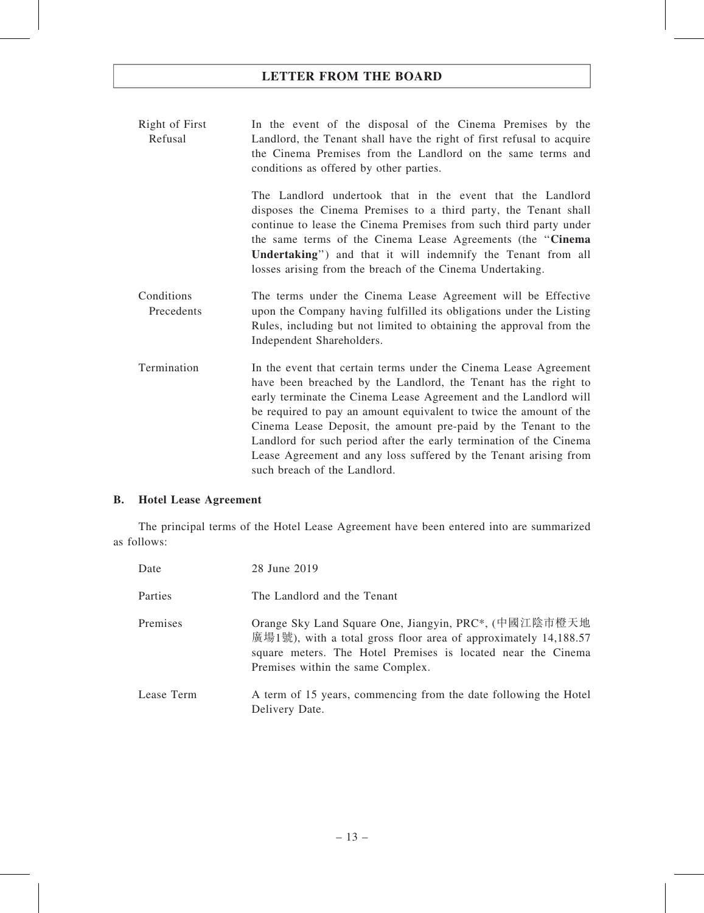Right of First Refusal In the event of the disposal of the Cinema Premises by the Landlord, the Tenant shall have the right of first refusal to acquire the Cinema Premises from the Landlord on the same terms and conditions as offered by other parties.

> The Landlord undertook that in the event that the Landlord disposes the Cinema Premises to a third party, the Tenant shall continue to lease the Cinema Premises from such third party under the same terms of the Cinema Lease Agreements (the ''Cinema Undertaking'') and that it will indemnify the Tenant from all losses arising from the breach of the Cinema Undertaking.

- Conditions Precedents The terms under the Cinema Lease Agreement will be Effective upon the Company having fulfilled its obligations under the Listing Rules, including but not limited to obtaining the approval from the Independent Shareholders.
- Termination In the event that certain terms under the Cinema Lease Agreement have been breached by the Landlord, the Tenant has the right to early terminate the Cinema Lease Agreement and the Landlord will be required to pay an amount equivalent to twice the amount of the Cinema Lease Deposit, the amount pre-paid by the Tenant to the Landlord for such period after the early termination of the Cinema Lease Agreement and any loss suffered by the Tenant arising from such breach of the Landlord.

#### B. Hotel Lease Agreement

The principal terms of the Hotel Lease Agreement have been entered into are summarized as follows:

| Date       | 28 June 2019                                                                                                                                                                                                                  |
|------------|-------------------------------------------------------------------------------------------------------------------------------------------------------------------------------------------------------------------------------|
| Parties    | The Landlord and the Tenant                                                                                                                                                                                                   |
| Premises   | Orange Sky Land Square One, Jiangyin, PRC*, (中國江陰市橙天地<br>廣場1號), with a total gross floor area of approximately 14,188.57<br>square meters. The Hotel Premises is located near the Cinema<br>Premises within the same Complex. |
| Lease Term | A term of 15 years, commencing from the date following the Hotel<br>Delivery Date.                                                                                                                                            |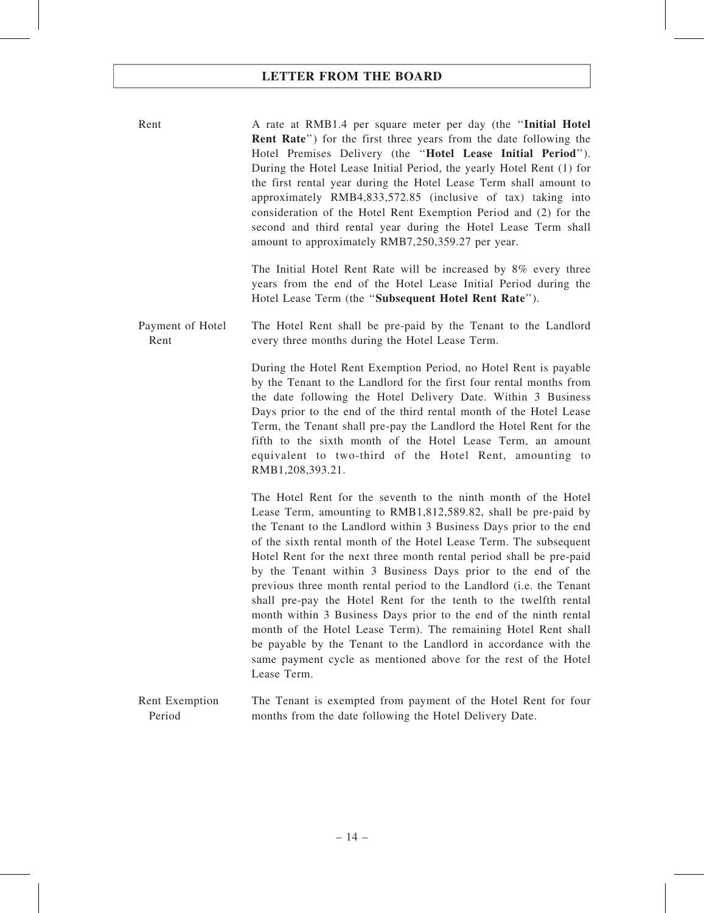Rent A rate at RMB1.4 per square meter per day (the "Initial Hotel Rent Rate'') for the first three years from the date following the Hotel Premises Delivery (the "Hotel Lease Initial Period"). During the Hotel Lease Initial Period, the yearly Hotel Rent (1) for the first rental year during the Hotel Lease Term shall amount to approximately RMB4,833,572.85 (inclusive of tax) taking into consideration of the Hotel Rent Exemption Period and (2) for the second and third rental year during the Hotel Lease Term shall amount to approximately RMB7,250,359.27 per year.

> The Initial Hotel Rent Rate will be increased by 8% every three years from the end of the Hotel Lease Initial Period during the Hotel Lease Term (the ''Subsequent Hotel Rent Rate'').

Payment of Hotel Rent The Hotel Rent shall be pre-paid by the Tenant to the Landlord every three months during the Hotel Lease Term.

> During the Hotel Rent Exemption Period, no Hotel Rent is payable by the Tenant to the Landlord for the first four rental months from the date following the Hotel Delivery Date. Within 3 Business Days prior to the end of the third rental month of the Hotel Lease Term, the Tenant shall pre-pay the Landlord the Hotel Rent for the fifth to the sixth month of the Hotel Lease Term, an amount equivalent to two-third of the Hotel Rent, amounting to RMB1,208,393.21.

> The Hotel Rent for the seventh to the ninth month of the Hotel Lease Term, amounting to RMB1,812,589.82, shall be pre-paid by the Tenant to the Landlord within 3 Business Days prior to the end of the sixth rental month of the Hotel Lease Term. The subsequent Hotel Rent for the next three month rental period shall be pre-paid by the Tenant within 3 Business Days prior to the end of the previous three month rental period to the Landlord (i.e. the Tenant shall pre-pay the Hotel Rent for the tenth to the twelfth rental month within 3 Business Days prior to the end of the ninth rental month of the Hotel Lease Term). The remaining Hotel Rent shall be payable by the Tenant to the Landlord in accordance with the same payment cycle as mentioned above for the rest of the Hotel Lease Term.

Rent Exemption Period The Tenant is exempted from payment of the Hotel Rent for four months from the date following the Hotel Delivery Date.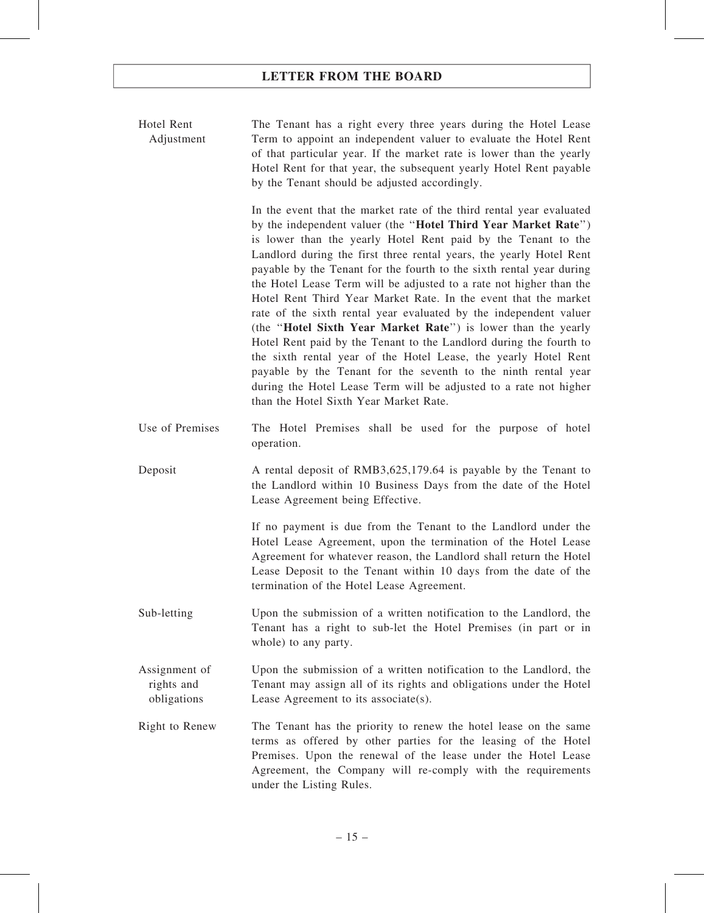| Hotel Rent | The Tenant has a right every three years during the Hotel Lease      |
|------------|----------------------------------------------------------------------|
| Adjustment | Term to appoint an independent valuer to evaluate the Hotel Rent     |
|            | of that particular year. If the market rate is lower than the yearly |
|            | Hotel Rent for that year, the subsequent yearly Hotel Rent payable   |
|            | by the Tenant should be adjusted accordingly.                        |

In the event that the market rate of the third rental year evaluated by the independent valuer (the ''Hotel Third Year Market Rate'') is lower than the yearly Hotel Rent paid by the Tenant to the Landlord during the first three rental years, the yearly Hotel Rent payable by the Tenant for the fourth to the sixth rental year during the Hotel Lease Term will be adjusted to a rate not higher than the Hotel Rent Third Year Market Rate. In the event that the market rate of the sixth rental year evaluated by the independent valuer (the ''Hotel Sixth Year Market Rate'') is lower than the yearly Hotel Rent paid by the Tenant to the Landlord during the fourth to the sixth rental year of the Hotel Lease, the yearly Hotel Rent payable by the Tenant for the seventh to the ninth rental year during the Hotel Lease Term will be adjusted to a rate not higher than the Hotel Sixth Year Market Rate.

- Use of Premises The Hotel Premises shall be used for the purpose of hotel operation.
- Deposit A rental deposit of RMB3,625,179.64 is payable by the Tenant to the Landlord within 10 Business Days from the date of the Hotel Lease Agreement being Effective.

If no payment is due from the Tenant to the Landlord under the Hotel Lease Agreement, upon the termination of the Hotel Lease Agreement for whatever reason, the Landlord shall return the Hotel Lease Deposit to the Tenant within 10 days from the date of the termination of the Hotel Lease Agreement.

- Sub-letting Upon the submission of a written notification to the Landlord, the Tenant has a right to sub-let the Hotel Premises (in part or in whole) to any party.
- Assignment of rights and obligations Upon the submission of a written notification to the Landlord, the Tenant may assign all of its rights and obligations under the Hotel Lease Agreement to its associate(s).
- Right to Renew The Tenant has the priority to renew the hotel lease on the same terms as offered by other parties for the leasing of the Hotel Premises. Upon the renewal of the lease under the Hotel Lease Agreement, the Company will re-comply with the requirements under the Listing Rules.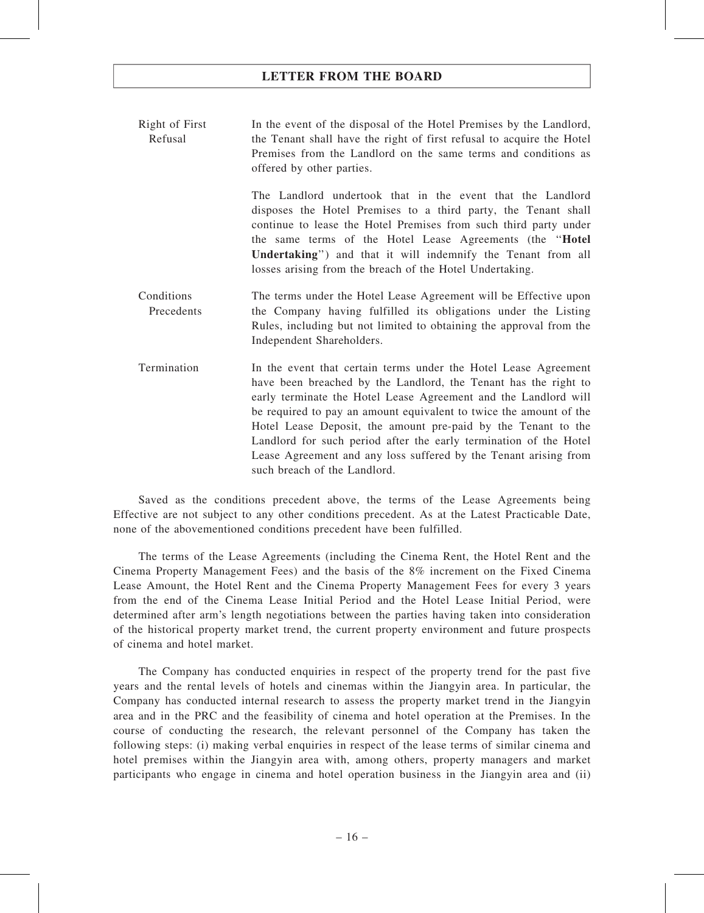Right of First Refusal In the event of the disposal of the Hotel Premises by the Landlord, the Tenant shall have the right of first refusal to acquire the Hotel Premises from the Landlord on the same terms and conditions as offered by other parties.

> The Landlord undertook that in the event that the Landlord disposes the Hotel Premises to a third party, the Tenant shall continue to lease the Hotel Premises from such third party under the same terms of the Hotel Lease Agreements (the ''Hotel Undertaking'') and that it will indemnify the Tenant from all losses arising from the breach of the Hotel Undertaking.

- Conditions Precedents The terms under the Hotel Lease Agreement will be Effective upon the Company having fulfilled its obligations under the Listing Rules, including but not limited to obtaining the approval from the Independent Shareholders.
- Termination In the event that certain terms under the Hotel Lease Agreement have been breached by the Landlord, the Tenant has the right to early terminate the Hotel Lease Agreement and the Landlord will be required to pay an amount equivalent to twice the amount of the Hotel Lease Deposit, the amount pre-paid by the Tenant to the Landlord for such period after the early termination of the Hotel Lease Agreement and any loss suffered by the Tenant arising from such breach of the Landlord.

Saved as the conditions precedent above, the terms of the Lease Agreements being Effective are not subject to any other conditions precedent. As at the Latest Practicable Date, none of the abovementioned conditions precedent have been fulfilled.

The terms of the Lease Agreements (including the Cinema Rent, the Hotel Rent and the Cinema Property Management Fees) and the basis of the 8% increment on the Fixed Cinema Lease Amount, the Hotel Rent and the Cinema Property Management Fees for every 3 years from the end of the Cinema Lease Initial Period and the Hotel Lease Initial Period, were determined after arm's length negotiations between the parties having taken into consideration of the historical property market trend, the current property environment and future prospects of cinema and hotel market.

The Company has conducted enquiries in respect of the property trend for the past five years and the rental levels of hotels and cinemas within the Jiangyin area. In particular, the Company has conducted internal research to assess the property market trend in the Jiangyin area and in the PRC and the feasibility of cinema and hotel operation at the Premises. In the course of conducting the research, the relevant personnel of the Company has taken the following steps: (i) making verbal enquiries in respect of the lease terms of similar cinema and hotel premises within the Jiangyin area with, among others, property managers and market participants who engage in cinema and hotel operation business in the Jiangyin area and (ii)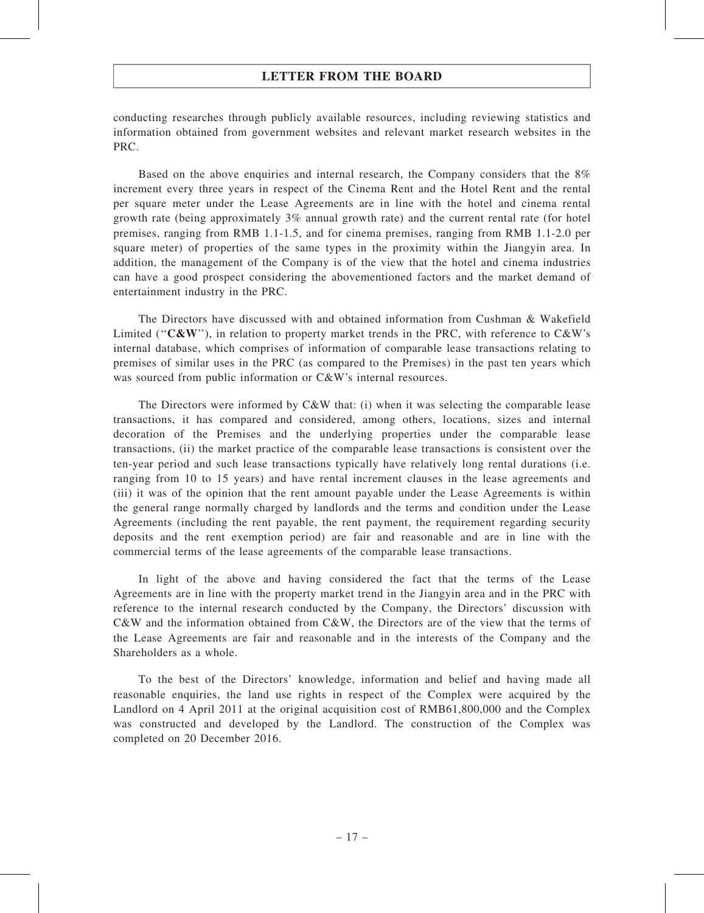conducting researches through publicly available resources, including reviewing statistics and information obtained from government websites and relevant market research websites in the PRC.

Based on the above enquiries and internal research, the Company considers that the 8% increment every three years in respect of the Cinema Rent and the Hotel Rent and the rental per square meter under the Lease Agreements are in line with the hotel and cinema rental growth rate (being approximately 3% annual growth rate) and the current rental rate (for hotel premises, ranging from RMB 1.1-1.5, and for cinema premises, ranging from RMB 1.1-2.0 per square meter) of properties of the same types in the proximity within the Jiangyin area. In addition, the management of the Company is of the view that the hotel and cinema industries can have a good prospect considering the abovementioned factors and the market demand of entertainment industry in the PRC.

The Directors have discussed with and obtained information from Cushman & Wakefield Limited (" $C&W$ "), in relation to property market trends in the PRC, with reference to  $C&W$ 's internal database, which comprises of information of comparable lease transactions relating to premises of similar uses in the PRC (as compared to the Premises) in the past ten years which was sourced from public information or C&W's internal resources.

The Directors were informed by C&W that: (i) when it was selecting the comparable lease transactions, it has compared and considered, among others, locations, sizes and internal decoration of the Premises and the underlying properties under the comparable lease transactions, (ii) the market practice of the comparable lease transactions is consistent over the ten-year period and such lease transactions typically have relatively long rental durations (i.e. ranging from 10 to 15 years) and have rental increment clauses in the lease agreements and (iii) it was of the opinion that the rent amount payable under the Lease Agreements is within the general range normally charged by landlords and the terms and condition under the Lease Agreements (including the rent payable, the rent payment, the requirement regarding security deposits and the rent exemption period) are fair and reasonable and are in line with the commercial terms of the lease agreements of the comparable lease transactions.

In light of the above and having considered the fact that the terms of the Lease Agreements are in line with the property market trend in the Jiangyin area and in the PRC with reference to the internal research conducted by the Company, the Directors' discussion with C&W and the information obtained from C&W, the Directors are of the view that the terms of the Lease Agreements are fair and reasonable and in the interests of the Company and the Shareholders as a whole.

To the best of the Directors' knowledge, information and belief and having made all reasonable enquiries, the land use rights in respect of the Complex were acquired by the Landlord on 4 April 2011 at the original acquisition cost of RMB61,800,000 and the Complex was constructed and developed by the Landlord. The construction of the Complex was completed on 20 December 2016.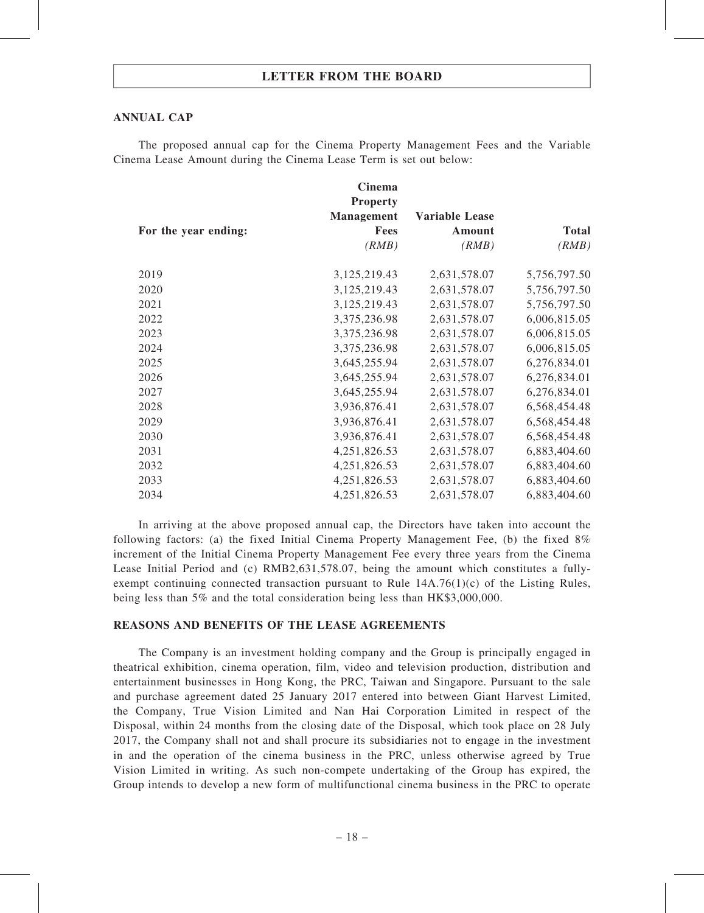#### ANNUAL CAP

The proposed annual cap for the Cinema Property Management Fees and the Variable Cinema Lease Amount during the Cinema Lease Term is set out below:

|                      | Cinema<br><b>Property</b> |                       |              |
|----------------------|---------------------------|-----------------------|--------------|
|                      | <b>Management</b>         | <b>Variable Lease</b> |              |
| For the year ending: | Fees                      | Amount                | <b>Total</b> |
|                      | (RMB)                     | (RMB)                 | (RMB)        |
| 2019                 | 3,125,219.43              | 2,631,578.07          | 5,756,797.50 |
| 2020                 | 3,125,219.43              | 2,631,578.07          | 5,756,797.50 |
| 2021                 | 3,125,219.43              | 2,631,578.07          | 5,756,797.50 |
| 2022                 | 3,375,236.98              | 2,631,578.07          | 6,006,815.05 |
| 2023                 | 3,375,236.98              | 2,631,578.07          | 6,006,815.05 |
| 2024                 | 3,375,236.98              | 2,631,578.07          | 6,006,815.05 |
| 2025                 | 3,645,255.94              | 2,631,578.07          | 6,276,834.01 |
| 2026                 | 3,645,255.94              | 2,631,578.07          | 6,276,834.01 |
| 2027                 | 3,645,255.94              | 2,631,578.07          | 6,276,834.01 |
| 2028                 | 3,936,876.41              | 2,631,578.07          | 6,568,454.48 |
| 2029                 | 3,936,876.41              | 2,631,578.07          | 6,568,454.48 |
| 2030                 | 3,936,876.41              | 2,631,578.07          | 6,568,454.48 |
| 2031                 | 4,251,826.53              | 2,631,578.07          | 6,883,404.60 |
| 2032                 | 4,251,826.53              | 2,631,578.07          | 6,883,404.60 |
| 2033                 | 4,251,826.53              | 2,631,578.07          | 6,883,404.60 |
| 2034                 | 4,251,826.53              | 2,631,578.07          | 6,883,404.60 |

In arriving at the above proposed annual cap, the Directors have taken into account the following factors: (a) the fixed Initial Cinema Property Management Fee, (b) the fixed 8% increment of the Initial Cinema Property Management Fee every three years from the Cinema Lease Initial Period and (c) RMB2,631,578.07, being the amount which constitutes a fullyexempt continuing connected transaction pursuant to Rule 14A.76(1)(c) of the Listing Rules, being less than 5% and the total consideration being less than HK\$3,000,000.

#### REASONS AND BENEFITS OF THE LEASE AGREEMENTS

The Company is an investment holding company and the Group is principally engaged in theatrical exhibition, cinema operation, film, video and television production, distribution and entertainment businesses in Hong Kong, the PRC, Taiwan and Singapore. Pursuant to the sale and purchase agreement dated 25 January 2017 entered into between Giant Harvest Limited, the Company, True Vision Limited and Nan Hai Corporation Limited in respect of the Disposal, within 24 months from the closing date of the Disposal, which took place on 28 July 2017, the Company shall not and shall procure its subsidiaries not to engage in the investment in and the operation of the cinema business in the PRC, unless otherwise agreed by True Vision Limited in writing. As such non-compete undertaking of the Group has expired, the Group intends to develop a new form of multifunctional cinema business in the PRC to operate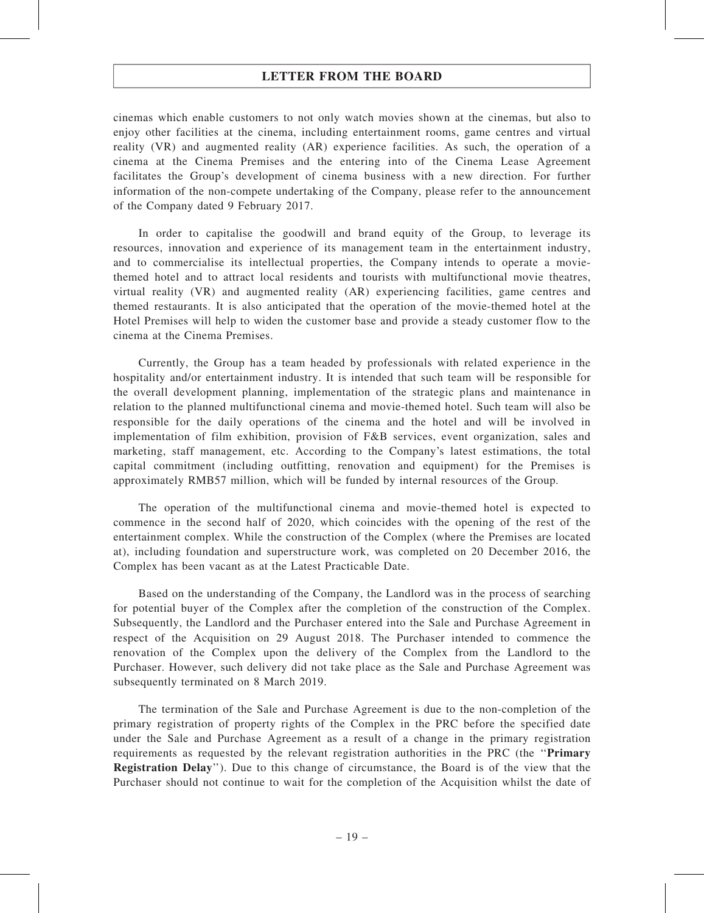cinemas which enable customers to not only watch movies shown at the cinemas, but also to enjoy other facilities at the cinema, including entertainment rooms, game centres and virtual reality (VR) and augmented reality (AR) experience facilities. As such, the operation of a cinema at the Cinema Premises and the entering into of the Cinema Lease Agreement facilitates the Group's development of cinema business with a new direction. For further information of the non-compete undertaking of the Company, please refer to the announcement of the Company dated 9 February 2017.

In order to capitalise the goodwill and brand equity of the Group, to leverage its resources, innovation and experience of its management team in the entertainment industry, and to commercialise its intellectual properties, the Company intends to operate a moviethemed hotel and to attract local residents and tourists with multifunctional movie theatres, virtual reality (VR) and augmented reality (AR) experiencing facilities, game centres and themed restaurants. It is also anticipated that the operation of the movie-themed hotel at the Hotel Premises will help to widen the customer base and provide a steady customer flow to the cinema at the Cinema Premises.

Currently, the Group has a team headed by professionals with related experience in the hospitality and/or entertainment industry. It is intended that such team will be responsible for the overall development planning, implementation of the strategic plans and maintenance in relation to the planned multifunctional cinema and movie-themed hotel. Such team will also be responsible for the daily operations of the cinema and the hotel and will be involved in implementation of film exhibition, provision of F&B services, event organization, sales and marketing, staff management, etc. According to the Company's latest estimations, the total capital commitment (including outfitting, renovation and equipment) for the Premises is approximately RMB57 million, which will be funded by internal resources of the Group.

The operation of the multifunctional cinema and movie-themed hotel is expected to commence in the second half of 2020, which coincides with the opening of the rest of the entertainment complex. While the construction of the Complex (where the Premises are located at), including foundation and superstructure work, was completed on 20 December 2016, the Complex has been vacant as at the Latest Practicable Date.

Based on the understanding of the Company, the Landlord was in the process of searching for potential buyer of the Complex after the completion of the construction of the Complex. Subsequently, the Landlord and the Purchaser entered into the Sale and Purchase Agreement in respect of the Acquisition on 29 August 2018. The Purchaser intended to commence the renovation of the Complex upon the delivery of the Complex from the Landlord to the Purchaser. However, such delivery did not take place as the Sale and Purchase Agreement was subsequently terminated on 8 March 2019.

The termination of the Sale and Purchase Agreement is due to the non-completion of the primary registration of property rights of the Complex in the PRC before the specified date under the Sale and Purchase Agreement as a result of a change in the primary registration requirements as requested by the relevant registration authorities in the PRC (the ''Primary Registration Delay''). Due to this change of circumstance, the Board is of the view that the Purchaser should not continue to wait for the completion of the Acquisition whilst the date of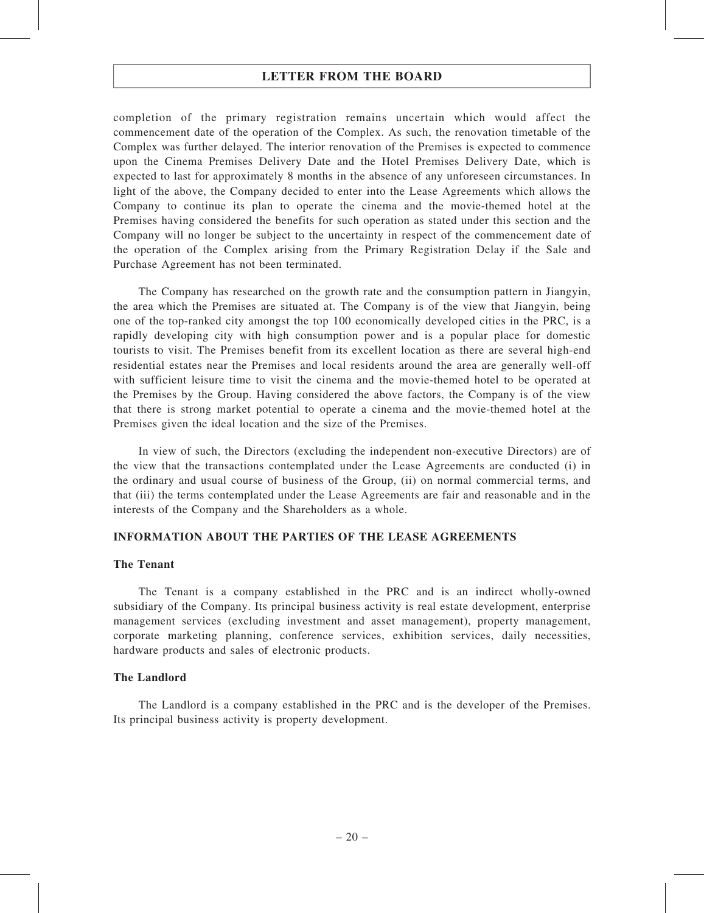completion of the primary registration remains uncertain which would affect the commencement date of the operation of the Complex. As such, the renovation timetable of the Complex was further delayed. The interior renovation of the Premises is expected to commence upon the Cinema Premises Delivery Date and the Hotel Premises Delivery Date, which is expected to last for approximately 8 months in the absence of any unforeseen circumstances. In light of the above, the Company decided to enter into the Lease Agreements which allows the Company to continue its plan to operate the cinema and the movie-themed hotel at the Premises having considered the benefits for such operation as stated under this section and the Company will no longer be subject to the uncertainty in respect of the commencement date of the operation of the Complex arising from the Primary Registration Delay if the Sale and Purchase Agreement has not been terminated.

The Company has researched on the growth rate and the consumption pattern in Jiangyin, the area which the Premises are situated at. The Company is of the view that Jiangyin, being one of the top-ranked city amongst the top 100 economically developed cities in the PRC, is a rapidly developing city with high consumption power and is a popular place for domestic tourists to visit. The Premises benefit from its excellent location as there are several high-end residential estates near the Premises and local residents around the area are generally well-off with sufficient leisure time to visit the cinema and the movie-themed hotel to be operated at the Premises by the Group. Having considered the above factors, the Company is of the view that there is strong market potential to operate a cinema and the movie-themed hotel at the Premises given the ideal location and the size of the Premises.

In view of such, the Directors (excluding the independent non-executive Directors) are of the view that the transactions contemplated under the Lease Agreements are conducted (i) in the ordinary and usual course of business of the Group, (ii) on normal commercial terms, and that (iii) the terms contemplated under the Lease Agreements are fair and reasonable and in the interests of the Company and the Shareholders as a whole.

#### INFORMATION ABOUT THE PARTIES OF THE LEASE AGREEMENTS

#### The Tenant

The Tenant is a company established in the PRC and is an indirect wholly-owned subsidiary of the Company. Its principal business activity is real estate development, enterprise management services (excluding investment and asset management), property management, corporate marketing planning, conference services, exhibition services, daily necessities, hardware products and sales of electronic products.

#### The Landlord

The Landlord is a company established in the PRC and is the developer of the Premises. Its principal business activity is property development.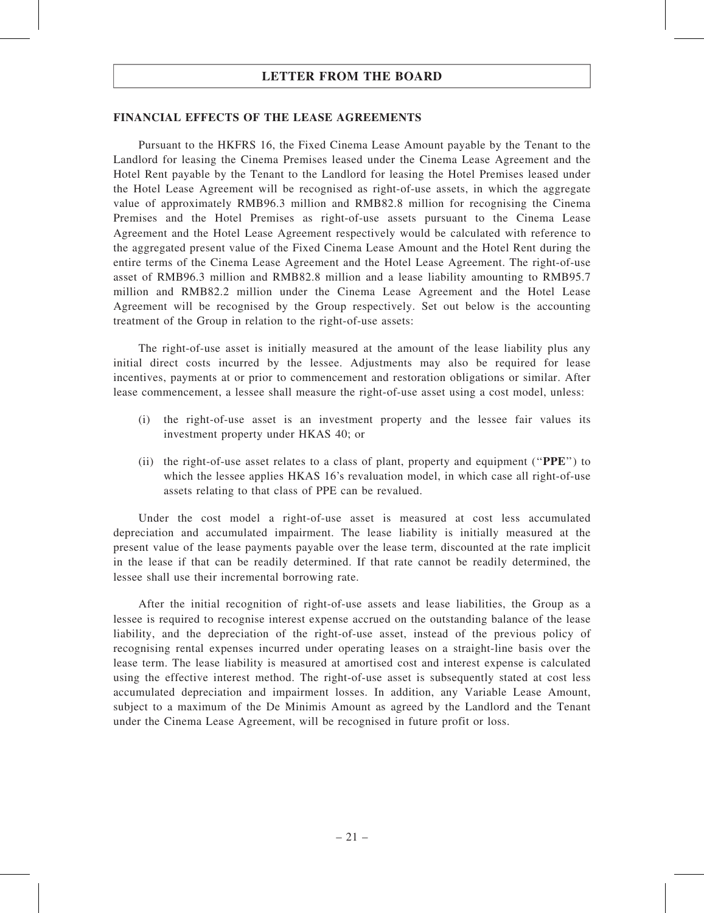#### FINANCIAL EFFECTS OF THE LEASE AGREEMENTS

Pursuant to the HKFRS 16, the Fixed Cinema Lease Amount payable by the Tenant to the Landlord for leasing the Cinema Premises leased under the Cinema Lease Agreement and the Hotel Rent payable by the Tenant to the Landlord for leasing the Hotel Premises leased under the Hotel Lease Agreement will be recognised as right-of-use assets, in which the aggregate value of approximately RMB96.3 million and RMB82.8 million for recognising the Cinema Premises and the Hotel Premises as right-of-use assets pursuant to the Cinema Lease Agreement and the Hotel Lease Agreement respectively would be calculated with reference to the aggregated present value of the Fixed Cinema Lease Amount and the Hotel Rent during the entire terms of the Cinema Lease Agreement and the Hotel Lease Agreement. The right-of-use asset of RMB96.3 million and RMB82.8 million and a lease liability amounting to RMB95.7 million and RMB82.2 million under the Cinema Lease Agreement and the Hotel Lease Agreement will be recognised by the Group respectively. Set out below is the accounting treatment of the Group in relation to the right-of-use assets:

The right-of-use asset is initially measured at the amount of the lease liability plus any initial direct costs incurred by the lessee. Adjustments may also be required for lease incentives, payments at or prior to commencement and restoration obligations or similar. After lease commencement, a lessee shall measure the right-of-use asset using a cost model, unless:

- (i) the right-of-use asset is an investment property and the lessee fair values its investment property under HKAS 40; or
- (ii) the right-of-use asset relates to a class of plant, property and equipment (''PPE'') to which the lessee applies HKAS 16's revaluation model, in which case all right-of-use assets relating to that class of PPE can be revalued.

Under the cost model a right-of-use asset is measured at cost less accumulated depreciation and accumulated impairment. The lease liability is initially measured at the present value of the lease payments payable over the lease term, discounted at the rate implicit in the lease if that can be readily determined. If that rate cannot be readily determined, the lessee shall use their incremental borrowing rate.

After the initial recognition of right-of-use assets and lease liabilities, the Group as a lessee is required to recognise interest expense accrued on the outstanding balance of the lease liability, and the depreciation of the right-of-use asset, instead of the previous policy of recognising rental expenses incurred under operating leases on a straight-line basis over the lease term. The lease liability is measured at amortised cost and interest expense is calculated using the effective interest method. The right-of-use asset is subsequently stated at cost less accumulated depreciation and impairment losses. In addition, any Variable Lease Amount, subject to a maximum of the De Minimis Amount as agreed by the Landlord and the Tenant under the Cinema Lease Agreement, will be recognised in future profit or loss.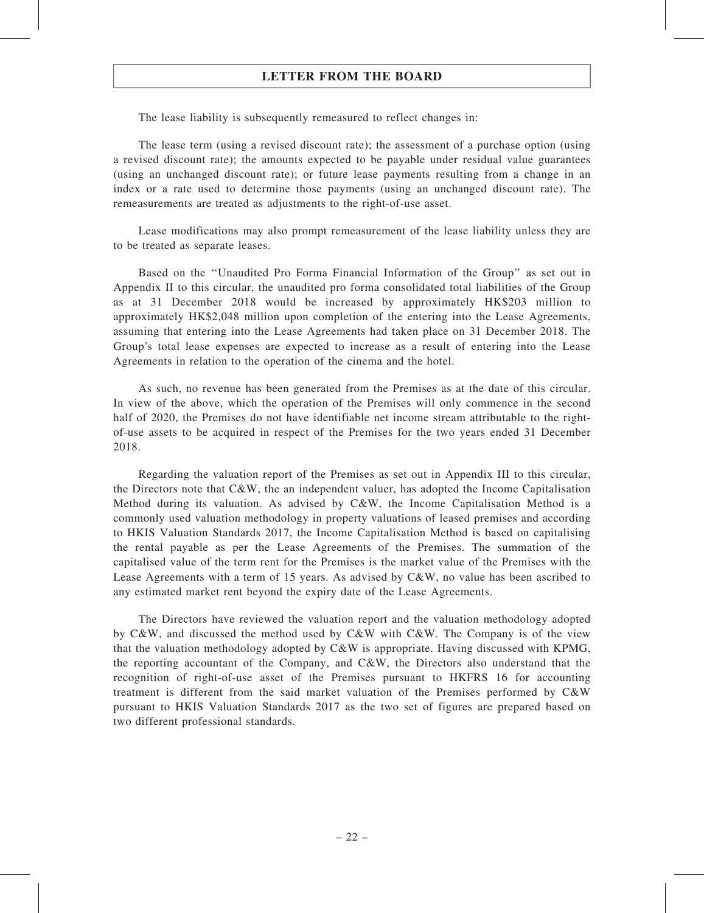The lease liability is subsequently remeasured to reflect changes in:

The lease term (using a revised discount rate); the assessment of a purchase option (using a revised discount rate); the amounts expected to be payable under residual value guarantees (using an unchanged discount rate); or future lease payments resulting from a change in an index or a rate used to determine those payments (using an unchanged discount rate). The remeasurements are treated as adjustments to the right-of-use asset.

Lease modifications may also prompt remeasurement of the lease liability unless they are to be treated as separate leases.

Based on the ''Unaudited Pro Forma Financial Information of the Group'' as set out in Appendix II to this circular, the unaudited pro forma consolidated total liabilities of the Group as at 31 December 2018 would be increased by approximately HK\$203 million to approximately HK\$2,048 million upon completion of the entering into the Lease Agreements, assuming that entering into the Lease Agreements had taken place on 31 December 2018. The Group's total lease expenses are expected to increase as a result of entering into the Lease Agreements in relation to the operation of the cinema and the hotel.

As such, no revenue has been generated from the Premises as at the date of this circular. In view of the above, which the operation of the Premises will only commence in the second half of 2020, the Premises do not have identifiable net income stream attributable to the rightof-use assets to be acquired in respect of the Premises for the two years ended 31 December 2018.

Regarding the valuation report of the Premises as set out in Appendix III to this circular, the Directors note that  $C\&W$ , the an independent valuer, has adopted the Income Capitalisation Method during its valuation. As advised by C&W, the Income Capitalisation Method is a commonly used valuation methodology in property valuations of leased premises and according to HKIS Valuation Standards 2017, the Income Capitalisation Method is based on capitalising the rental payable as per the Lease Agreements of the Premises. The summation of the capitalised value of the term rent for the Premises is the market value of the Premises with the Lease Agreements with a term of 15 years. As advised by C&W, no value has been ascribed to any estimated market rent beyond the expiry date of the Lease Agreements.

The Directors have reviewed the valuation report and the valuation methodology adopted by C&W, and discussed the method used by C&W with C&W. The Company is of the view that the valuation methodology adopted by C&W is appropriate. Having discussed with KPMG, the reporting accountant of the Company, and C&W, the Directors also understand that the recognition of right-of-use asset of the Premises pursuant to HKFRS 16 for accounting treatment is different from the said market valuation of the Premises performed by C&W pursuant to HKIS Valuation Standards 2017 as the two set of figures are prepared based on two different professional standards.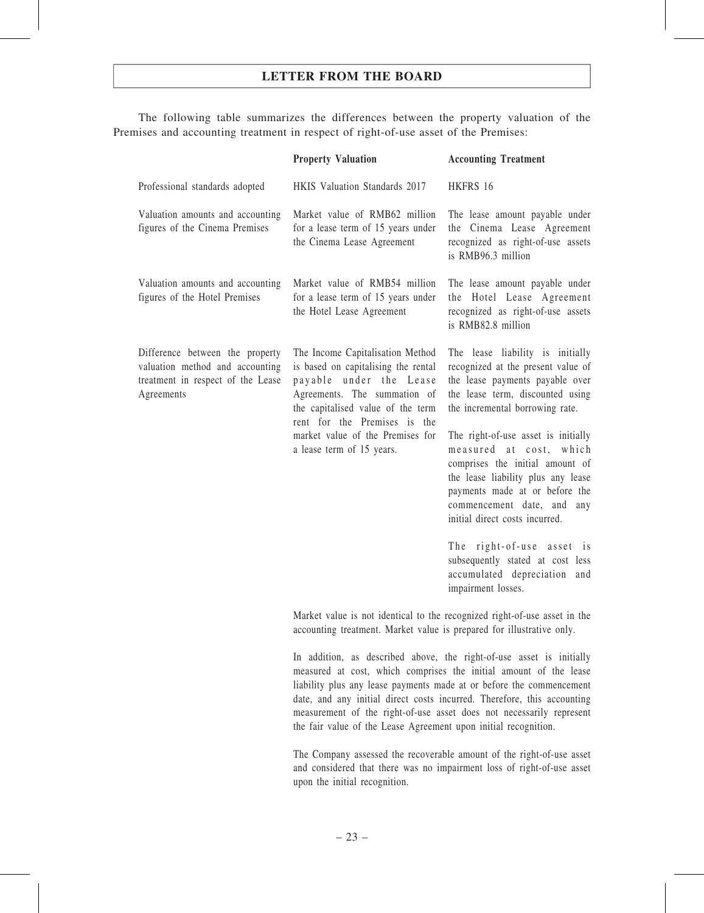The following table summarizes the differences between the property valuation of the Premises and accounting treatment in respect of right-of-use asset of the Premises:

|                                                                                                                       | <b>Property Valuation</b>                                                                                                                                                                                                                                                | <b>Accounting Treatment</b>                                                                                                                                                                                                                                                                                                                                                                                                                                                                                                                             |
|-----------------------------------------------------------------------------------------------------------------------|--------------------------------------------------------------------------------------------------------------------------------------------------------------------------------------------------------------------------------------------------------------------------|---------------------------------------------------------------------------------------------------------------------------------------------------------------------------------------------------------------------------------------------------------------------------------------------------------------------------------------------------------------------------------------------------------------------------------------------------------------------------------------------------------------------------------------------------------|
| Professional standards adopted                                                                                        | HKIS Valuation Standards 2017                                                                                                                                                                                                                                            | HKFRS 16                                                                                                                                                                                                                                                                                                                                                                                                                                                                                                                                                |
| Valuation amounts and accounting<br>figures of the Cinema Premises                                                    | Market value of RMB62 million<br>for a lease term of 15 years under<br>the Cinema Lease Agreement                                                                                                                                                                        | The lease amount payable under<br>the Cinema Lease Agreement<br>recognized as right-of-use assets<br>is RMB96.3 million                                                                                                                                                                                                                                                                                                                                                                                                                                 |
| Valuation amounts and accounting<br>figures of the Hotel Premises                                                     | Market value of RMB54 million<br>for a lease term of 15 years under<br>the Hotel Lease Agreement                                                                                                                                                                         | The lease amount payable under<br>the Hotel Lease Agreement<br>recognized as right-of-use assets<br>is RMB82.8 million                                                                                                                                                                                                                                                                                                                                                                                                                                  |
| Difference between the property<br>valuation method and accounting<br>treatment in respect of the Lease<br>Agreements | The Income Capitalisation Method<br>is based on capitalising the rental<br>payable under the Lease<br>Agreements. The summation of<br>the capitalised value of the term<br>rent for the Premises is the<br>market value of the Premises for<br>a lease term of 15 years. | The lease liability is initially<br>recognized at the present value of<br>the lease payments payable over<br>the lease term, discounted using<br>the incremental borrowing rate.<br>The right-of-use asset is initially<br>measured at cost,<br>which<br>comprises the initial amount of<br>the lease liability plus any lease<br>payments made at or before the<br>commencement date, and any<br>initial direct costs incurred.<br>The right-of-use asset is<br>subsequently stated at cost less<br>accumulated depreciation and<br>impairment losses. |
|                                                                                                                       | Market value is not identical to the recognized right-of-use asset in the<br>accounting treatment. Market value is prepared for illustrative only.                                                                                                                       |                                                                                                                                                                                                                                                                                                                                                                                                                                                                                                                                                         |

In addition, as described above, the right-of-use asset is initially measured at cost, which comprises the initial amount of the lease liability plus any lease payments made at or before the commencement date, and any initial direct costs incurred. Therefore, this accounting measurement of the right-of-use asset does not necessarily represent the fair value of the Lease Agreement upon initial recognition.

The Company assessed the recoverable amount of the right-of-use asset and considered that there was no impairment loss of right-of-use asset upon the initial recognition.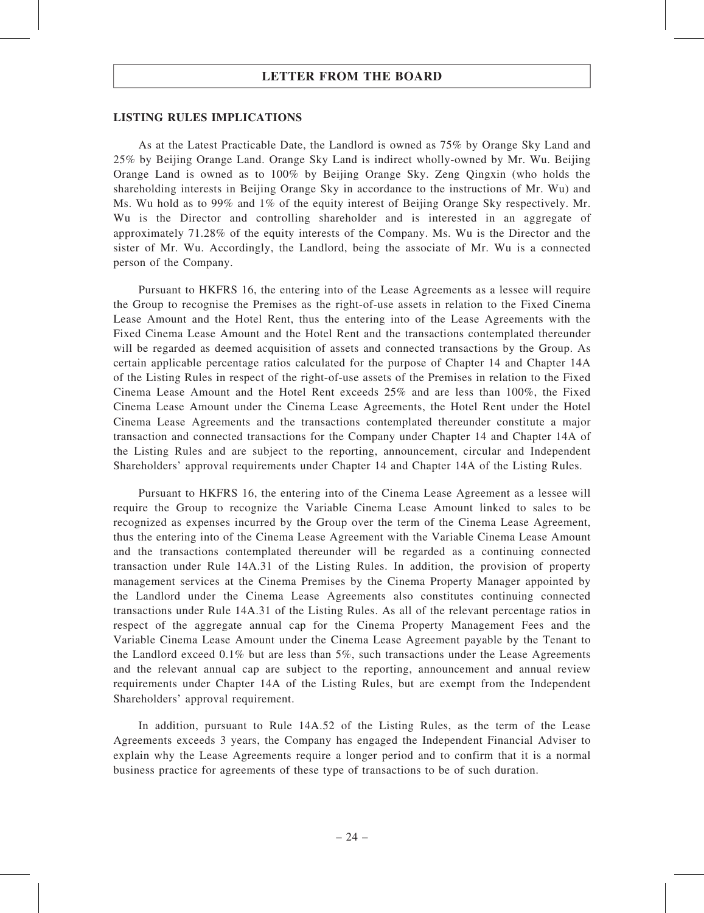#### LISTING RULES IMPLICATIONS

As at the Latest Practicable Date, the Landlord is owned as 75% by Orange Sky Land and 25% by Beijing Orange Land. Orange Sky Land is indirect wholly-owned by Mr. Wu. Beijing Orange Land is owned as to 100% by Beijing Orange Sky. Zeng Qingxin (who holds the shareholding interests in Beijing Orange Sky in accordance to the instructions of Mr. Wu) and Ms. Wu hold as to 99% and 1% of the equity interest of Beijing Orange Sky respectively. Mr. Wu is the Director and controlling shareholder and is interested in an aggregate of approximately 71.28% of the equity interests of the Company. Ms. Wu is the Director and the sister of Mr. Wu. Accordingly, the Landlord, being the associate of Mr. Wu is a connected person of the Company.

Pursuant to HKFRS 16, the entering into of the Lease Agreements as a lessee will require the Group to recognise the Premises as the right-of-use assets in relation to the Fixed Cinema Lease Amount and the Hotel Rent, thus the entering into of the Lease Agreements with the Fixed Cinema Lease Amount and the Hotel Rent and the transactions contemplated thereunder will be regarded as deemed acquisition of assets and connected transactions by the Group. As certain applicable percentage ratios calculated for the purpose of Chapter 14 and Chapter 14A of the Listing Rules in respect of the right-of-use assets of the Premises in relation to the Fixed Cinema Lease Amount and the Hotel Rent exceeds 25% and are less than 100%, the Fixed Cinema Lease Amount under the Cinema Lease Agreements, the Hotel Rent under the Hotel Cinema Lease Agreements and the transactions contemplated thereunder constitute a major transaction and connected transactions for the Company under Chapter 14 and Chapter 14A of the Listing Rules and are subject to the reporting, announcement, circular and Independent Shareholders' approval requirements under Chapter 14 and Chapter 14A of the Listing Rules.

Pursuant to HKFRS 16, the entering into of the Cinema Lease Agreement as a lessee will require the Group to recognize the Variable Cinema Lease Amount linked to sales to be recognized as expenses incurred by the Group over the term of the Cinema Lease Agreement, thus the entering into of the Cinema Lease Agreement with the Variable Cinema Lease Amount and the transactions contemplated thereunder will be regarded as a continuing connected transaction under Rule 14A.31 of the Listing Rules. In addition, the provision of property management services at the Cinema Premises by the Cinema Property Manager appointed by the Landlord under the Cinema Lease Agreements also constitutes continuing connected transactions under Rule 14A.31 of the Listing Rules. As all of the relevant percentage ratios in respect of the aggregate annual cap for the Cinema Property Management Fees and the Variable Cinema Lease Amount under the Cinema Lease Agreement payable by the Tenant to the Landlord exceed 0.1% but are less than 5%, such transactions under the Lease Agreements and the relevant annual cap are subject to the reporting, announcement and annual review requirements under Chapter 14A of the Listing Rules, but are exempt from the Independent Shareholders' approval requirement.

In addition, pursuant to Rule 14A.52 of the Listing Rules, as the term of the Lease Agreements exceeds 3 years, the Company has engaged the Independent Financial Adviser to explain why the Lease Agreements require a longer period and to confirm that it is a normal business practice for agreements of these type of transactions to be of such duration.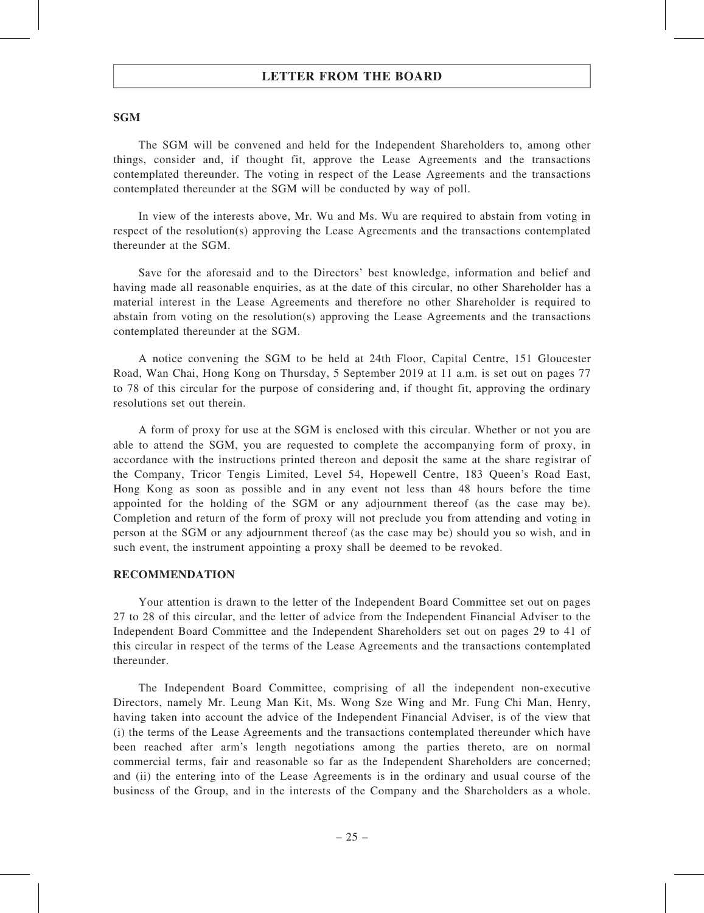#### **SGM**

The SGM will be convened and held for the Independent Shareholders to, among other things, consider and, if thought fit, approve the Lease Agreements and the transactions contemplated thereunder. The voting in respect of the Lease Agreements and the transactions contemplated thereunder at the SGM will be conducted by way of poll.

In view of the interests above, Mr. Wu and Ms. Wu are required to abstain from voting in respect of the resolution(s) approving the Lease Agreements and the transactions contemplated thereunder at the SGM.

Save for the aforesaid and to the Directors' best knowledge, information and belief and having made all reasonable enquiries, as at the date of this circular, no other Shareholder has a material interest in the Lease Agreements and therefore no other Shareholder is required to abstain from voting on the resolution(s) approving the Lease Agreements and the transactions contemplated thereunder at the SGM.

A notice convening the SGM to be held at 24th Floor, Capital Centre, 151 Gloucester Road, Wan Chai, Hong Kong on Thursday, 5 September 2019 at 11 a.m. is set out on pages 77 to 78 of this circular for the purpose of considering and, if thought fit, approving the ordinary resolutions set out therein.

A form of proxy for use at the SGM is enclosed with this circular. Whether or not you are able to attend the SGM, you are requested to complete the accompanying form of proxy, in accordance with the instructions printed thereon and deposit the same at the share registrar of the Company, Tricor Tengis Limited, Level 54, Hopewell Centre, 183 Queen's Road East, Hong Kong as soon as possible and in any event not less than 48 hours before the time appointed for the holding of the SGM or any adjournment thereof (as the case may be). Completion and return of the form of proxy will not preclude you from attending and voting in person at the SGM or any adjournment thereof (as the case may be) should you so wish, and in such event, the instrument appointing a proxy shall be deemed to be revoked.

#### **RECOMMENDATION**

Your attention is drawn to the letter of the Independent Board Committee set out on pages 27 to 28 of this circular, and the letter of advice from the Independent Financial Adviser to the Independent Board Committee and the Independent Shareholders set out on pages 29 to 41 of this circular in respect of the terms of the Lease Agreements and the transactions contemplated thereunder.

The Independent Board Committee, comprising of all the independent non-executive Directors, namely Mr. Leung Man Kit, Ms. Wong Sze Wing and Mr. Fung Chi Man, Henry, having taken into account the advice of the Independent Financial Adviser, is of the view that (i) the terms of the Lease Agreements and the transactions contemplated thereunder which have been reached after arm's length negotiations among the parties thereto, are on normal commercial terms, fair and reasonable so far as the Independent Shareholders are concerned; and (ii) the entering into of the Lease Agreements is in the ordinary and usual course of the business of the Group, and in the interests of the Company and the Shareholders as a whole.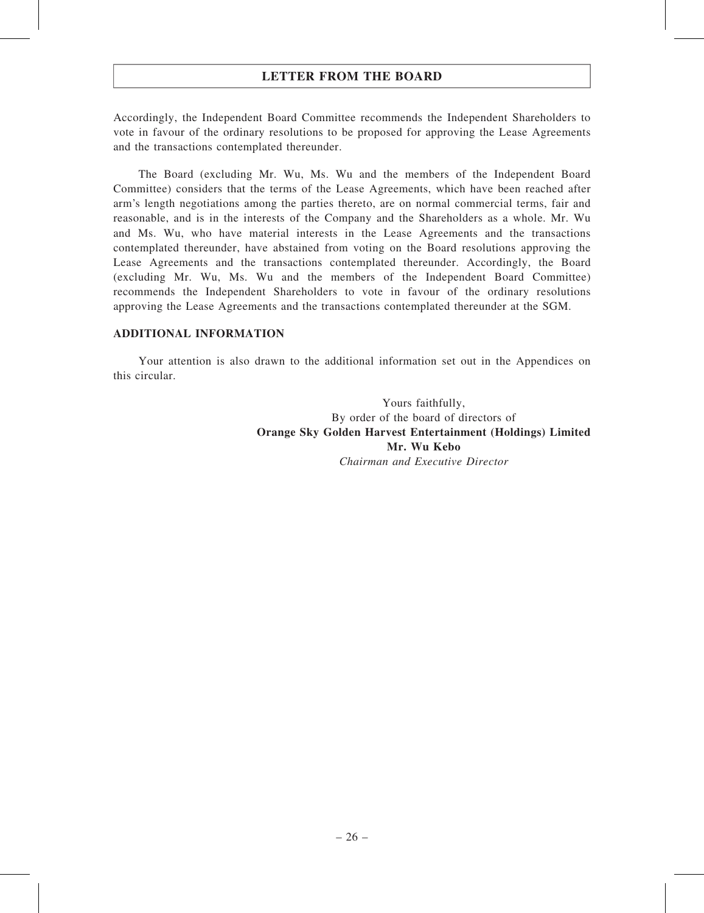Accordingly, the Independent Board Committee recommends the Independent Shareholders to vote in favour of the ordinary resolutions to be proposed for approving the Lease Agreements and the transactions contemplated thereunder.

The Board (excluding Mr. Wu, Ms. Wu and the members of the Independent Board Committee) considers that the terms of the Lease Agreements, which have been reached after arm's length negotiations among the parties thereto, are on normal commercial terms, fair and reasonable, and is in the interests of the Company and the Shareholders as a whole. Mr. Wu and Ms. Wu, who have material interests in the Lease Agreements and the transactions contemplated thereunder, have abstained from voting on the Board resolutions approving the Lease Agreements and the transactions contemplated thereunder. Accordingly, the Board (excluding Mr. Wu, Ms. Wu and the members of the Independent Board Committee) recommends the Independent Shareholders to vote in favour of the ordinary resolutions approving the Lease Agreements and the transactions contemplated thereunder at the SGM.

#### ADDITIONAL INFORMATION

Your attention is also drawn to the additional information set out in the Appendices on this circular.

> Yours faithfully, By order of the board of directors of Orange Sky Golden Harvest Entertainment (Holdings) Limited Mr. Wu Kebo Chairman and Executive Director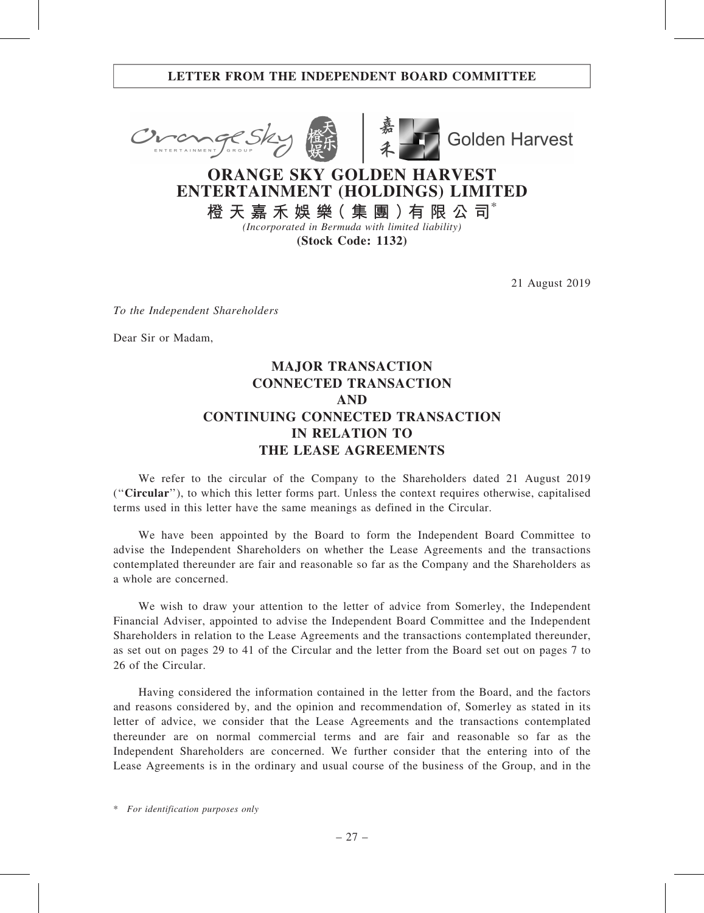## LETTER FROM THE INDEPENDENT BOARD COMMITTEE





**Golden Harvest** 

# ORANGE SKY GOLDEN HARVEST ENTERTAINMENT (HOLDINGS) LIMITED

橙 天 嘉 禾 娛 樂( 集 團 )有 限 公 司\* (Incorporated in Bermuda with limited liability)

(Stock Code: 1132)

21 August 2019

To the Independent Shareholders

Dear Sir or Madam,

# MAJOR TRANSACTION CONNECTED TRANSACTION AND CONTINUING CONNECTED TRANSACTION IN RELATION TO THE LEASE AGREEMENTS

We refer to the circular of the Company to the Shareholders dated 21 August 2019 (''Circular''), to which this letter forms part. Unless the context requires otherwise, capitalised terms used in this letter have the same meanings as defined in the Circular.

We have been appointed by the Board to form the Independent Board Committee to advise the Independent Shareholders on whether the Lease Agreements and the transactions contemplated thereunder are fair and reasonable so far as the Company and the Shareholders as a whole are concerned.

We wish to draw your attention to the letter of advice from Somerley, the Independent Financial Adviser, appointed to advise the Independent Board Committee and the Independent Shareholders in relation to the Lease Agreements and the transactions contemplated thereunder, as set out on pages 29 to 41 of the Circular and the letter from the Board set out on pages 7 to 26 of the Circular.

Having considered the information contained in the letter from the Board, and the factors and reasons considered by, and the opinion and recommendation of, Somerley as stated in its letter of advice, we consider that the Lease Agreements and the transactions contemplated thereunder are on normal commercial terms and are fair and reasonable so far as the Independent Shareholders are concerned. We further consider that the entering into of the Lease Agreements is in the ordinary and usual course of the business of the Group, and in the

\* For identification purposes only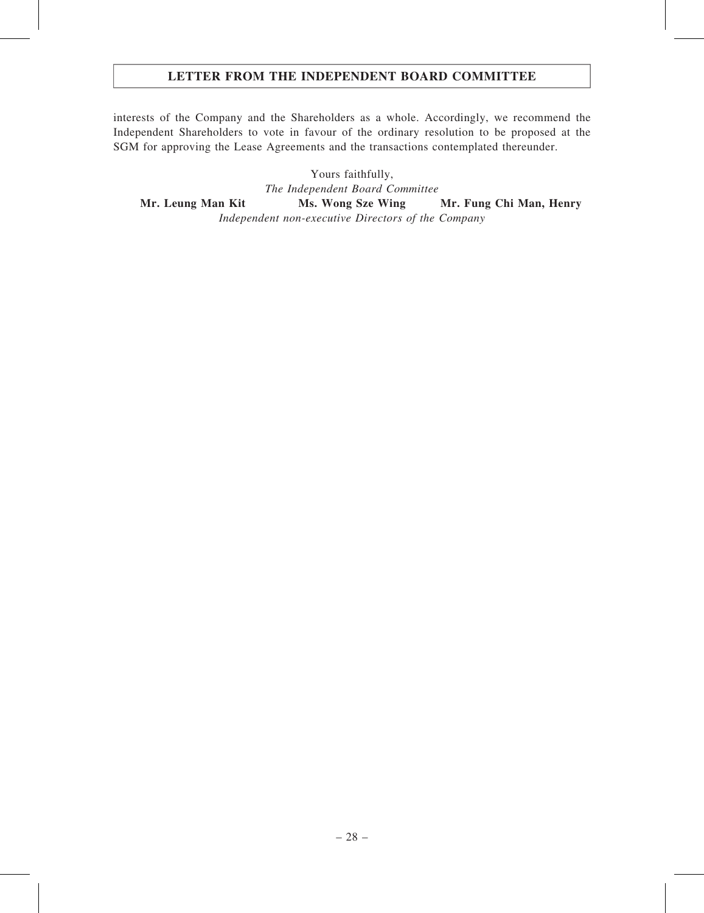## LETTER FROM THE INDEPENDENT BOARD COMMITTEE

interests of the Company and the Shareholders as a whole. Accordingly, we recommend the Independent Shareholders to vote in favour of the ordinary resolution to be proposed at the SGM for approving the Lease Agreements and the transactions contemplated thereunder.

Yours faithfully, The Independent Board Committee Mr. Leung Man Kit Ms. Wong Sze Wing Mr. Fung Chi Man, Henry Independent non-executive Directors of the Company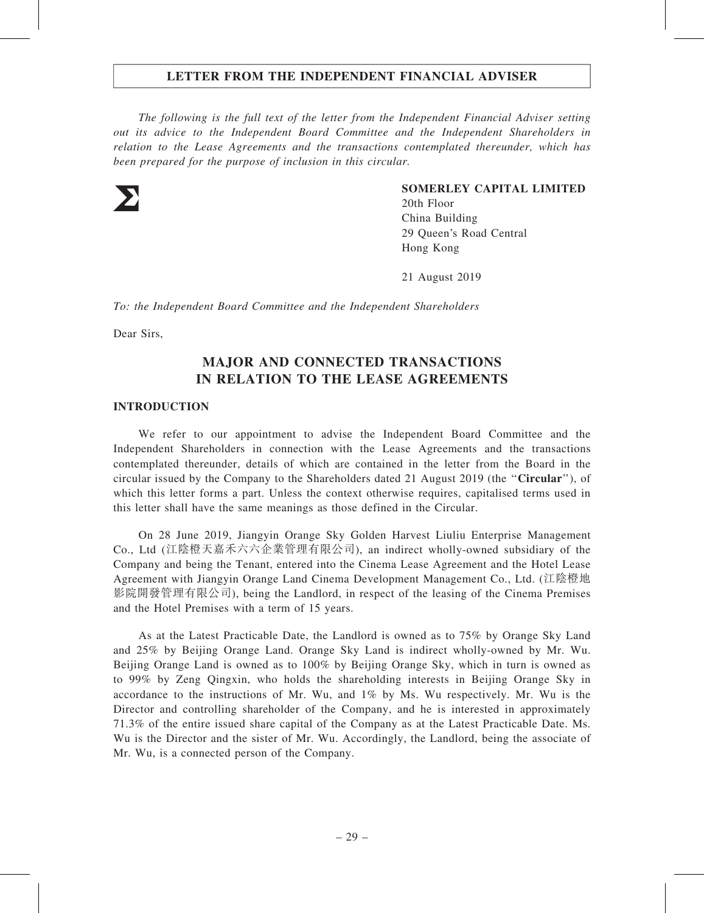The following is the full text of the letter from the Independent Financial Adviser setting out its advice to the Independent Board Committee and the Independent Shareholders in relation to the Lease Agreements and the transactions contemplated thereunder, which has been prepared for the purpose of inclusion in this circular.



#### SOMERLEY CAPITAL LIMITED

20th Floor China Building 29 Queen's Road Central Hong Kong

21 August 2019

To: the Independent Board Committee and the Independent Shareholders

Dear Sirs,

## MAJOR AND CONNECTED TRANSACTIONS IN RELATION TO THE LEASE AGREEMENTS

#### INTRODUCTION

We refer to our appointment to advise the Independent Board Committee and the Independent Shareholders in connection with the Lease Agreements and the transactions contemplated thereunder, details of which are contained in the letter from the Board in the circular issued by the Company to the Shareholders dated 21 August 2019 (the "**Circular**"), of which this letter forms a part. Unless the context otherwise requires, capitalised terms used in this letter shall have the same meanings as those defined in the Circular.

On 28 June 2019, Jiangyin Orange Sky Golden Harvest Liuliu Enterprise Management Co., Ltd (江陰橙天嘉禾六六企業管理有限公司), an indirect wholly-owned subsidiary of the Company and being the Tenant, entered into the Cinema Lease Agreement and the Hotel Lease Agreement with Jiangyin Orange Land Cinema Development Management Co., Ltd. (江陰橙地 影院開發管理有限公司), being the Landlord, in respect of the leasing of the Cinema Premises and the Hotel Premises with a term of 15 years.

As at the Latest Practicable Date, the Landlord is owned as to 75% by Orange Sky Land and 25% by Beijing Orange Land. Orange Sky Land is indirect wholly-owned by Mr. Wu. Beijing Orange Land is owned as to 100% by Beijing Orange Sky, which in turn is owned as to 99% by Zeng Qingxin, who holds the shareholding interests in Beijing Orange Sky in accordance to the instructions of Mr. Wu, and 1% by Ms. Wu respectively. Mr. Wu is the Director and controlling shareholder of the Company, and he is interested in approximately 71.3% of the entire issued share capital of the Company as at the Latest Practicable Date. Ms. Wu is the Director and the sister of Mr. Wu. Accordingly, the Landlord, being the associate of Mr. Wu, is a connected person of the Company.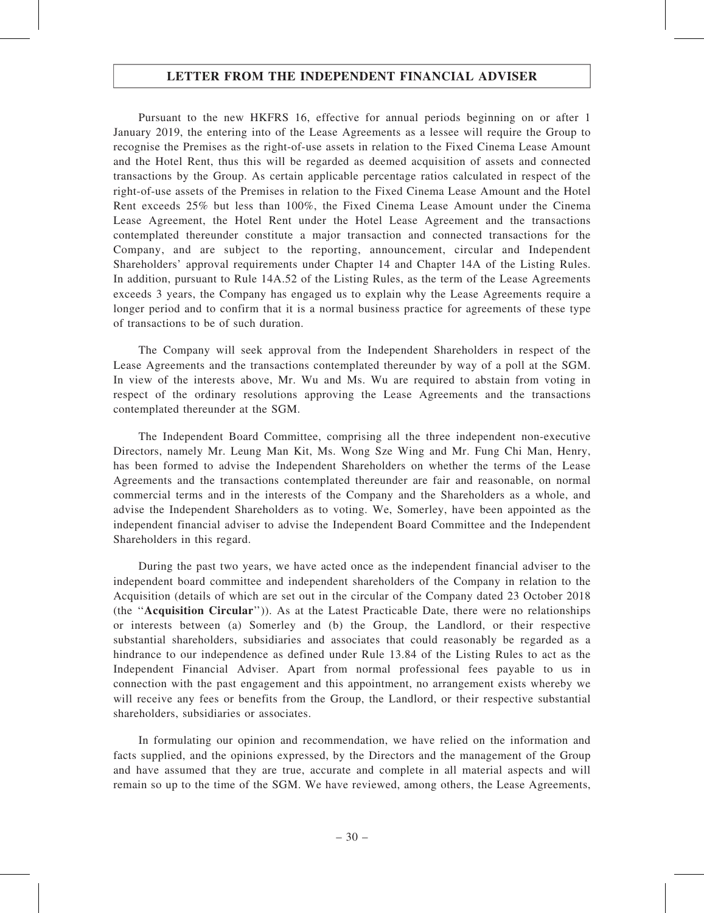Pursuant to the new HKFRS 16, effective for annual periods beginning on or after 1 January 2019, the entering into of the Lease Agreements as a lessee will require the Group to recognise the Premises as the right-of-use assets in relation to the Fixed Cinema Lease Amount and the Hotel Rent, thus this will be regarded as deemed acquisition of assets and connected transactions by the Group. As certain applicable percentage ratios calculated in respect of the right-of-use assets of the Premises in relation to the Fixed Cinema Lease Amount and the Hotel Rent exceeds 25% but less than 100%, the Fixed Cinema Lease Amount under the Cinema Lease Agreement, the Hotel Rent under the Hotel Lease Agreement and the transactions contemplated thereunder constitute a major transaction and connected transactions for the Company, and are subject to the reporting, announcement, circular and Independent Shareholders' approval requirements under Chapter 14 and Chapter 14A of the Listing Rules. In addition, pursuant to Rule 14A.52 of the Listing Rules, as the term of the Lease Agreements exceeds 3 years, the Company has engaged us to explain why the Lease Agreements require a longer period and to confirm that it is a normal business practice for agreements of these type of transactions to be of such duration.

The Company will seek approval from the Independent Shareholders in respect of the Lease Agreements and the transactions contemplated thereunder by way of a poll at the SGM. In view of the interests above, Mr. Wu and Ms. Wu are required to abstain from voting in respect of the ordinary resolutions approving the Lease Agreements and the transactions contemplated thereunder at the SGM.

The Independent Board Committee, comprising all the three independent non-executive Directors, namely Mr. Leung Man Kit, Ms. Wong Sze Wing and Mr. Fung Chi Man, Henry, has been formed to advise the Independent Shareholders on whether the terms of the Lease Agreements and the transactions contemplated thereunder are fair and reasonable, on normal commercial terms and in the interests of the Company and the Shareholders as a whole, and advise the Independent Shareholders as to voting. We, Somerley, have been appointed as the independent financial adviser to advise the Independent Board Committee and the Independent Shareholders in this regard.

During the past two years, we have acted once as the independent financial adviser to the independent board committee and independent shareholders of the Company in relation to the Acquisition (details of which are set out in the circular of the Company dated 23 October 2018 (the ''Acquisition Circular'')). As at the Latest Practicable Date, there were no relationships or interests between (a) Somerley and (b) the Group, the Landlord, or their respective substantial shareholders, subsidiaries and associates that could reasonably be regarded as a hindrance to our independence as defined under Rule 13.84 of the Listing Rules to act as the Independent Financial Adviser. Apart from normal professional fees payable to us in connection with the past engagement and this appointment, no arrangement exists whereby we will receive any fees or benefits from the Group, the Landlord, or their respective substantial shareholders, subsidiaries or associates.

In formulating our opinion and recommendation, we have relied on the information and facts supplied, and the opinions expressed, by the Directors and the management of the Group and have assumed that they are true, accurate and complete in all material aspects and will remain so up to the time of the SGM. We have reviewed, among others, the Lease Agreements,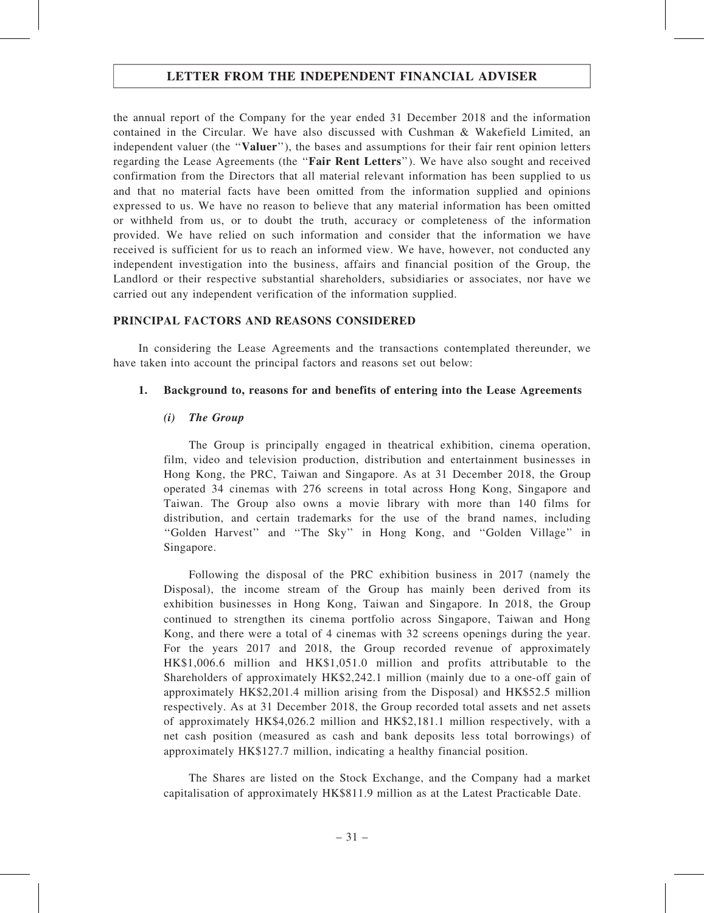the annual report of the Company for the year ended 31 December 2018 and the information contained in the Circular. We have also discussed with Cushman & Wakefield Limited, an independent valuer (the "Valuer"), the bases and assumptions for their fair rent opinion letters regarding the Lease Agreements (the ''Fair Rent Letters''). We have also sought and received confirmation from the Directors that all material relevant information has been supplied to us and that no material facts have been omitted from the information supplied and opinions expressed to us. We have no reason to believe that any material information has been omitted or withheld from us, or to doubt the truth, accuracy or completeness of the information provided. We have relied on such information and consider that the information we have received is sufficient for us to reach an informed view. We have, however, not conducted any independent investigation into the business, affairs and financial position of the Group, the Landlord or their respective substantial shareholders, subsidiaries or associates, nor have we carried out any independent verification of the information supplied.

#### PRINCIPAL FACTORS AND REASONS CONSIDERED

In considering the Lease Agreements and the transactions contemplated thereunder, we have taken into account the principal factors and reasons set out below:

#### 1. Background to, reasons for and benefits of entering into the Lease Agreements

#### (i) The Group

The Group is principally engaged in theatrical exhibition, cinema operation, film, video and television production, distribution and entertainment businesses in Hong Kong, the PRC, Taiwan and Singapore. As at 31 December 2018, the Group operated 34 cinemas with 276 screens in total across Hong Kong, Singapore and Taiwan. The Group also owns a movie library with more than 140 films for distribution, and certain trademarks for the use of the brand names, including ''Golden Harvest'' and ''The Sky'' in Hong Kong, and ''Golden Village'' in Singapore.

Following the disposal of the PRC exhibition business in 2017 (namely the Disposal), the income stream of the Group has mainly been derived from its exhibition businesses in Hong Kong, Taiwan and Singapore. In 2018, the Group continued to strengthen its cinema portfolio across Singapore, Taiwan and Hong Kong, and there were a total of 4 cinemas with 32 screens openings during the year. For the years 2017 and 2018, the Group recorded revenue of approximately HK\$1,006.6 million and HK\$1,051.0 million and profits attributable to the Shareholders of approximately HK\$2,242.1 million (mainly due to a one-off gain of approximately HK\$2,201.4 million arising from the Disposal) and HK\$52.5 million respectively. As at 31 December 2018, the Group recorded total assets and net assets of approximately HK\$4,026.2 million and HK\$2,181.1 million respectively, with a net cash position (measured as cash and bank deposits less total borrowings) of approximately HK\$127.7 million, indicating a healthy financial position.

The Shares are listed on the Stock Exchange, and the Company had a market capitalisation of approximately HK\$811.9 million as at the Latest Practicable Date.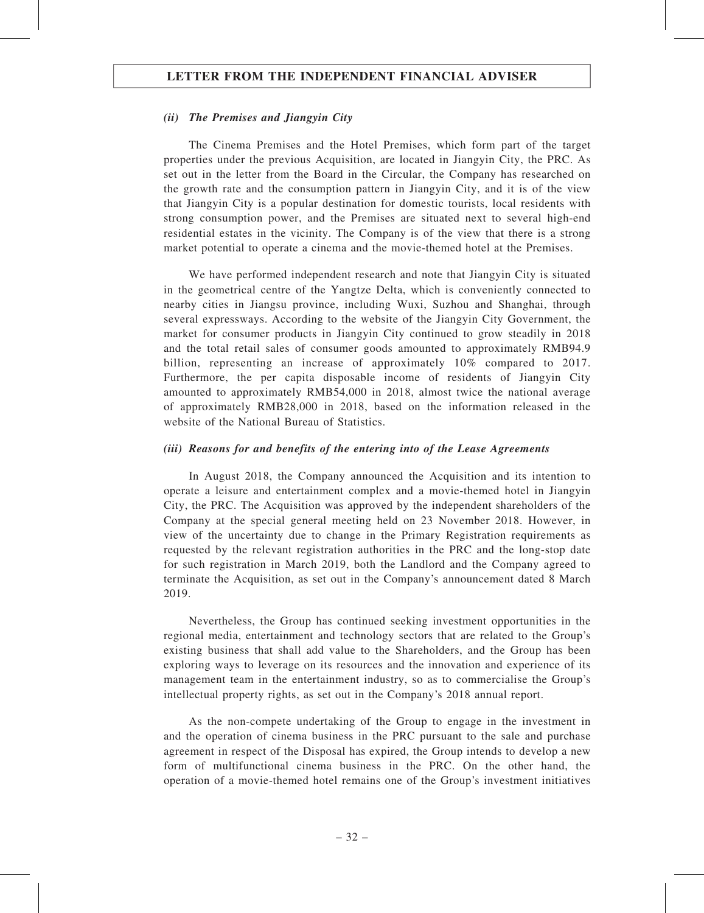#### (ii) The Premises and Jiangyin City

The Cinema Premises and the Hotel Premises, which form part of the target properties under the previous Acquisition, are located in Jiangyin City, the PRC. As set out in the letter from the Board in the Circular, the Company has researched on the growth rate and the consumption pattern in Jiangyin City, and it is of the view that Jiangyin City is a popular destination for domestic tourists, local residents with strong consumption power, and the Premises are situated next to several high-end residential estates in the vicinity. The Company is of the view that there is a strong market potential to operate a cinema and the movie-themed hotel at the Premises.

We have performed independent research and note that Jiangyin City is situated in the geometrical centre of the Yangtze Delta, which is conveniently connected to nearby cities in Jiangsu province, including Wuxi, Suzhou and Shanghai, through several expressways. According to the website of the Jiangyin City Government, the market for consumer products in Jiangyin City continued to grow steadily in 2018 and the total retail sales of consumer goods amounted to approximately RMB94.9 billion, representing an increase of approximately 10% compared to 2017. Furthermore, the per capita disposable income of residents of Jiangyin City amounted to approximately RMB54,000 in 2018, almost twice the national average of approximately RMB28,000 in 2018, based on the information released in the website of the National Bureau of Statistics.

#### (iii) Reasons for and benefits of the entering into of the Lease Agreements

In August 2018, the Company announced the Acquisition and its intention to operate a leisure and entertainment complex and a movie-themed hotel in Jiangyin City, the PRC. The Acquisition was approved by the independent shareholders of the Company at the special general meeting held on 23 November 2018. However, in view of the uncertainty due to change in the Primary Registration requirements as requested by the relevant registration authorities in the PRC and the long-stop date for such registration in March 2019, both the Landlord and the Company agreed to terminate the Acquisition, as set out in the Company's announcement dated 8 March 2019.

Nevertheless, the Group has continued seeking investment opportunities in the regional media, entertainment and technology sectors that are related to the Group's existing business that shall add value to the Shareholders, and the Group has been exploring ways to leverage on its resources and the innovation and experience of its management team in the entertainment industry, so as to commercialise the Group's intellectual property rights, as set out in the Company's 2018 annual report.

As the non-compete undertaking of the Group to engage in the investment in and the operation of cinema business in the PRC pursuant to the sale and purchase agreement in respect of the Disposal has expired, the Group intends to develop a new form of multifunctional cinema business in the PRC. On the other hand, the operation of a movie-themed hotel remains one of the Group's investment initiatives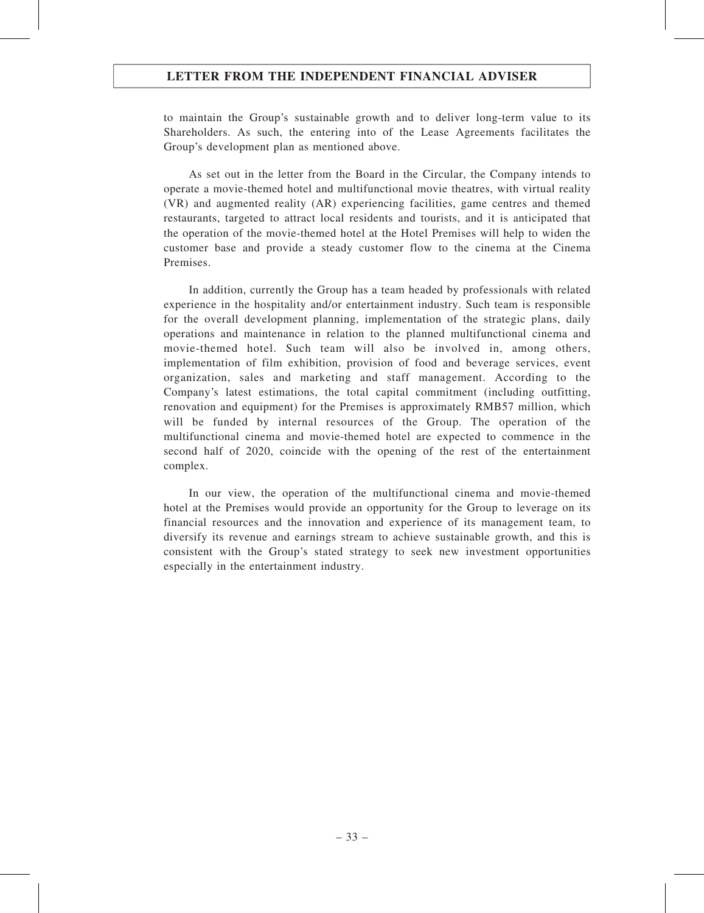to maintain the Group's sustainable growth and to deliver long-term value to its Shareholders. As such, the entering into of the Lease Agreements facilitates the Group's development plan as mentioned above.

As set out in the letter from the Board in the Circular, the Company intends to operate a movie-themed hotel and multifunctional movie theatres, with virtual reality (VR) and augmented reality (AR) experiencing facilities, game centres and themed restaurants, targeted to attract local residents and tourists, and it is anticipated that the operation of the movie-themed hotel at the Hotel Premises will help to widen the customer base and provide a steady customer flow to the cinema at the Cinema Premises.

In addition, currently the Group has a team headed by professionals with related experience in the hospitality and/or entertainment industry. Such team is responsible for the overall development planning, implementation of the strategic plans, daily operations and maintenance in relation to the planned multifunctional cinema and movie-themed hotel. Such team will also be involved in, among others, implementation of film exhibition, provision of food and beverage services, event organization, sales and marketing and staff management. According to the Company's latest estimations, the total capital commitment (including outfitting, renovation and equipment) for the Premises is approximately RMB57 million, which will be funded by internal resources of the Group. The operation of the multifunctional cinema and movie-themed hotel are expected to commence in the second half of 2020, coincide with the opening of the rest of the entertainment complex.

In our view, the operation of the multifunctional cinema and movie-themed hotel at the Premises would provide an opportunity for the Group to leverage on its financial resources and the innovation and experience of its management team, to diversify its revenue and earnings stream to achieve sustainable growth, and this is consistent with the Group's stated strategy to seek new investment opportunities especially in the entertainment industry.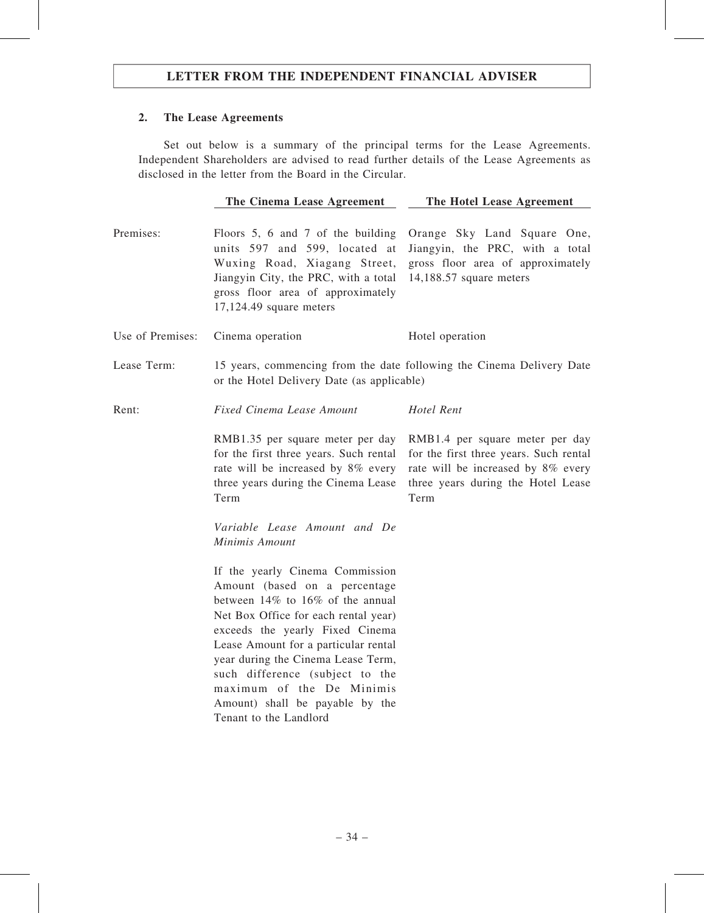## 2. The Lease Agreements

Set out below is a summary of the principal terms for the Lease Agreements. Independent Shareholders are advised to read further details of the Lease Agreements as disclosed in the letter from the Board in the Circular.

|                  | The Cinema Lease Agreement                                                                                                                                                                                                                                                                                                                                       | The Hotel Lease Agreement                                                                                                                                     |
|------------------|------------------------------------------------------------------------------------------------------------------------------------------------------------------------------------------------------------------------------------------------------------------------------------------------------------------------------------------------------------------|---------------------------------------------------------------------------------------------------------------------------------------------------------------|
| Premises:        | Floors 5, 6 and 7 of the building<br>units 597 and 599, located at<br>Wuxing Road, Xiagang Street,<br>Jiangyin City, the PRC, with a total<br>gross floor area of approximately<br>$17,124.49$ square meters                                                                                                                                                     | Orange Sky Land Square One,<br>Jiangyin, the PRC, with a total<br>gross floor area of approximately<br>14,188.57 square meters                                |
| Use of Premises: | Cinema operation                                                                                                                                                                                                                                                                                                                                                 | Hotel operation                                                                                                                                               |
| Lease Term:      | 15 years, commencing from the date following the Cinema Delivery Date<br>or the Hotel Delivery Date (as applicable)                                                                                                                                                                                                                                              |                                                                                                                                                               |
| Rent:            | <b>Fixed Cinema Lease Amount</b>                                                                                                                                                                                                                                                                                                                                 | Hotel Rent                                                                                                                                                    |
|                  | RMB1.35 per square meter per day<br>for the first three years. Such rental<br>rate will be increased by 8% every<br>three years during the Cinema Lease<br>Term                                                                                                                                                                                                  | RMB1.4 per square meter per day<br>for the first three years. Such rental<br>rate will be increased by 8% every<br>three years during the Hotel Lease<br>Term |
|                  | Variable Lease Amount and De<br>Minimis Amount                                                                                                                                                                                                                                                                                                                   |                                                                                                                                                               |
|                  | If the yearly Cinema Commission<br>Amount (based on a percentage<br>between 14% to 16% of the annual<br>Net Box Office for each rental year)<br>exceeds the yearly Fixed Cinema<br>Lease Amount for a particular rental<br>year during the Cinema Lease Term,<br>such difference (subject to the<br>maximum of the De Minimis<br>Amount) shall be payable by the |                                                                                                                                                               |

Tenant to the Landlord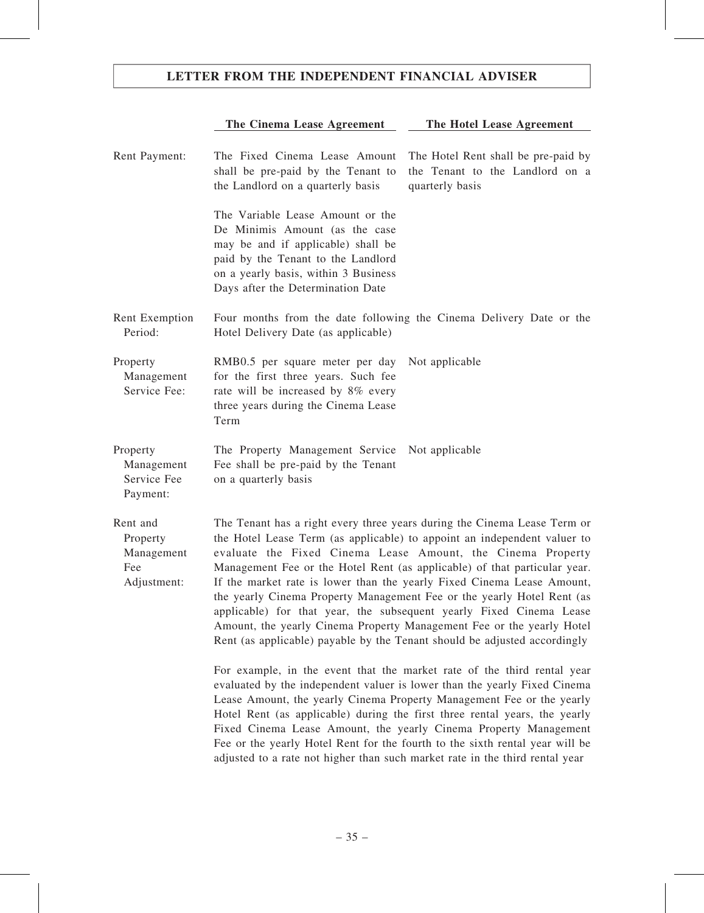# The Cinema Lease Agreement The Hotel Lease Agreement

| Rent Payment:                                            | The Fixed Cinema Lease Amount<br>shall be pre-paid by the Tenant to<br>the Landlord on a quarterly basis                                                                                                                                                                                                                                                                                                                                                                                                                                                                                                                                                                          | The Hotel Rent shall be pre-paid by<br>the Tenant to the Landlord on a<br>quarterly basis |
|----------------------------------------------------------|-----------------------------------------------------------------------------------------------------------------------------------------------------------------------------------------------------------------------------------------------------------------------------------------------------------------------------------------------------------------------------------------------------------------------------------------------------------------------------------------------------------------------------------------------------------------------------------------------------------------------------------------------------------------------------------|-------------------------------------------------------------------------------------------|
|                                                          | The Variable Lease Amount or the<br>De Minimis Amount (as the case<br>may be and if applicable) shall be<br>paid by the Tenant to the Landlord<br>on a yearly basis, within 3 Business<br>Days after the Determination Date                                                                                                                                                                                                                                                                                                                                                                                                                                                       |                                                                                           |
| Rent Exemption<br>Period:                                | Four months from the date following the Cinema Delivery Date or the<br>Hotel Delivery Date (as applicable)                                                                                                                                                                                                                                                                                                                                                                                                                                                                                                                                                                        |                                                                                           |
| Property<br>Management<br>Service Fee:                   | RMB0.5 per square meter per day<br>for the first three years. Such fee<br>rate will be increased by 8% every<br>three years during the Cinema Lease<br>Term                                                                                                                                                                                                                                                                                                                                                                                                                                                                                                                       | Not applicable                                                                            |
| Property<br>Management<br>Service Fee<br>Payment:        | The Property Management Service<br>Fee shall be pre-paid by the Tenant<br>on a quarterly basis                                                                                                                                                                                                                                                                                                                                                                                                                                                                                                                                                                                    | Not applicable                                                                            |
| Rent and<br>Property<br>Management<br>Fee<br>Adjustment: | The Tenant has a right every three years during the Cinema Lease Term or<br>the Hotel Lease Term (as applicable) to appoint an independent valuer to<br>evaluate the Fixed Cinema Lease Amount, the Cinema Property<br>Management Fee or the Hotel Rent (as applicable) of that particular year.<br>If the market rate is lower than the yearly Fixed Cinema Lease Amount,<br>the yearly Cinema Property Management Fee or the yearly Hotel Rent (as<br>applicable) for that year, the subsequent yearly Fixed Cinema Lease<br>Amount, the yearly Cinema Property Management Fee or the yearly Hotel<br>Rent (as applicable) payable by the Tenant should be adjusted accordingly |                                                                                           |
|                                                          | For example, in the event that the market rate of the third rental year<br>evaluated by the independent valuer is lower than the yearly Fixed Cinema<br>Lease Amount, the yearly Cinema Property Management Fee or the yearly<br>Hotel Rent (as applicable) during the first three rental years, the yearly<br>Fixed Cinema Lease Amount, the yearly Cinema Property Management<br>Fee or the yearly Hotel Rent for the fourth to the sixth rental year will be<br>adjusted to a rate not higher than such market rate in the third rental year                                                                                                                                   |                                                                                           |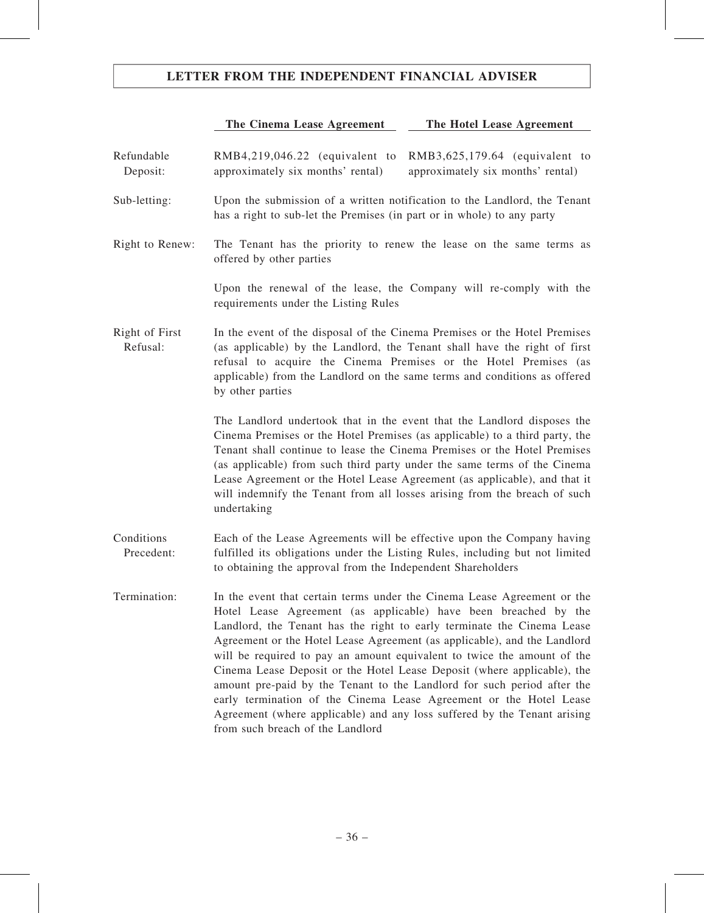# The Cinema Lease Agreement The Hotel Lease Agreement

| Refundable<br>Deposit:     | RMB4,219,046.22 (equivalent to<br>RMB3,625,179.64 (equivalent to<br>approximately six months' rental)<br>approximately six months' rental)                                                                                                                                                                                                                                                                                                                                                                                                                                                                                                                                                                              |
|----------------------------|-------------------------------------------------------------------------------------------------------------------------------------------------------------------------------------------------------------------------------------------------------------------------------------------------------------------------------------------------------------------------------------------------------------------------------------------------------------------------------------------------------------------------------------------------------------------------------------------------------------------------------------------------------------------------------------------------------------------------|
| Sub-letting:               | Upon the submission of a written notification to the Landlord, the Tenant<br>has a right to sub-let the Premises (in part or in whole) to any party                                                                                                                                                                                                                                                                                                                                                                                                                                                                                                                                                                     |
| Right to Renew:            | The Tenant has the priority to renew the lease on the same terms as<br>offered by other parties                                                                                                                                                                                                                                                                                                                                                                                                                                                                                                                                                                                                                         |
|                            | Upon the renewal of the lease, the Company will re-comply with the<br>requirements under the Listing Rules                                                                                                                                                                                                                                                                                                                                                                                                                                                                                                                                                                                                              |
| Right of First<br>Refusal: | In the event of the disposal of the Cinema Premises or the Hotel Premises<br>(as applicable) by the Landlord, the Tenant shall have the right of first<br>refusal to acquire the Cinema Premises or the Hotel Premises (as<br>applicable) from the Landlord on the same terms and conditions as offered<br>by other parties                                                                                                                                                                                                                                                                                                                                                                                             |
|                            | The Landlord undertook that in the event that the Landlord disposes the<br>Cinema Premises or the Hotel Premises (as applicable) to a third party, the<br>Tenant shall continue to lease the Cinema Premises or the Hotel Premises<br>(as applicable) from such third party under the same terms of the Cinema<br>Lease Agreement or the Hotel Lease Agreement (as applicable), and that it<br>will indemnify the Tenant from all losses arising from the breach of such<br>undertaking                                                                                                                                                                                                                                 |
| Conditions<br>Precedent:   | Each of the Lease Agreements will be effective upon the Company having<br>fulfilled its obligations under the Listing Rules, including but not limited<br>to obtaining the approval from the Independent Shareholders                                                                                                                                                                                                                                                                                                                                                                                                                                                                                                   |
| Termination:               | In the event that certain terms under the Cinema Lease Agreement or the<br>Hotel Lease Agreement (as applicable) have been breached by the<br>Landlord, the Tenant has the right to early terminate the Cinema Lease<br>Agreement or the Hotel Lease Agreement (as applicable), and the Landlord<br>will be required to pay an amount equivalent to twice the amount of the<br>Cinema Lease Deposit or the Hotel Lease Deposit (where applicable), the<br>amount pre-paid by the Tenant to the Landlord for such period after the<br>early termination of the Cinema Lease Agreement or the Hotel Lease<br>Agreement (where applicable) and any loss suffered by the Tenant arising<br>from such breach of the Landlord |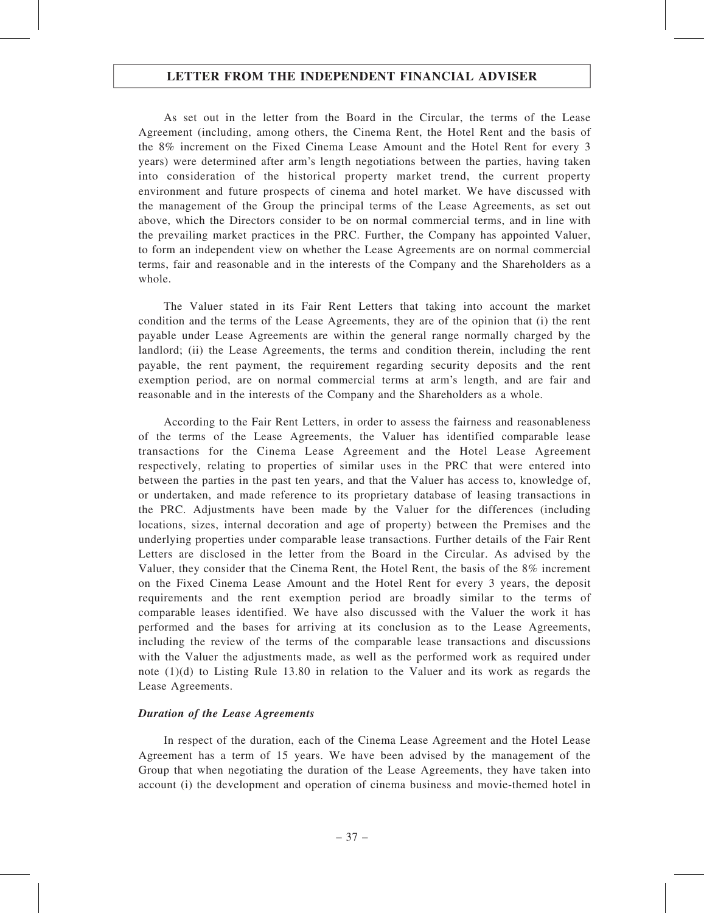As set out in the letter from the Board in the Circular, the terms of the Lease Agreement (including, among others, the Cinema Rent, the Hotel Rent and the basis of the 8% increment on the Fixed Cinema Lease Amount and the Hotel Rent for every 3 years) were determined after arm's length negotiations between the parties, having taken into consideration of the historical property market trend, the current property environment and future prospects of cinema and hotel market. We have discussed with the management of the Group the principal terms of the Lease Agreements, as set out above, which the Directors consider to be on normal commercial terms, and in line with the prevailing market practices in the PRC. Further, the Company has appointed Valuer, to form an independent view on whether the Lease Agreements are on normal commercial terms, fair and reasonable and in the interests of the Company and the Shareholders as a whole.

The Valuer stated in its Fair Rent Letters that taking into account the market condition and the terms of the Lease Agreements, they are of the opinion that (i) the rent payable under Lease Agreements are within the general range normally charged by the landlord; (ii) the Lease Agreements, the terms and condition therein, including the rent payable, the rent payment, the requirement regarding security deposits and the rent exemption period, are on normal commercial terms at arm's length, and are fair and reasonable and in the interests of the Company and the Shareholders as a whole.

According to the Fair Rent Letters, in order to assess the fairness and reasonableness of the terms of the Lease Agreements, the Valuer has identified comparable lease transactions for the Cinema Lease Agreement and the Hotel Lease Agreement respectively, relating to properties of similar uses in the PRC that were entered into between the parties in the past ten years, and that the Valuer has access to, knowledge of, or undertaken, and made reference to its proprietary database of leasing transactions in the PRC. Adjustments have been made by the Valuer for the differences (including locations, sizes, internal decoration and age of property) between the Premises and the underlying properties under comparable lease transactions. Further details of the Fair Rent Letters are disclosed in the letter from the Board in the Circular. As advised by the Valuer, they consider that the Cinema Rent, the Hotel Rent, the basis of the 8% increment on the Fixed Cinema Lease Amount and the Hotel Rent for every 3 years, the deposit requirements and the rent exemption period are broadly similar to the terms of comparable leases identified. We have also discussed with the Valuer the work it has performed and the bases for arriving at its conclusion as to the Lease Agreements, including the review of the terms of the comparable lease transactions and discussions with the Valuer the adjustments made, as well as the performed work as required under note (1)(d) to Listing Rule 13.80 in relation to the Valuer and its work as regards the Lease Agreements.

### Duration of the Lease Agreements

In respect of the duration, each of the Cinema Lease Agreement and the Hotel Lease Agreement has a term of 15 years. We have been advised by the management of the Group that when negotiating the duration of the Lease Agreements, they have taken into account (i) the development and operation of cinema business and movie-themed hotel in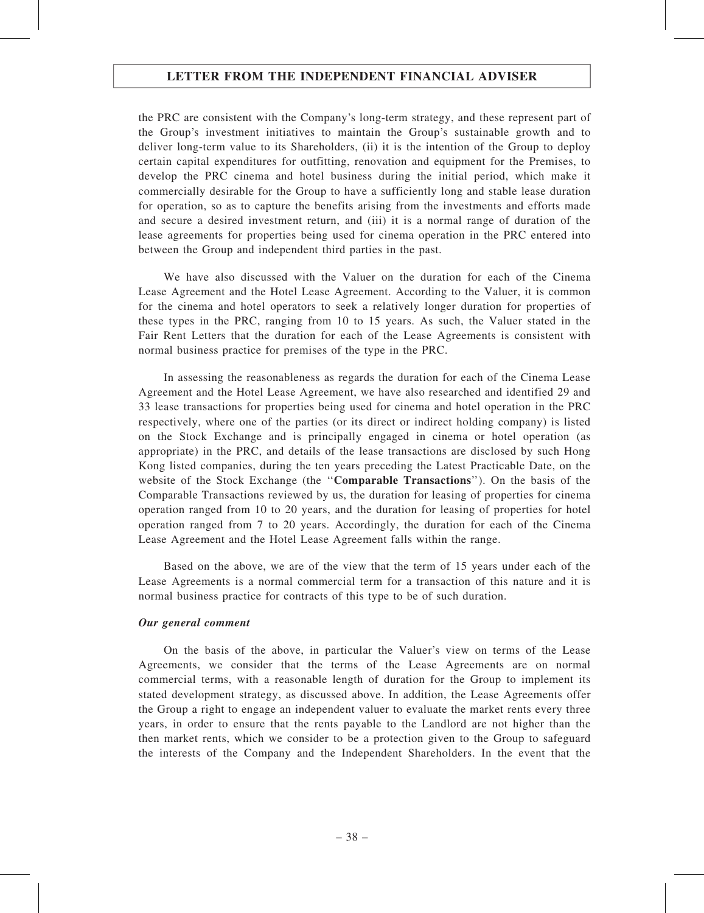the PRC are consistent with the Company's long-term strategy, and these represent part of the Group's investment initiatives to maintain the Group's sustainable growth and to deliver long-term value to its Shareholders, (ii) it is the intention of the Group to deploy certain capital expenditures for outfitting, renovation and equipment for the Premises, to develop the PRC cinema and hotel business during the initial period, which make it commercially desirable for the Group to have a sufficiently long and stable lease duration for operation, so as to capture the benefits arising from the investments and efforts made and secure a desired investment return, and (iii) it is a normal range of duration of the lease agreements for properties being used for cinema operation in the PRC entered into between the Group and independent third parties in the past.

We have also discussed with the Valuer on the duration for each of the Cinema Lease Agreement and the Hotel Lease Agreement. According to the Valuer, it is common for the cinema and hotel operators to seek a relatively longer duration for properties of these types in the PRC, ranging from 10 to 15 years. As such, the Valuer stated in the Fair Rent Letters that the duration for each of the Lease Agreements is consistent with normal business practice for premises of the type in the PRC.

In assessing the reasonableness as regards the duration for each of the Cinema Lease Agreement and the Hotel Lease Agreement, we have also researched and identified 29 and 33 lease transactions for properties being used for cinema and hotel operation in the PRC respectively, where one of the parties (or its direct or indirect holding company) is listed on the Stock Exchange and is principally engaged in cinema or hotel operation (as appropriate) in the PRC, and details of the lease transactions are disclosed by such Hong Kong listed companies, during the ten years preceding the Latest Practicable Date, on the website of the Stock Exchange (the "**Comparable Transactions**"). On the basis of the Comparable Transactions reviewed by us, the duration for leasing of properties for cinema operation ranged from 10 to 20 years, and the duration for leasing of properties for hotel operation ranged from 7 to 20 years. Accordingly, the duration for each of the Cinema Lease Agreement and the Hotel Lease Agreement falls within the range.

Based on the above, we are of the view that the term of 15 years under each of the Lease Agreements is a normal commercial term for a transaction of this nature and it is normal business practice for contracts of this type to be of such duration.

#### Our general comment

On the basis of the above, in particular the Valuer's view on terms of the Lease Agreements, we consider that the terms of the Lease Agreements are on normal commercial terms, with a reasonable length of duration for the Group to implement its stated development strategy, as discussed above. In addition, the Lease Agreements offer the Group a right to engage an independent valuer to evaluate the market rents every three years, in order to ensure that the rents payable to the Landlord are not higher than the then market rents, which we consider to be a protection given to the Group to safeguard the interests of the Company and the Independent Shareholders. In the event that the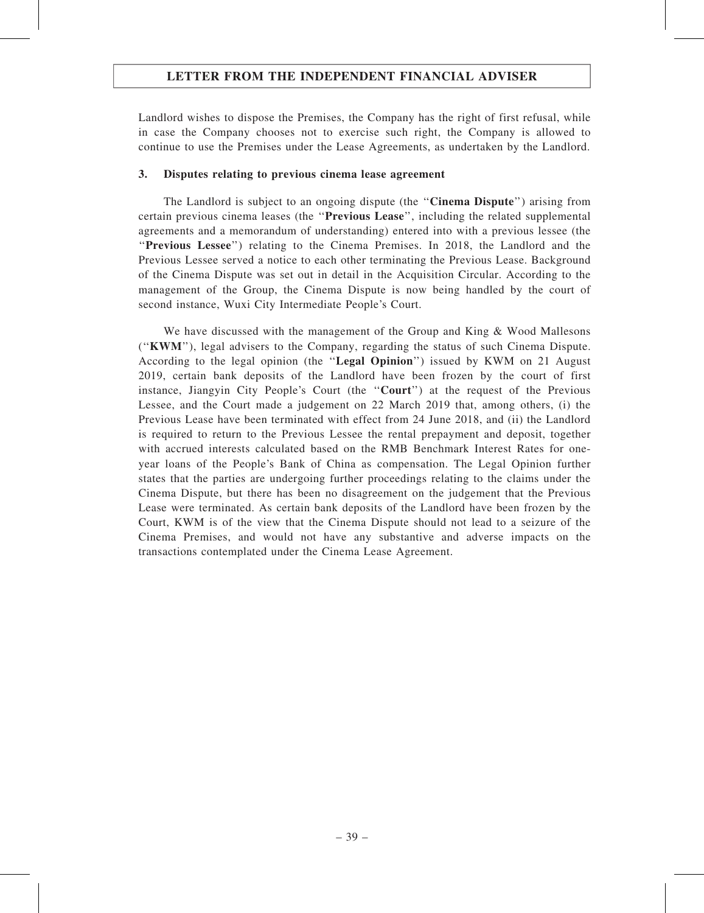Landlord wishes to dispose the Premises, the Company has the right of first refusal, while in case the Company chooses not to exercise such right, the Company is allowed to continue to use the Premises under the Lease Agreements, as undertaken by the Landlord.

### 3. Disputes relating to previous cinema lease agreement

The Landlord is subject to an ongoing dispute (the "**Cinema Dispute**") arising from certain previous cinema leases (the ''Previous Lease'', including the related supplemental agreements and a memorandum of understanding) entered into with a previous lessee (the ''Previous Lessee'') relating to the Cinema Premises. In 2018, the Landlord and the Previous Lessee served a notice to each other terminating the Previous Lease. Background of the Cinema Dispute was set out in detail in the Acquisition Circular. According to the management of the Group, the Cinema Dispute is now being handled by the court of second instance, Wuxi City Intermediate People's Court.

We have discussed with the management of the Group and King & Wood Mallesons (''KWM''), legal advisers to the Company, regarding the status of such Cinema Dispute. According to the legal opinion (the "Legal Opinion") issued by KWM on 21 August 2019, certain bank deposits of the Landlord have been frozen by the court of first instance, Jiangyin City People's Court (the "Court") at the request of the Previous Lessee, and the Court made a judgement on 22 March 2019 that, among others, (i) the Previous Lease have been terminated with effect from 24 June 2018, and (ii) the Landlord is required to return to the Previous Lessee the rental prepayment and deposit, together with accrued interests calculated based on the RMB Benchmark Interest Rates for oneyear loans of the People's Bank of China as compensation. The Legal Opinion further states that the parties are undergoing further proceedings relating to the claims under the Cinema Dispute, but there has been no disagreement on the judgement that the Previous Lease were terminated. As certain bank deposits of the Landlord have been frozen by the Court, KWM is of the view that the Cinema Dispute should not lead to a seizure of the Cinema Premises, and would not have any substantive and adverse impacts on the transactions contemplated under the Cinema Lease Agreement.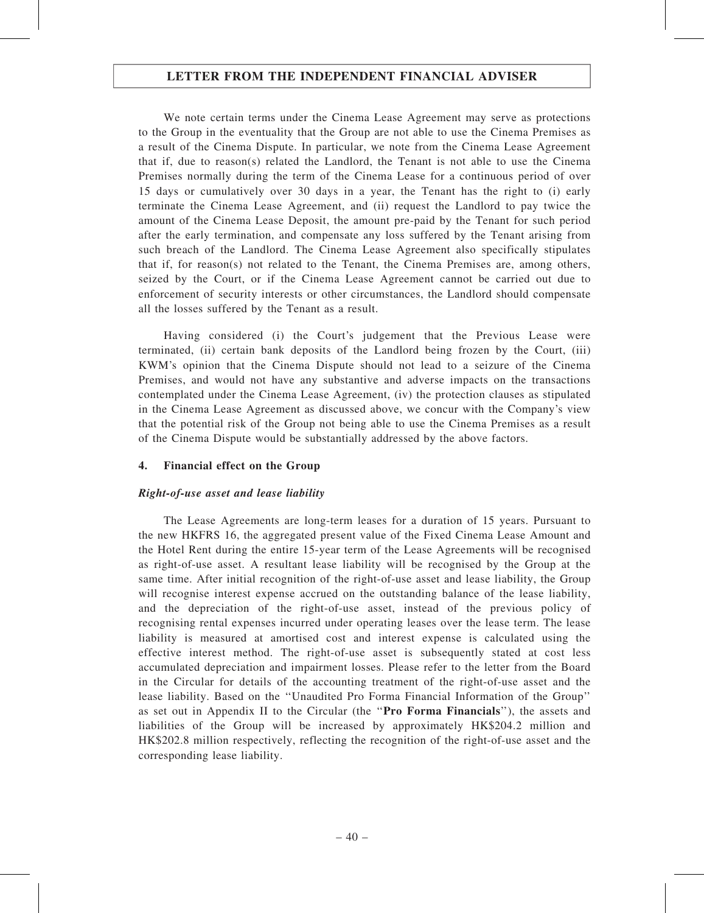We note certain terms under the Cinema Lease Agreement may serve as protections to the Group in the eventuality that the Group are not able to use the Cinema Premises as a result of the Cinema Dispute. In particular, we note from the Cinema Lease Agreement that if, due to reason(s) related the Landlord, the Tenant is not able to use the Cinema Premises normally during the term of the Cinema Lease for a continuous period of over 15 days or cumulatively over 30 days in a year, the Tenant has the right to (i) early terminate the Cinema Lease Agreement, and (ii) request the Landlord to pay twice the amount of the Cinema Lease Deposit, the amount pre-paid by the Tenant for such period after the early termination, and compensate any loss suffered by the Tenant arising from such breach of the Landlord. The Cinema Lease Agreement also specifically stipulates that if, for reason(s) not related to the Tenant, the Cinema Premises are, among others, seized by the Court, or if the Cinema Lease Agreement cannot be carried out due to enforcement of security interests or other circumstances, the Landlord should compensate all the losses suffered by the Tenant as a result.

Having considered (i) the Court's judgement that the Previous Lease were terminated, (ii) certain bank deposits of the Landlord being frozen by the Court, (iii) KWM's opinion that the Cinema Dispute should not lead to a seizure of the Cinema Premises, and would not have any substantive and adverse impacts on the transactions contemplated under the Cinema Lease Agreement, (iv) the protection clauses as stipulated in the Cinema Lease Agreement as discussed above, we concur with the Company's view that the potential risk of the Group not being able to use the Cinema Premises as a result of the Cinema Dispute would be substantially addressed by the above factors.

### 4. Financial effect on the Group

### Right-of-use asset and lease liability

The Lease Agreements are long-term leases for a duration of 15 years. Pursuant to the new HKFRS 16, the aggregated present value of the Fixed Cinema Lease Amount and the Hotel Rent during the entire 15-year term of the Lease Agreements will be recognised as right-of-use asset. A resultant lease liability will be recognised by the Group at the same time. After initial recognition of the right-of-use asset and lease liability, the Group will recognise interest expense accrued on the outstanding balance of the lease liability, and the depreciation of the right-of-use asset, instead of the previous policy of recognising rental expenses incurred under operating leases over the lease term. The lease liability is measured at amortised cost and interest expense is calculated using the effective interest method. The right-of-use asset is subsequently stated at cost less accumulated depreciation and impairment losses. Please refer to the letter from the Board in the Circular for details of the accounting treatment of the right-of-use asset and the lease liability. Based on the ''Unaudited Pro Forma Financial Information of the Group'' as set out in Appendix II to the Circular (the "Pro Forma Financials"), the assets and liabilities of the Group will be increased by approximately HK\$204.2 million and HK\$202.8 million respectively, reflecting the recognition of the right-of-use asset and the corresponding lease liability.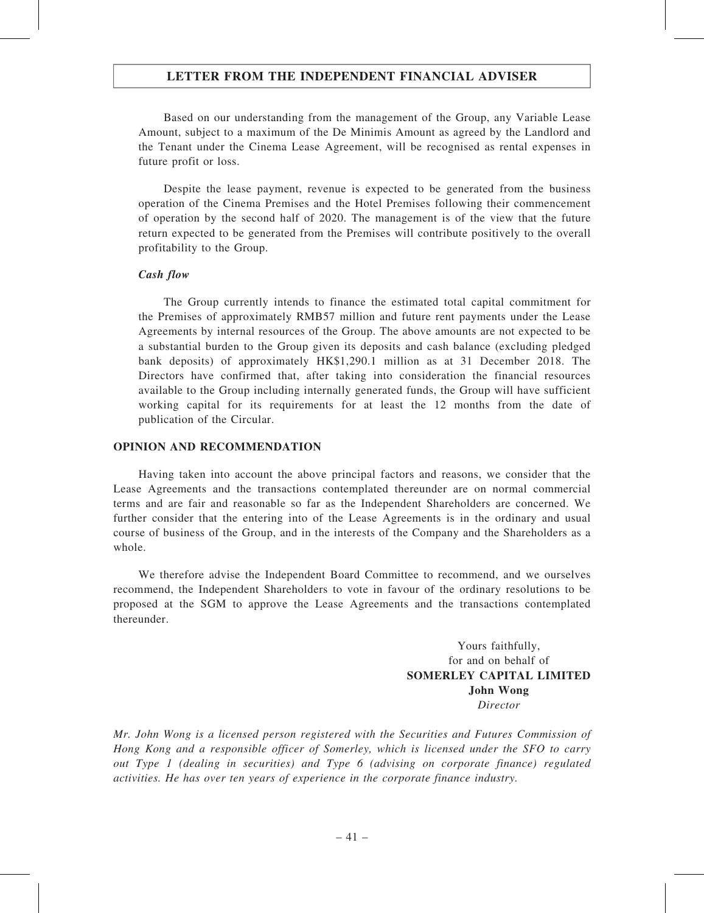Based on our understanding from the management of the Group, any Variable Lease Amount, subject to a maximum of the De Minimis Amount as agreed by the Landlord and the Tenant under the Cinema Lease Agreement, will be recognised as rental expenses in future profit or loss.

Despite the lease payment, revenue is expected to be generated from the business operation of the Cinema Premises and the Hotel Premises following their commencement of operation by the second half of 2020. The management is of the view that the future return expected to be generated from the Premises will contribute positively to the overall profitability to the Group.

#### Cash flow

The Group currently intends to finance the estimated total capital commitment for the Premises of approximately RMB57 million and future rent payments under the Lease Agreements by internal resources of the Group. The above amounts are not expected to be a substantial burden to the Group given its deposits and cash balance (excluding pledged bank deposits) of approximately HK\$1,290.1 million as at 31 December 2018. The Directors have confirmed that, after taking into consideration the financial resources available to the Group including internally generated funds, the Group will have sufficient working capital for its requirements for at least the 12 months from the date of publication of the Circular.

#### OPINION AND RECOMMENDATION

Having taken into account the above principal factors and reasons, we consider that the Lease Agreements and the transactions contemplated thereunder are on normal commercial terms and are fair and reasonable so far as the Independent Shareholders are concerned. We further consider that the entering into of the Lease Agreements is in the ordinary and usual course of business of the Group, and in the interests of the Company and the Shareholders as a whole.

We therefore advise the Independent Board Committee to recommend, and we ourselves recommend, the Independent Shareholders to vote in favour of the ordinary resolutions to be proposed at the SGM to approve the Lease Agreements and the transactions contemplated thereunder.

> Yours faithfully, for and on behalf of SOMERLEY CAPITAL LIMITED John Wong Director

Mr. John Wong is a licensed person registered with the Securities and Futures Commission of Hong Kong and a responsible officer of Somerley, which is licensed under the SFO to carry out Type 1 (dealing in securities) and Type 6 (advising on corporate finance) regulated activities. He has over ten years of experience in the corporate finance industry.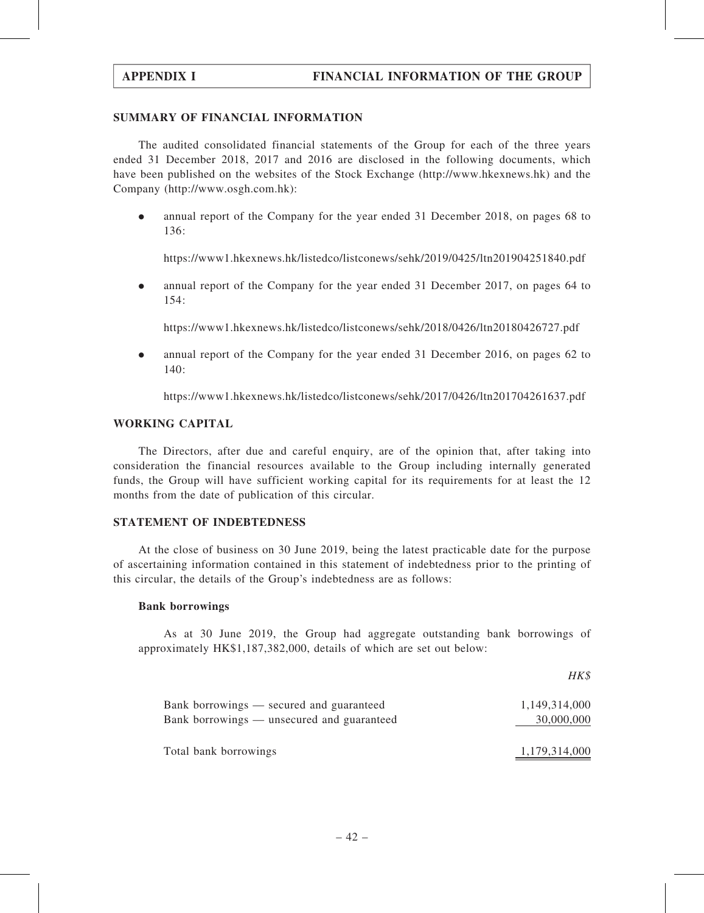## SUMMARY OF FINANCIAL INFORMATION

The audited consolidated financial statements of the Group for each of the three years ended 31 December 2018, 2017 and 2016 are disclosed in the following documents, which have been published on the websites of the Stock Exchange (http://www.hkexnews.hk) and the Company (http://www.osgh.com.hk):

. annual report of the Company for the year ended 31 December 2018, on pages 68 to  $136.$ 

https://www1.hkexnews.hk/listedco/listconews/sehk/2019/0425/ltn201904251840.pdf

. annual report of the Company for the year ended 31 December 2017, on pages 64 to 154:

https://www1.hkexnews.hk/listedco/listconews/sehk/2018/0426/ltn20180426727.pdf

. annual report of the Company for the year ended 31 December 2016, on pages 62 to 140:

https://www1.hkexnews.hk/listedco/listconews/sehk/2017/0426/ltn201704261637.pdf

#### WORKING CAPITAL

The Directors, after due and careful enquiry, are of the opinion that, after taking into consideration the financial resources available to the Group including internally generated funds, the Group will have sufficient working capital for its requirements for at least the 12 months from the date of publication of this circular.

#### STATEMENT OF INDEBTEDNESS

At the close of business on 30 June 2019, being the latest practicable date for the purpose of ascertaining information contained in this statement of indebtedness prior to the printing of this circular, the details of the Group's indebtedness are as follows:

#### Bank borrowings

As at 30 June 2019, the Group had aggregate outstanding bank borrowings of approximately HK\$1,187,382,000, details of which are set out below:

|                                            | HK\$          |
|--------------------------------------------|---------------|
| Bank borrowings — secured and guaranteed   | 1,149,314,000 |
| Bank borrowings — unsecured and guaranteed | 30,000,000    |
| Total bank borrowings                      | 1,179,314,000 |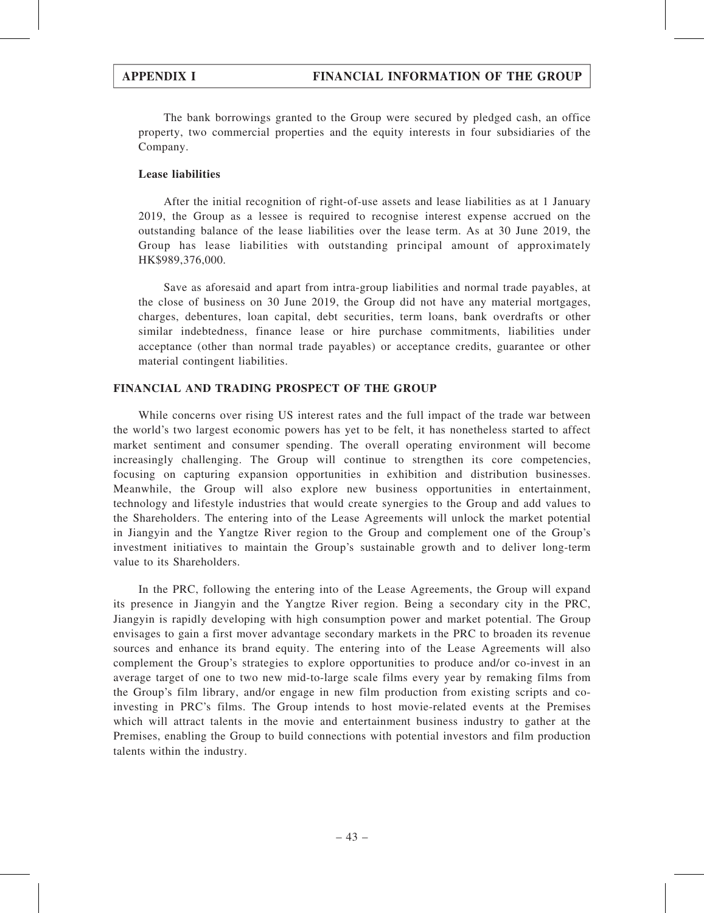The bank borrowings granted to the Group were secured by pledged cash, an office property, two commercial properties and the equity interests in four subsidiaries of the Company.

### Lease liabilities

After the initial recognition of right-of-use assets and lease liabilities as at 1 January 2019, the Group as a lessee is required to recognise interest expense accrued on the outstanding balance of the lease liabilities over the lease term. As at 30 June 2019, the Group has lease liabilities with outstanding principal amount of approximately HK\$989,376,000.

Save as aforesaid and apart from intra-group liabilities and normal trade payables, at the close of business on 30 June 2019, the Group did not have any material mortgages, charges, debentures, loan capital, debt securities, term loans, bank overdrafts or other similar indebtedness, finance lease or hire purchase commitments, liabilities under acceptance (other than normal trade payables) or acceptance credits, guarantee or other material contingent liabilities.

### FINANCIAL AND TRADING PROSPECT OF THE GROUP

While concerns over rising US interest rates and the full impact of the trade war between the world's two largest economic powers has yet to be felt, it has nonetheless started to affect market sentiment and consumer spending. The overall operating environment will become increasingly challenging. The Group will continue to strengthen its core competencies, focusing on capturing expansion opportunities in exhibition and distribution businesses. Meanwhile, the Group will also explore new business opportunities in entertainment, technology and lifestyle industries that would create synergies to the Group and add values to the Shareholders. The entering into of the Lease Agreements will unlock the market potential in Jiangyin and the Yangtze River region to the Group and complement one of the Group's investment initiatives to maintain the Group's sustainable growth and to deliver long-term value to its Shareholders.

In the PRC, following the entering into of the Lease Agreements, the Group will expand its presence in Jiangyin and the Yangtze River region. Being a secondary city in the PRC, Jiangyin is rapidly developing with high consumption power and market potential. The Group envisages to gain a first mover advantage secondary markets in the PRC to broaden its revenue sources and enhance its brand equity. The entering into of the Lease Agreements will also complement the Group's strategies to explore opportunities to produce and/or co-invest in an average target of one to two new mid-to-large scale films every year by remaking films from the Group's film library, and/or engage in new film production from existing scripts and coinvesting in PRC's films. The Group intends to host movie-related events at the Premises which will attract talents in the movie and entertainment business industry to gather at the Premises, enabling the Group to build connections with potential investors and film production talents within the industry.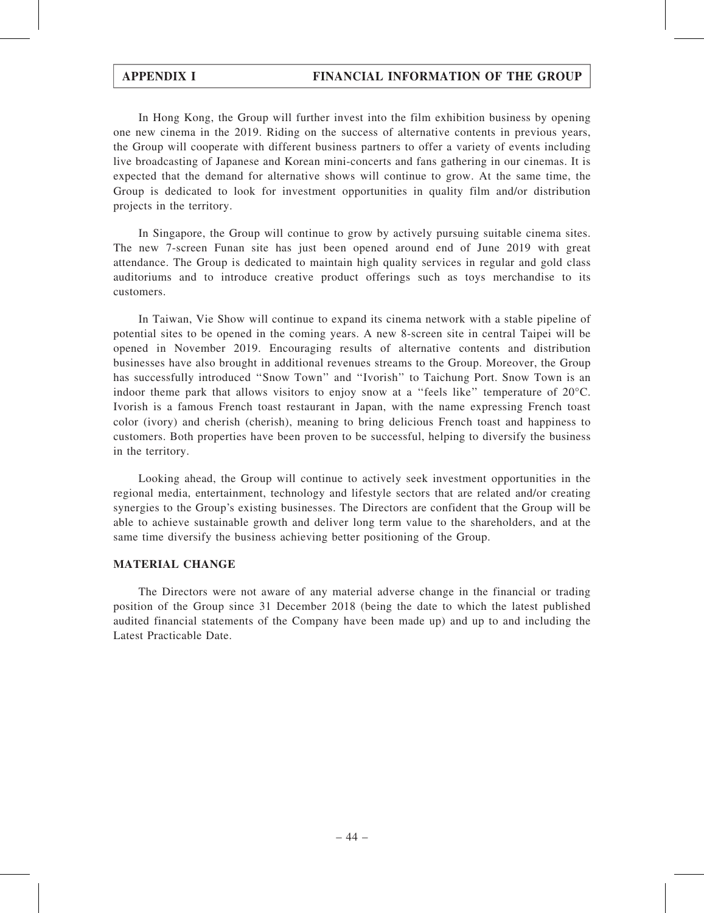In Hong Kong, the Group will further invest into the film exhibition business by opening one new cinema in the 2019. Riding on the success of alternative contents in previous years, the Group will cooperate with different business partners to offer a variety of events including live broadcasting of Japanese and Korean mini-concerts and fans gathering in our cinemas. It is expected that the demand for alternative shows will continue to grow. At the same time, the Group is dedicated to look for investment opportunities in quality film and/or distribution projects in the territory.

In Singapore, the Group will continue to grow by actively pursuing suitable cinema sites. The new 7-screen Funan site has just been opened around end of June 2019 with great attendance. The Group is dedicated to maintain high quality services in regular and gold class auditoriums and to introduce creative product offerings such as toys merchandise to its customers.

In Taiwan, Vie Show will continue to expand its cinema network with a stable pipeline of potential sites to be opened in the coming years. A new 8-screen site in central Taipei will be opened in November 2019. Encouraging results of alternative contents and distribution businesses have also brought in additional revenues streams to the Group. Moreover, the Group has successfully introduced ''Snow Town'' and ''Ivorish'' to Taichung Port. Snow Town is an indoor theme park that allows visitors to enjoy snow at a ''feels like'' temperature of 20°C. Ivorish is a famous French toast restaurant in Japan, with the name expressing French toast color (ivory) and cherish (cherish), meaning to bring delicious French toast and happiness to customers. Both properties have been proven to be successful, helping to diversify the business in the territory.

Looking ahead, the Group will continue to actively seek investment opportunities in the regional media, entertainment, technology and lifestyle sectors that are related and/or creating synergies to the Group's existing businesses. The Directors are confident that the Group will be able to achieve sustainable growth and deliver long term value to the shareholders, and at the same time diversify the business achieving better positioning of the Group.

#### MATERIAL CHANGE

The Directors were not aware of any material adverse change in the financial or trading position of the Group since 31 December 2018 (being the date to which the latest published audited financial statements of the Company have been made up) and up to and including the Latest Practicable Date.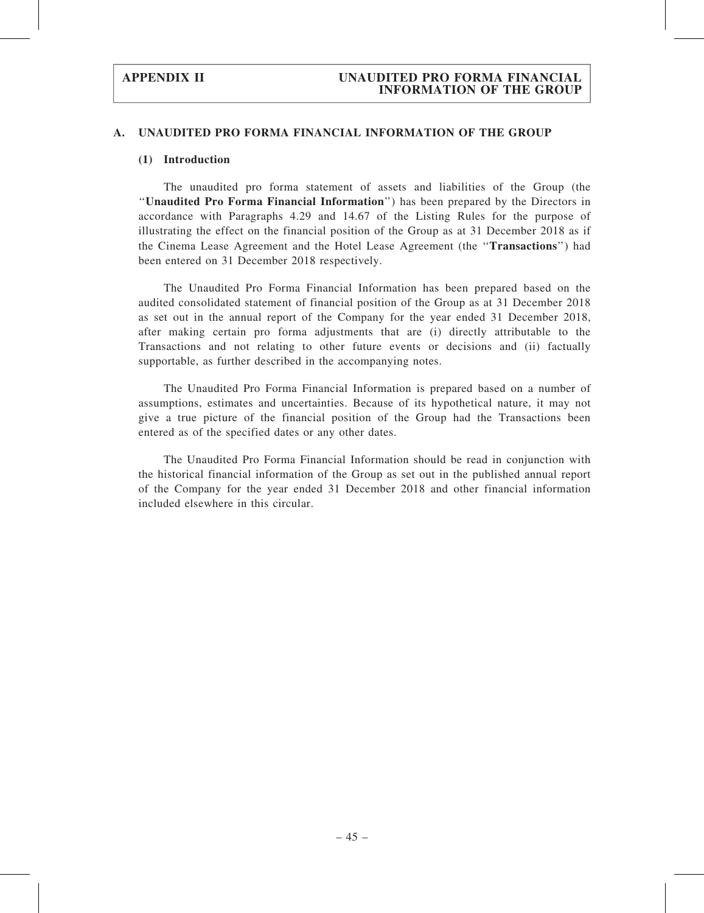#### (1) Introduction

The unaudited pro forma statement of assets and liabilities of the Group (the ''Unaudited Pro Forma Financial Information'') has been prepared by the Directors in accordance with Paragraphs 4.29 and 14.67 of the Listing Rules for the purpose of illustrating the effect on the financial position of the Group as at 31 December 2018 as if the Cinema Lease Agreement and the Hotel Lease Agreement (the ''Transactions'') had been entered on 31 December 2018 respectively.

The Unaudited Pro Forma Financial Information has been prepared based on the audited consolidated statement of financial position of the Group as at 31 December 2018 as set out in the annual report of the Company for the year ended 31 December 2018, after making certain pro forma adjustments that are (i) directly attributable to the Transactions and not relating to other future events or decisions and (ii) factually supportable, as further described in the accompanying notes.

The Unaudited Pro Forma Financial Information is prepared based on a number of assumptions, estimates and uncertainties. Because of its hypothetical nature, it may not give a true picture of the financial position of the Group had the Transactions been entered as of the specified dates or any other dates.

The Unaudited Pro Forma Financial Information should be read in conjunction with the historical financial information of the Group as set out in the published annual report of the Company for the year ended 31 December 2018 and other financial information included elsewhere in this circular.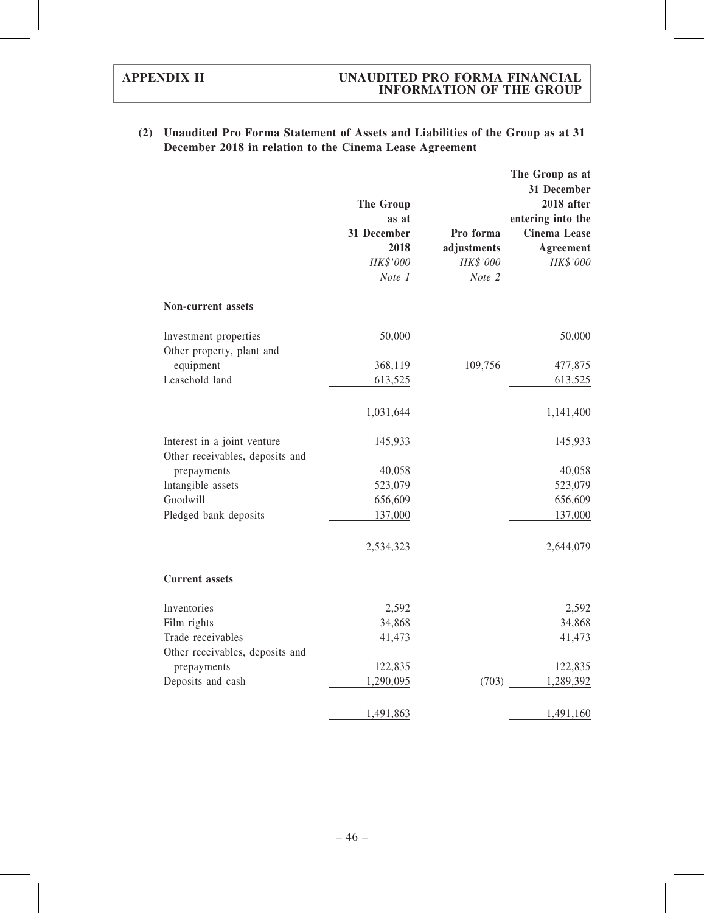| (2) Unaudited Pro Forma Statement of Assets and Liabilities of the Group as at 31 |
|-----------------------------------------------------------------------------------|
| December 2018 in relation to the Cinema Lease Agreement                           |

|                                                                | The Group<br>as at<br>31 December<br>2018<br>HK\$'000<br>Note 1 | Pro forma<br>adjustments<br>HK\$'000<br>Note 2 | The Group as at<br>31 December<br>2018 after<br>entering into the<br><b>Cinema Lease</b><br>Agreement<br>HK\$'000 |
|----------------------------------------------------------------|-----------------------------------------------------------------|------------------------------------------------|-------------------------------------------------------------------------------------------------------------------|
| <b>Non-current assets</b>                                      |                                                                 |                                                |                                                                                                                   |
| Investment properties<br>Other property, plant and             | 50,000                                                          |                                                | 50,000                                                                                                            |
| equipment                                                      | 368,119                                                         | 109,756                                        | 477,875                                                                                                           |
| Leasehold land                                                 | 613,525                                                         |                                                | 613,525                                                                                                           |
|                                                                | 1,031,644                                                       |                                                | 1,141,400                                                                                                         |
| Interest in a joint venture<br>Other receivables, deposits and | 145,933                                                         |                                                | 145,933                                                                                                           |
| prepayments                                                    | 40,058                                                          |                                                | 40,058                                                                                                            |
| Intangible assets                                              | 523,079                                                         |                                                | 523,079                                                                                                           |
| Goodwill                                                       | 656,609                                                         |                                                | 656,609                                                                                                           |
| Pledged bank deposits                                          | 137,000                                                         |                                                | 137,000                                                                                                           |
|                                                                | 2,534,323                                                       |                                                | 2,644,079                                                                                                         |
| <b>Current</b> assets                                          |                                                                 |                                                |                                                                                                                   |
| Inventories                                                    | 2,592                                                           |                                                | 2,592                                                                                                             |
| Film rights                                                    | 34,868                                                          |                                                | 34,868                                                                                                            |
| Trade receivables                                              | 41,473                                                          |                                                | 41,473                                                                                                            |
| Other receivables, deposits and                                |                                                                 |                                                |                                                                                                                   |
| prepayments                                                    | 122,835                                                         |                                                | 122,835                                                                                                           |
| Deposits and cash                                              | 1,290,095                                                       | (703)                                          | 1,289,392                                                                                                         |
|                                                                | 1,491,863                                                       |                                                | 1,491,160                                                                                                         |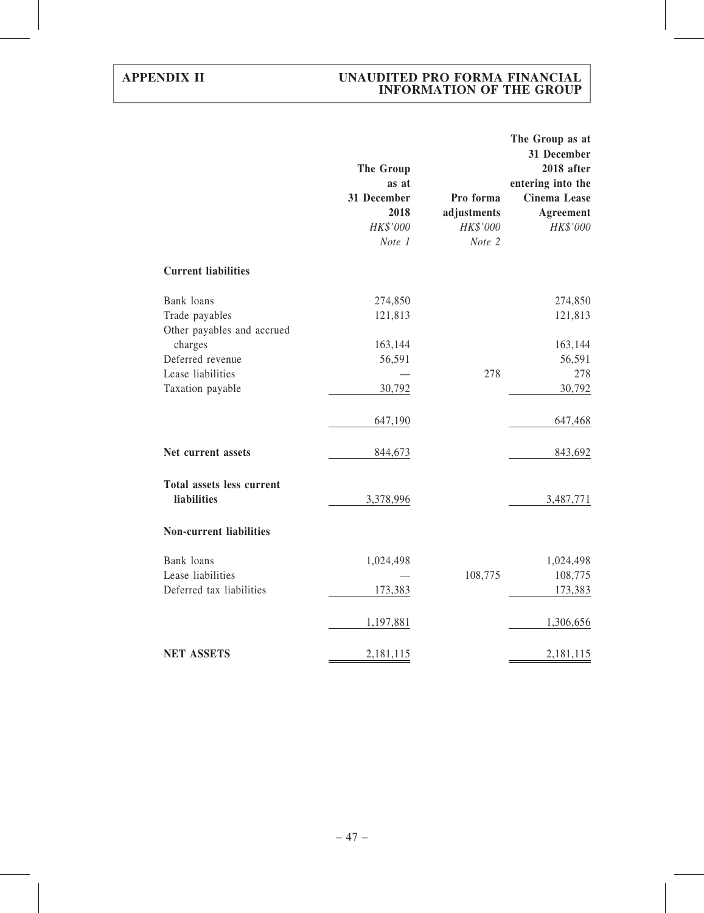|                                                           | <b>The Group</b><br>as at<br>31 December<br>2018<br>HK\$'000<br>Note 1 | Pro forma<br>adjustments<br>HK\$'000<br>Note 2 | The Group as at<br>31 December<br>2018 after<br>entering into the<br>Cinema Lease<br>Agreement<br>HK\$'000 |
|-----------------------------------------------------------|------------------------------------------------------------------------|------------------------------------------------|------------------------------------------------------------------------------------------------------------|
| <b>Current liabilities</b>                                |                                                                        |                                                |                                                                                                            |
| Bank loans<br>Trade payables                              | 274,850<br>121,813                                                     |                                                | 274,850<br>121,813                                                                                         |
| Other payables and accrued<br>charges<br>Deferred revenue | 163,144<br>56,591                                                      |                                                | 163,144<br>56,591                                                                                          |
| Lease liabilities<br>Taxation payable                     | 30,792                                                                 | 278                                            | 278<br>30,792                                                                                              |
|                                                           | 647,190                                                                |                                                | 647,468                                                                                                    |
| Net current assets                                        | 844,673                                                                |                                                | 843,692                                                                                                    |
| <b>Total assets less current</b><br>liabilities           | 3,378,996                                                              |                                                | 3,487,771                                                                                                  |
| <b>Non-current liabilities</b>                            |                                                                        |                                                |                                                                                                            |
| Bank loans<br>Lease liabilities                           | 1,024,498                                                              | 108,775                                        | 1,024,498<br>108,775                                                                                       |
| Deferred tax liabilities                                  | 173,383                                                                |                                                | 173,383                                                                                                    |
|                                                           | 1,197,881                                                              |                                                | 1,306,656                                                                                                  |
| <b>NET ASSETS</b>                                         | 2,181,115                                                              |                                                | 2,181,115                                                                                                  |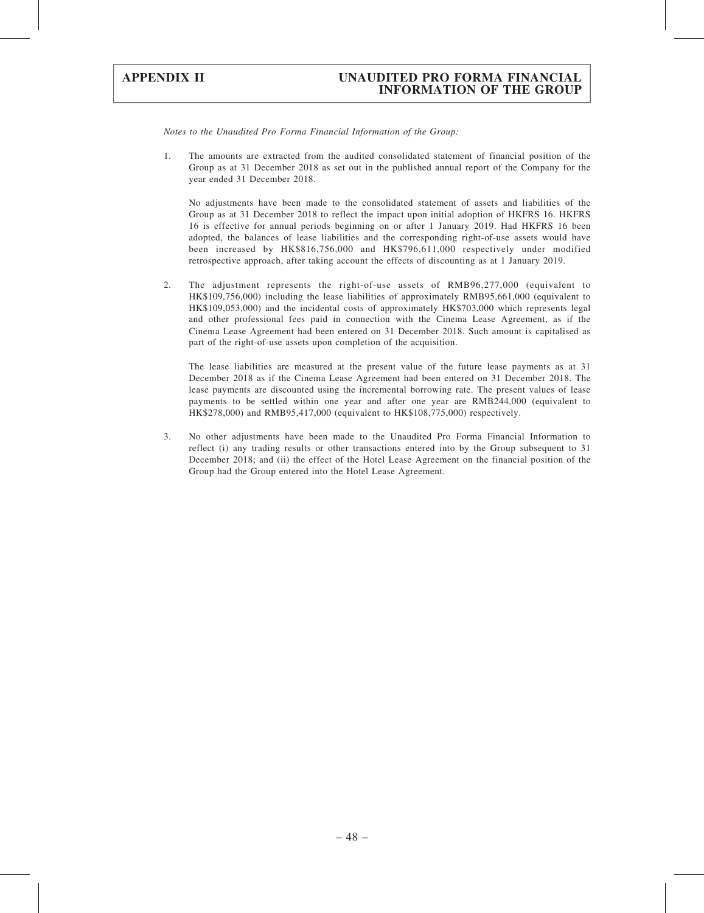Notes to the Unaudited Pro Forma Financial Information of the Group:

1. The amounts are extracted from the audited consolidated statement of financial position of the Group as at 31 December 2018 as set out in the published annual report of the Company for the year ended 31 December 2018.

No adjustments have been made to the consolidated statement of assets and liabilities of the Group as at 31 December 2018 to reflect the impact upon initial adoption of HKFRS 16. HKFRS 16 is effective for annual periods beginning on or after 1 January 2019. Had HKFRS 16 been adopted, the balances of lease liabilities and the corresponding right-of-use assets would have been increased by HK\$816,756,000 and HK\$796,611,000 respectively under modified retrospective approach, after taking account the effects of discounting as at 1 January 2019.

2. The adjustment represents the right-of-use assets of RMB96,277,000 (equivalent to HK\$109,756,000) including the lease liabilities of approximately RMB95,661,000 (equivalent to HK\$109,053,000) and the incidental costs of approximately HK\$703,000 which represents legal and other professional fees paid in connection with the Cinema Lease Agreement, as if the Cinema Lease Agreement had been entered on 31 December 2018. Such amount is capitalised as part of the right-of-use assets upon completion of the acquisition.

The lease liabilities are measured at the present value of the future lease payments as at 31 December 2018 as if the Cinema Lease Agreement had been entered on 31 December 2018. The lease payments are discounted using the incremental borrowing rate. The present values of lease payments to be settled within one year and after one year are RMB244,000 (equivalent to HK\$278,000) and RMB95,417,000 (equivalent to HK\$108,775,000) respectively.

3. No other adjustments have been made to the Unaudited Pro Forma Financial Information to reflect (i) any trading results or other transactions entered into by the Group subsequent to 31 December 2018; and (ii) the effect of the Hotel Lease Agreement on the financial position of the Group had the Group entered into the Hotel Lease Agreement.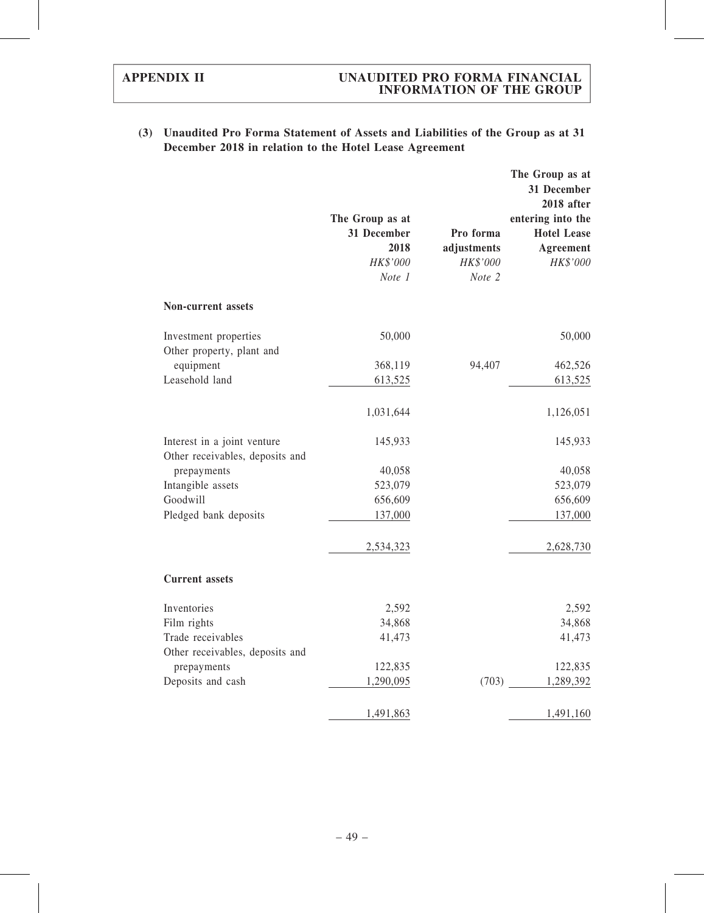|                                                                | The Group as at<br>31 December<br>2018<br>HK\$'000<br>Note 1 | Pro forma<br>adjustments<br>HK\$'000<br>Note 2 | The Group as at<br>31 December<br>2018 after<br>entering into the<br><b>Hotel Lease</b><br>Agreement<br>HK\$'000 |
|----------------------------------------------------------------|--------------------------------------------------------------|------------------------------------------------|------------------------------------------------------------------------------------------------------------------|
| <b>Non-current assets</b>                                      |                                                              |                                                |                                                                                                                  |
| Investment properties<br>Other property, plant and             | 50,000                                                       |                                                | 50,000                                                                                                           |
| equipment                                                      | 368,119                                                      | 94,407                                         | 462,526                                                                                                          |
| Leasehold land                                                 | 613,525                                                      |                                                | 613,525                                                                                                          |
|                                                                | 1,031,644                                                    |                                                | 1,126,051                                                                                                        |
| Interest in a joint venture<br>Other receivables, deposits and | 145,933                                                      |                                                | 145,933                                                                                                          |
| prepayments                                                    | 40,058                                                       |                                                | 40,058                                                                                                           |
| Intangible assets                                              | 523,079                                                      |                                                | 523,079                                                                                                          |
| Goodwill                                                       | 656,609                                                      |                                                | 656,609                                                                                                          |
| Pledged bank deposits                                          | 137,000                                                      |                                                | 137,000                                                                                                          |
|                                                                | 2,534,323                                                    |                                                | 2,628,730                                                                                                        |
| <b>Current</b> assets                                          |                                                              |                                                |                                                                                                                  |
| Inventories                                                    | 2,592                                                        |                                                | 2,592                                                                                                            |
| Film rights                                                    | 34,868                                                       |                                                | 34,868                                                                                                           |
| Trade receivables                                              | 41,473                                                       |                                                | 41,473                                                                                                           |
| Other receivables, deposits and                                |                                                              |                                                |                                                                                                                  |
| prepayments                                                    | 122,835                                                      |                                                | 122,835                                                                                                          |
| Deposits and cash                                              | 1,290,095                                                    |                                                | (703)<br>1,289,392                                                                                               |
|                                                                | 1,491,863                                                    |                                                | 1,491,160                                                                                                        |

## (3) Unaudited Pro Forma Statement of Assets and Liabilities of the Group as at 31 December 2018 in relation to the Hotel Lease Agreement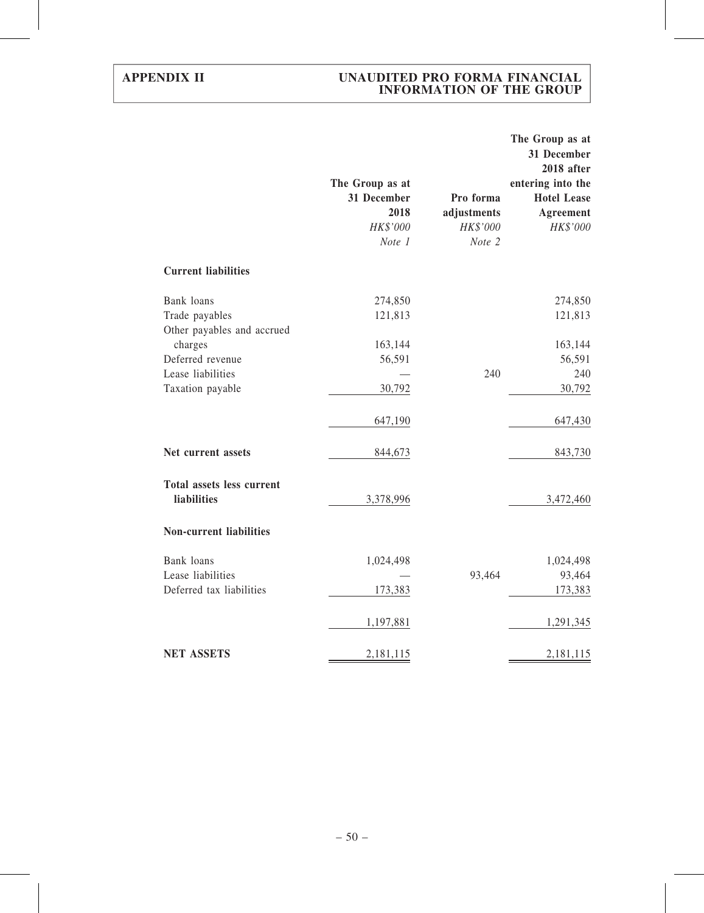|                                                 | The Group as at<br>31 December<br>2018<br>HK\$'000<br>Note 1 | Pro forma<br>adjustments<br>HK\$'000<br>Note 2 | The Group as at<br>31 December<br>2018 after<br>entering into the<br><b>Hotel Lease</b><br>Agreement<br>HK\$'000 |
|-------------------------------------------------|--------------------------------------------------------------|------------------------------------------------|------------------------------------------------------------------------------------------------------------------|
| <b>Current liabilities</b>                      |                                                              |                                                |                                                                                                                  |
| Bank loans                                      | 274,850                                                      |                                                | 274,850                                                                                                          |
| Trade payables                                  | 121,813                                                      |                                                | 121,813                                                                                                          |
| Other payables and accrued                      |                                                              |                                                |                                                                                                                  |
| charges                                         | 163,144                                                      |                                                | 163,144                                                                                                          |
| Deferred revenue                                | 56,591                                                       |                                                | 56,591                                                                                                           |
| Lease liabilities                               |                                                              | 240                                            | 240                                                                                                              |
| Taxation payable                                | 30,792                                                       |                                                | 30,792                                                                                                           |
|                                                 | 647,190                                                      |                                                | 647,430                                                                                                          |
| Net current assets                              | 844,673                                                      |                                                | 843,730                                                                                                          |
| <b>Total assets less current</b><br>liabilities | 3,378,996                                                    |                                                | 3,472,460                                                                                                        |
| <b>Non-current liabilities</b>                  |                                                              |                                                |                                                                                                                  |
| Bank loans                                      | 1,024,498                                                    |                                                | 1,024,498                                                                                                        |
| Lease liabilities                               |                                                              | 93,464                                         | 93,464                                                                                                           |
| Deferred tax liabilities                        | 173,383                                                      |                                                | 173,383                                                                                                          |
|                                                 | 1,197,881                                                    |                                                | 1,291,345                                                                                                        |
| <b>NET ASSETS</b>                               | 2,181,115                                                    |                                                | 2,181,115                                                                                                        |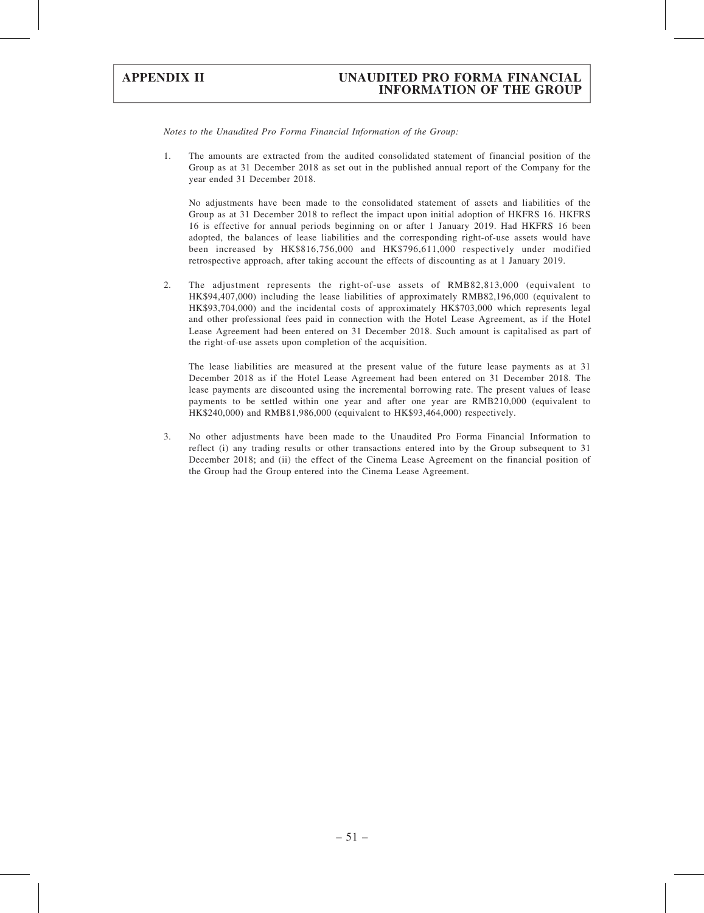Notes to the Unaudited Pro Forma Financial Information of the Group:

1. The amounts are extracted from the audited consolidated statement of financial position of the Group as at 31 December 2018 as set out in the published annual report of the Company for the year ended 31 December 2018.

No adjustments have been made to the consolidated statement of assets and liabilities of the Group as at 31 December 2018 to reflect the impact upon initial adoption of HKFRS 16. HKFRS 16 is effective for annual periods beginning on or after 1 January 2019. Had HKFRS 16 been adopted, the balances of lease liabilities and the corresponding right-of-use assets would have been increased by HK\$816,756,000 and HK\$796,611,000 respectively under modified retrospective approach, after taking account the effects of discounting as at 1 January 2019.

2. The adjustment represents the right-of-use assets of RMB82,813,000 (equivalent to HK\$94,407,000) including the lease liabilities of approximately RMB82,196,000 (equivalent to HK\$93,704,000) and the incidental costs of approximately HK\$703,000 which represents legal and other professional fees paid in connection with the Hotel Lease Agreement, as if the Hotel Lease Agreement had been entered on 31 December 2018. Such amount is capitalised as part of the right-of-use assets upon completion of the acquisition.

The lease liabilities are measured at the present value of the future lease payments as at 31 December 2018 as if the Hotel Lease Agreement had been entered on 31 December 2018. The lease payments are discounted using the incremental borrowing rate. The present values of lease payments to be settled within one year and after one year are RMB210,000 (equivalent to HK\$240,000) and RMB81,986,000 (equivalent to HK\$93,464,000) respectively.

3. No other adjustments have been made to the Unaudited Pro Forma Financial Information to reflect (i) any trading results or other transactions entered into by the Group subsequent to 31 December 2018; and (ii) the effect of the Cinema Lease Agreement on the financial position of the Group had the Group entered into the Cinema Lease Agreement.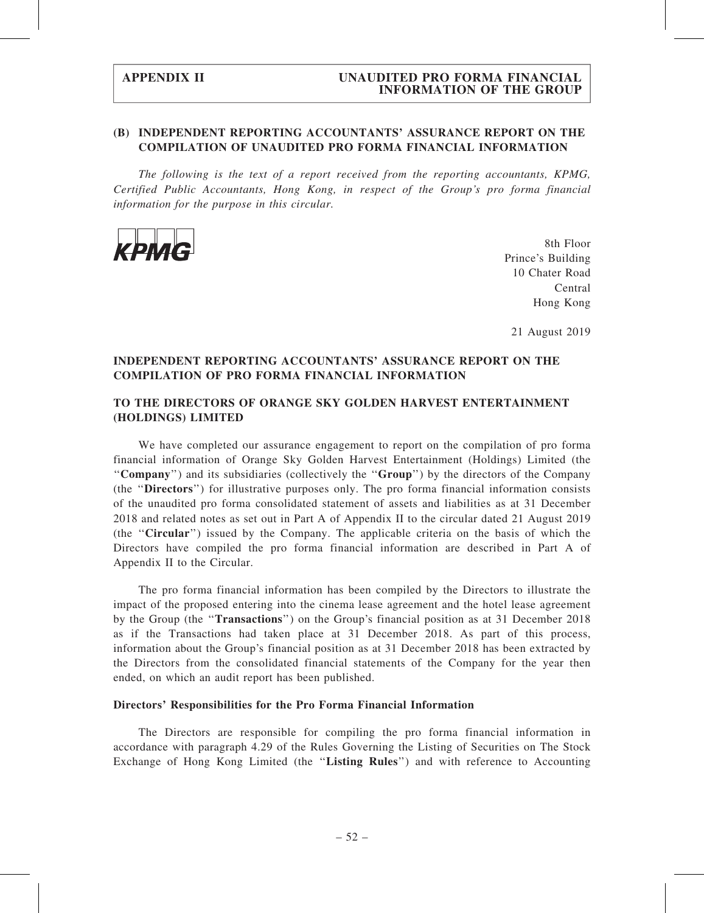### (B) INDEPENDENT REPORTING ACCOUNTANTS' ASSURANCE REPORT ON THE COMPILATION OF UNAUDITED PRO FORMA FINANCIAL INFORMATION

The following is the text of a report received from the reporting accountants, KPMG, Certified Public Accountants, Hong Kong, in respect of the Group's pro forma financial information for the purpose in this circular.



8th Floor Prince's Building 10 Chater Road Central Hong Kong

21 August 2019

## INDEPENDENT REPORTING ACCOUNTANTS' ASSURANCE REPORT ON THE COMPILATION OF PRO FORMA FINANCIAL INFORMATION

### TO THE DIRECTORS OF ORANGE SKY GOLDEN HARVEST ENTERTAINMENT (HOLDINGS) LIMITED

We have completed our assurance engagement to report on the compilation of pro forma financial information of Orange Sky Golden Harvest Entertainment (Holdings) Limited (the ''Company'') and its subsidiaries (collectively the ''Group'') by the directors of the Company (the ''Directors'') for illustrative purposes only. The pro forma financial information consists of the unaudited pro forma consolidated statement of assets and liabilities as at 31 December 2018 and related notes as set out in Part A of Appendix II to the circular dated 21 August 2019 (the ''Circular'') issued by the Company. The applicable criteria on the basis of which the Directors have compiled the pro forma financial information are described in Part A of Appendix II to the Circular.

The pro forma financial information has been compiled by the Directors to illustrate the impact of the proposed entering into the cinema lease agreement and the hotel lease agreement by the Group (the "Transactions") on the Group's financial position as at 31 December 2018 as if the Transactions had taken place at 31 December 2018. As part of this process, information about the Group's financial position as at 31 December 2018 has been extracted by the Directors from the consolidated financial statements of the Company for the year then ended, on which an audit report has been published.

#### Directors' Responsibilities for the Pro Forma Financial Information

The Directors are responsible for compiling the pro forma financial information in accordance with paragraph 4.29 of the Rules Governing the Listing of Securities on The Stock Exchange of Hong Kong Limited (the "Listing Rules") and with reference to Accounting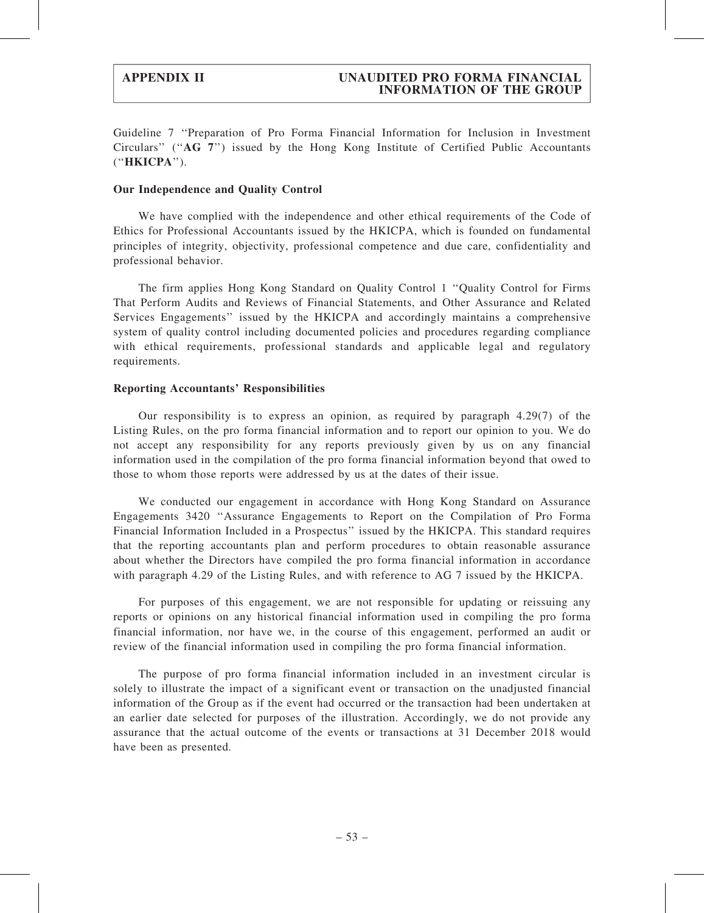Guideline 7 ''Preparation of Pro Forma Financial Information for Inclusion in Investment Circulars'' (''AG 7'') issued by the Hong Kong Institute of Certified Public Accountants (''HKICPA'').

#### Our Independence and Quality Control

We have complied with the independence and other ethical requirements of the Code of Ethics for Professional Accountants issued by the HKICPA, which is founded on fundamental principles of integrity, objectivity, professional competence and due care, confidentiality and professional behavior.

The firm applies Hong Kong Standard on Quality Control 1 ''Quality Control for Firms That Perform Audits and Reviews of Financial Statements, and Other Assurance and Related Services Engagements'' issued by the HKICPA and accordingly maintains a comprehensive system of quality control including documented policies and procedures regarding compliance with ethical requirements, professional standards and applicable legal and regulatory requirements.

#### Reporting Accountants' Responsibilities

Our responsibility is to express an opinion, as required by paragraph 4.29(7) of the Listing Rules, on the pro forma financial information and to report our opinion to you. We do not accept any responsibility for any reports previously given by us on any financial information used in the compilation of the pro forma financial information beyond that owed to those to whom those reports were addressed by us at the dates of their issue.

We conducted our engagement in accordance with Hong Kong Standard on Assurance Engagements 3420 ''Assurance Engagements to Report on the Compilation of Pro Forma Financial Information Included in a Prospectus'' issued by the HKICPA. This standard requires that the reporting accountants plan and perform procedures to obtain reasonable assurance about whether the Directors have compiled the pro forma financial information in accordance with paragraph 4.29 of the Listing Rules, and with reference to AG 7 issued by the HKICPA.

For purposes of this engagement, we are not responsible for updating or reissuing any reports or opinions on any historical financial information used in compiling the pro forma financial information, nor have we, in the course of this engagement, performed an audit or review of the financial information used in compiling the pro forma financial information.

The purpose of pro forma financial information included in an investment circular is solely to illustrate the impact of a significant event or transaction on the unadjusted financial information of the Group as if the event had occurred or the transaction had been undertaken at an earlier date selected for purposes of the illustration. Accordingly, we do not provide any assurance that the actual outcome of the events or transactions at 31 December 2018 would have been as presented.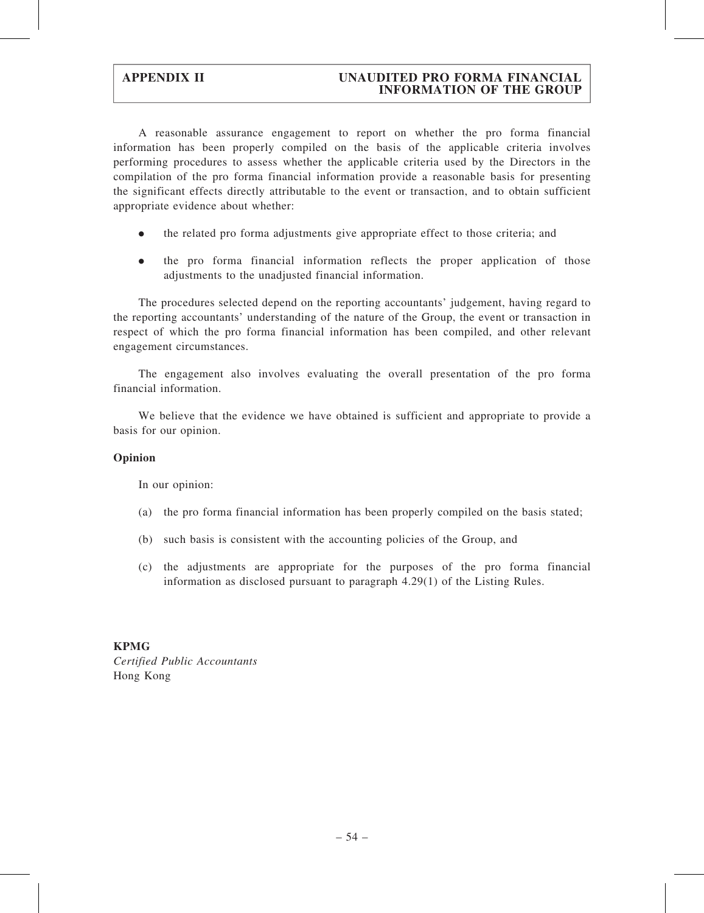A reasonable assurance engagement to report on whether the pro forma financial information has been properly compiled on the basis of the applicable criteria involves performing procedures to assess whether the applicable criteria used by the Directors in the compilation of the pro forma financial information provide a reasonable basis for presenting the significant effects directly attributable to the event or transaction, and to obtain sufficient appropriate evidence about whether:

- . the related pro forma adjustments give appropriate effect to those criteria; and
- . the pro forma financial information reflects the proper application of those adjustments to the unadjusted financial information.

The procedures selected depend on the reporting accountants' judgement, having regard to the reporting accountants' understanding of the nature of the Group, the event or transaction in respect of which the pro forma financial information has been compiled, and other relevant engagement circumstances.

The engagement also involves evaluating the overall presentation of the pro forma financial information.

We believe that the evidence we have obtained is sufficient and appropriate to provide a basis for our opinion.

### Opinion

In our opinion:

- (a) the pro forma financial information has been properly compiled on the basis stated;
- (b) such basis is consistent with the accounting policies of the Group, and
- (c) the adjustments are appropriate for the purposes of the pro forma financial information as disclosed pursuant to paragraph 4.29(1) of the Listing Rules.

### KPMG

Certified Public Accountants Hong Kong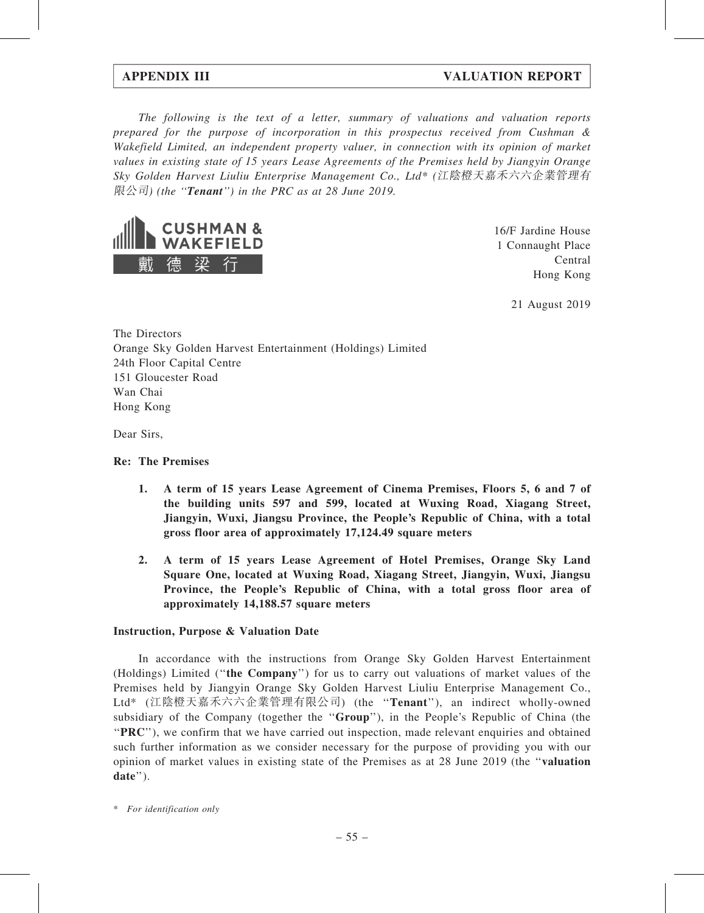## APPENDIX III VALUATION REPORT

The following is the text of a letter, summary of valuations and valuation reports prepared for the purpose of incorporation in this prospectus received from Cushman & Wakefield Limited, an independent property valuer, in connection with its opinion of market values in existing state of 15 years Lease Agreements of the Premises held by Jiangyin Orange Sky Golden Harvest Liuliu Enterprise Management Co., Ltd\* (江陰橙天嘉禾六六企業管理有  $\mathbb{R} \triangle \exists$  (the "**Tenant**") in the PRC as at 28 June 2019.



16/F Jardine House 1 Connaught Place Central Hong Kong

21 August 2019

The Directors Orange Sky Golden Harvest Entertainment (Holdings) Limited 24th Floor Capital Centre 151 Gloucester Road Wan Chai Hong Kong

Dear Sirs,

### Re: The Premises

- 1. A term of 15 years Lease Agreement of Cinema Premises, Floors 5, 6 and 7 of the building units 597 and 599, located at Wuxing Road, Xiagang Street, Jiangyin, Wuxi, Jiangsu Province, the People's Republic of China, with a total gross floor area of approximately 17,124.49 square meters
- 2. A term of 15 years Lease Agreement of Hotel Premises, Orange Sky Land Square One, located at Wuxing Road, Xiagang Street, Jiangyin, Wuxi, Jiangsu Province, the People's Republic of China, with a total gross floor area of approximately 14,188.57 square meters

### Instruction, Purpose & Valuation Date

In accordance with the instructions from Orange Sky Golden Harvest Entertainment (Holdings) Limited (''the Company'') for us to carry out valuations of market values of the Premises held by Jiangyin Orange Sky Golden Harvest Liuliu Enterprise Management Co., Ltd\* (江陰橙天嘉禾六六企業管理有限公司) (the ''Tenant''), an indirect wholly-owned subsidiary of the Company (together the "Group"), in the People's Republic of China (the ''PRC''), we confirm that we have carried out inspection, made relevant enquiries and obtained such further information as we consider necessary for the purpose of providing you with our opinion of market values in existing state of the Premises as at 28 June 2019 (the ''valuation date'').

<sup>\*</sup> For identification only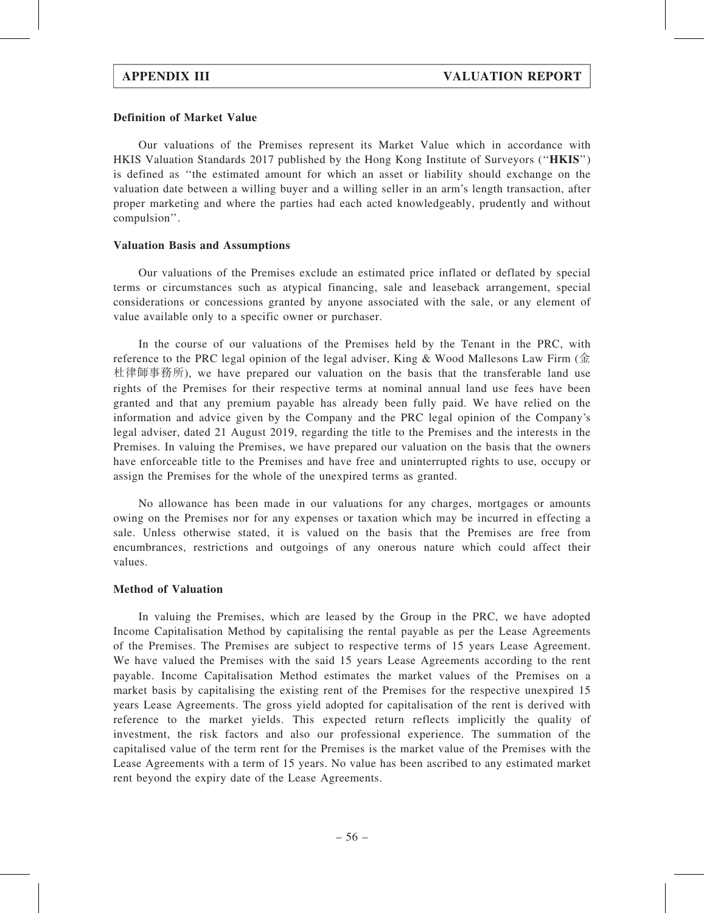#### Definition of Market Value

Our valuations of the Premises represent its Market Value which in accordance with HKIS Valuation Standards 2017 published by the Hong Kong Institute of Surveyors (''HKIS'') is defined as ''the estimated amount for which an asset or liability should exchange on the valuation date between a willing buyer and a willing seller in an arm's length transaction, after proper marketing and where the parties had each acted knowledgeably, prudently and without compulsion''.

#### Valuation Basis and Assumptions

Our valuations of the Premises exclude an estimated price inflated or deflated by special terms or circumstances such as atypical financing, sale and leaseback arrangement, special considerations or concessions granted by anyone associated with the sale, or any element of value available only to a specific owner or purchaser.

In the course of our valuations of the Premises held by the Tenant in the PRC, with reference to the PRC legal opinion of the legal adviser, King & Wood Mallesons Law Firm (金 杜律師事務所), we have prepared our valuation on the basis that the transferable land use rights of the Premises for their respective terms at nominal annual land use fees have been granted and that any premium payable has already been fully paid. We have relied on the information and advice given by the Company and the PRC legal opinion of the Company's legal adviser, dated 21 August 2019, regarding the title to the Premises and the interests in the Premises. In valuing the Premises, we have prepared our valuation on the basis that the owners have enforceable title to the Premises and have free and uninterrupted rights to use, occupy or assign the Premises for the whole of the unexpired terms as granted.

No allowance has been made in our valuations for any charges, mortgages or amounts owing on the Premises nor for any expenses or taxation which may be incurred in effecting a sale. Unless otherwise stated, it is valued on the basis that the Premises are free from encumbrances, restrictions and outgoings of any onerous nature which could affect their values.

### Method of Valuation

In valuing the Premises, which are leased by the Group in the PRC, we have adopted Income Capitalisation Method by capitalising the rental payable as per the Lease Agreements of the Premises. The Premises are subject to respective terms of 15 years Lease Agreement. We have valued the Premises with the said 15 years Lease Agreements according to the rent payable. Income Capitalisation Method estimates the market values of the Premises on a market basis by capitalising the existing rent of the Premises for the respective unexpired 15 years Lease Agreements. The gross yield adopted for capitalisation of the rent is derived with reference to the market yields. This expected return reflects implicitly the quality of investment, the risk factors and also our professional experience. The summation of the capitalised value of the term rent for the Premises is the market value of the Premises with the Lease Agreements with a term of 15 years. No value has been ascribed to any estimated market rent beyond the expiry date of the Lease Agreements.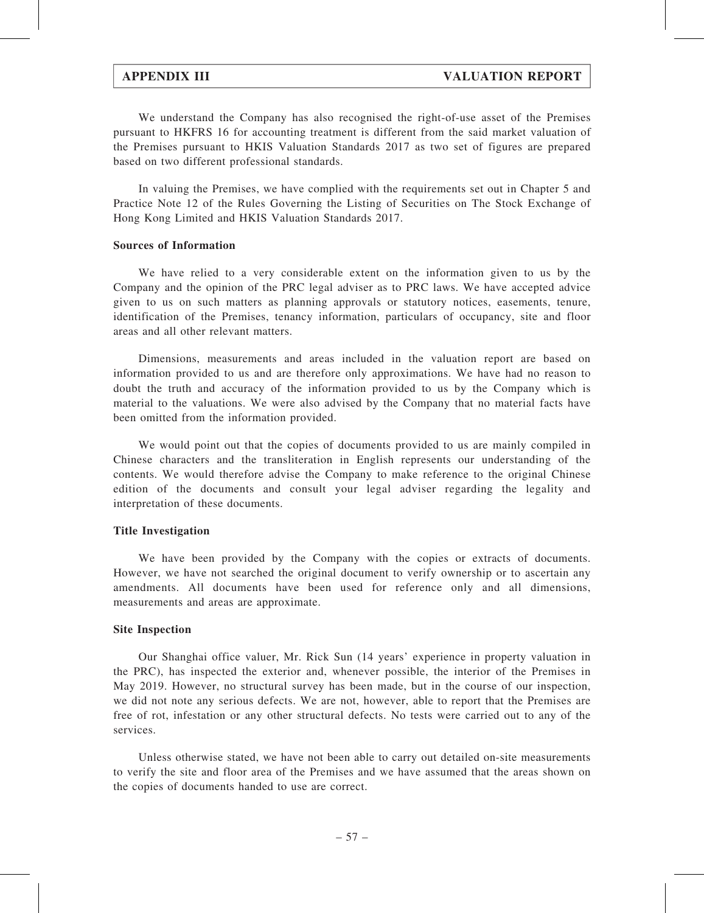We understand the Company has also recognised the right-of-use asset of the Premises pursuant to HKFRS 16 for accounting treatment is different from the said market valuation of the Premises pursuant to HKIS Valuation Standards 2017 as two set of figures are prepared based on two different professional standards.

In valuing the Premises, we have complied with the requirements set out in Chapter 5 and Practice Note 12 of the Rules Governing the Listing of Securities on The Stock Exchange of Hong Kong Limited and HKIS Valuation Standards 2017.

#### Sources of Information

We have relied to a very considerable extent on the information given to us by the Company and the opinion of the PRC legal adviser as to PRC laws. We have accepted advice given to us on such matters as planning approvals or statutory notices, easements, tenure, identification of the Premises, tenancy information, particulars of occupancy, site and floor areas and all other relevant matters.

Dimensions, measurements and areas included in the valuation report are based on information provided to us and are therefore only approximations. We have had no reason to doubt the truth and accuracy of the information provided to us by the Company which is material to the valuations. We were also advised by the Company that no material facts have been omitted from the information provided.

We would point out that the copies of documents provided to us are mainly compiled in Chinese characters and the transliteration in English represents our understanding of the contents. We would therefore advise the Company to make reference to the original Chinese edition of the documents and consult your legal adviser regarding the legality and interpretation of these documents.

#### Title Investigation

We have been provided by the Company with the copies or extracts of documents. However, we have not searched the original document to verify ownership or to ascertain any amendments. All documents have been used for reference only and all dimensions, measurements and areas are approximate.

#### Site Inspection

Our Shanghai office valuer, Mr. Rick Sun (14 years' experience in property valuation in the PRC), has inspected the exterior and, whenever possible, the interior of the Premises in May 2019. However, no structural survey has been made, but in the course of our inspection, we did not note any serious defects. We are not, however, able to report that the Premises are free of rot, infestation or any other structural defects. No tests were carried out to any of the services.

Unless otherwise stated, we have not been able to carry out detailed on-site measurements to verify the site and floor area of the Premises and we have assumed that the areas shown on the copies of documents handed to use are correct.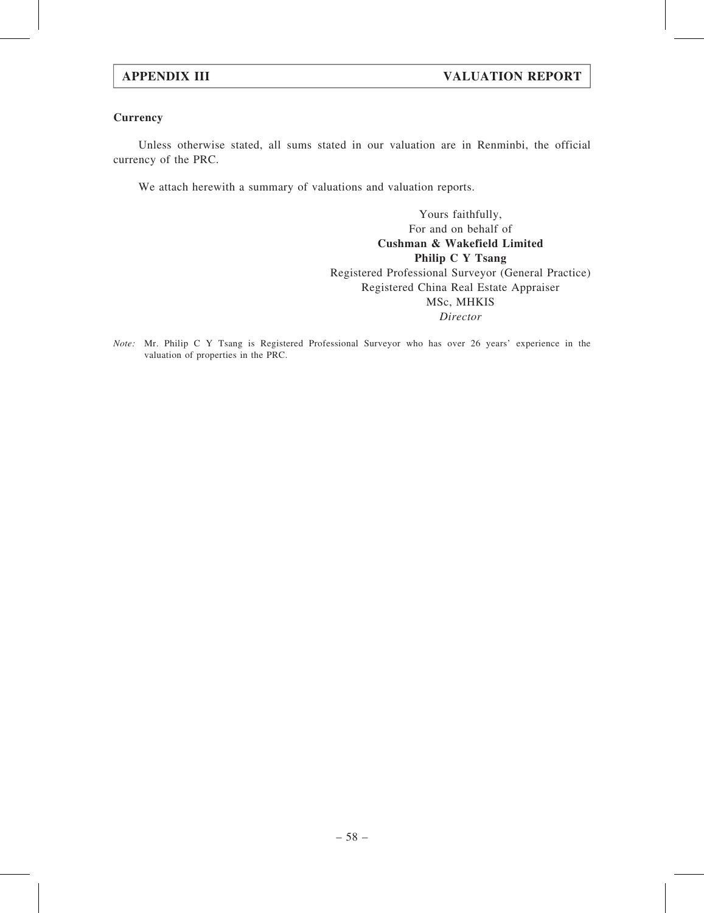### **Currency**

Unless otherwise stated, all sums stated in our valuation are in Renminbi, the official currency of the PRC.

We attach herewith a summary of valuations and valuation reports.

Yours faithfully, For and on behalf of Cushman & Wakefield Limited Philip C Y Tsang Registered Professional Surveyor (General Practice) Registered China Real Estate Appraiser MSc, MHKIS Director

Note: Mr. Philip C Y Tsang is Registered Professional Surveyor who has over 26 years' experience in the valuation of properties in the PRC.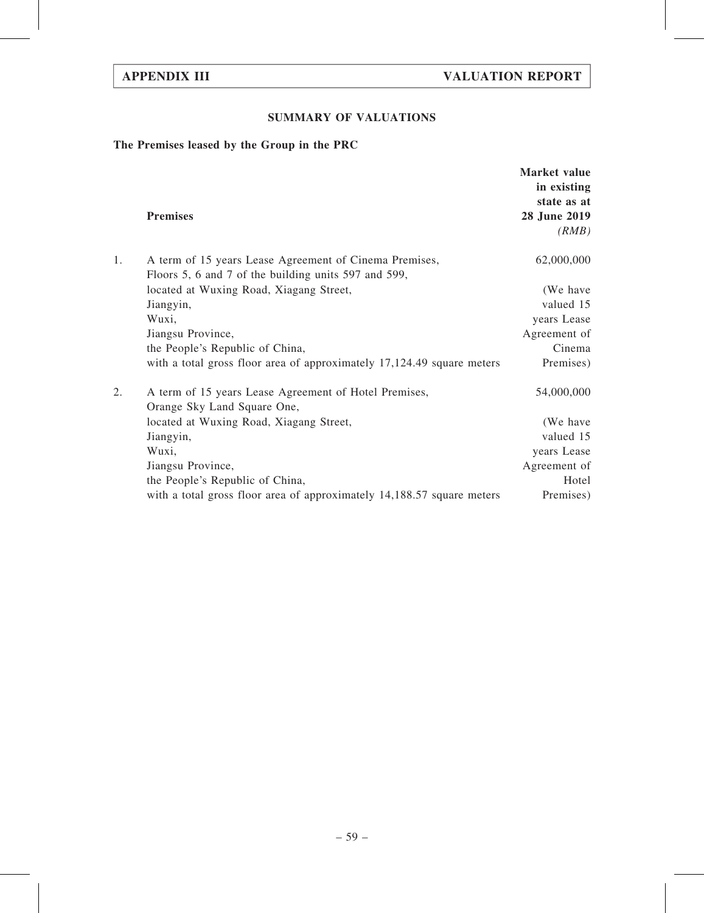## SUMMARY OF VALUATIONS

## The Premises leased by the Group in the PRC

|    |                                                                                                                | Market value<br>in existing<br>state as at |
|----|----------------------------------------------------------------------------------------------------------------|--------------------------------------------|
|    | <b>Premises</b>                                                                                                | 28 June 2019                               |
|    |                                                                                                                | (RMB)                                      |
| 1. | A term of 15 years Lease Agreement of Cinema Premises,<br>Floors 5, 6 and 7 of the building units 597 and 599, | 62,000,000                                 |
|    | located at Wuxing Road, Xiagang Street,                                                                        | (We have                                   |
|    | Jiangyin,                                                                                                      | valued 15                                  |
|    | Wuxi,                                                                                                          | years Lease                                |
|    | Jiangsu Province,                                                                                              | Agreement of                               |
|    | the People's Republic of China,                                                                                | Cinema                                     |
|    | with a total gross floor area of approximately 17,124.49 square meters                                         | Premises)                                  |
| 2. | A term of 15 years Lease Agreement of Hotel Premises,<br>Orange Sky Land Square One,                           | 54,000,000                                 |
|    | located at Wuxing Road, Xiagang Street,                                                                        | (We have                                   |
|    | Jiangyin,                                                                                                      | valued 15                                  |
|    | Wuxi,                                                                                                          | years Lease                                |
|    | Jiangsu Province,                                                                                              | Agreement of                               |
|    | the People's Republic of China,                                                                                | Hotel                                      |
|    | with a total gross floor area of approximately 14,188.57 square meters                                         | Premises)                                  |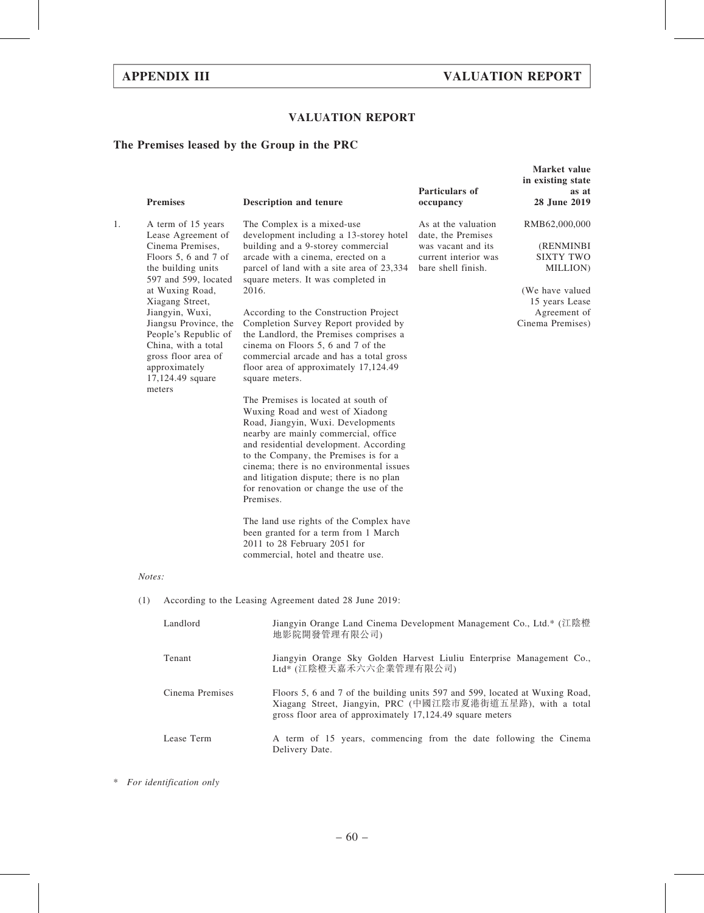## VALUATION REPORT

## The Premises leased by the Group in the PRC

|    | <b>Premises</b>                                                                                                                                                                                                                                                                                                                           | Description and tenure                                                                                                                                                                                                                                                                                                                                                                                                                                                                                                                                                                                                                                                                                                                                                                                                                                                                             | Particulars of<br>occupancy                                                                                   | Market value<br>in existing state<br>as at<br>28 June 2019                                                                          |
|----|-------------------------------------------------------------------------------------------------------------------------------------------------------------------------------------------------------------------------------------------------------------------------------------------------------------------------------------------|----------------------------------------------------------------------------------------------------------------------------------------------------------------------------------------------------------------------------------------------------------------------------------------------------------------------------------------------------------------------------------------------------------------------------------------------------------------------------------------------------------------------------------------------------------------------------------------------------------------------------------------------------------------------------------------------------------------------------------------------------------------------------------------------------------------------------------------------------------------------------------------------------|---------------------------------------------------------------------------------------------------------------|-------------------------------------------------------------------------------------------------------------------------------------|
| 1. | A term of 15 years<br>Lease Agreement of<br>Cinema Premises,<br>Floors 5, 6 and 7 of<br>the building units<br>597 and 599, located<br>at Wuxing Road,<br>Xiagang Street,<br>Jiangyin, Wuxi,<br>Jiangsu Province, the<br>People's Republic of<br>China, with a total<br>gross floor area of<br>approximately<br>17,124.49 square<br>meters | The Complex is a mixed-use<br>development including a 13-storey hotel<br>building and a 9-storey commercial<br>arcade with a cinema, erected on a<br>parcel of land with a site area of 23,334<br>square meters. It was completed in<br>2016.<br>According to the Construction Project<br>Completion Survey Report provided by<br>the Landlord, the Premises comprises a<br>cinema on Floors 5, 6 and 7 of the<br>commercial arcade and has a total gross<br>floor area of approximately 17,124.49<br>square meters.<br>The Premises is located at south of<br>Wuxing Road and west of Xiadong<br>Road, Jiangyin, Wuxi. Developments<br>nearby are mainly commercial, office<br>and residential development. According<br>to the Company, the Premises is for a<br>cinema; there is no environmental issues<br>and litigation dispute; there is no plan<br>for renovation or change the use of the | As at the valuation<br>date, the Premises<br>was vacant and its<br>current interior was<br>bare shell finish. | RMB62,000,000<br>(RENMINBI<br><b>SIXTY TWO</b><br>MILLION)<br>(We have valued<br>15 years Lease<br>Agreement of<br>Cinema Premises) |
|    |                                                                                                                                                                                                                                                                                                                                           | Premises.<br>The land use rights of the Complex have<br>been granted for a term from 1 March<br>2011 to 28 February 2051 for<br>commercial, hotel and theatre use.                                                                                                                                                                                                                                                                                                                                                                                                                                                                                                                                                                                                                                                                                                                                 |                                                                                                               |                                                                                                                                     |
|    | Notes:                                                                                                                                                                                                                                                                                                                                    |                                                                                                                                                                                                                                                                                                                                                                                                                                                                                                                                                                                                                                                                                                                                                                                                                                                                                                    |                                                                                                               |                                                                                                                                     |
|    | (1)                                                                                                                                                                                                                                                                                                                                       | According to the Leasing Agreement dated 28 June 2019:                                                                                                                                                                                                                                                                                                                                                                                                                                                                                                                                                                                                                                                                                                                                                                                                                                             |                                                                                                               |                                                                                                                                     |
|    | Landlord                                                                                                                                                                                                                                                                                                                                  | Jiangyin Orange Land Cinema Development Management Co., Ltd.* (江陰橙<br>地影院開發管理有限公司)                                                                                                                                                                                                                                                                                                                                                                                                                                                                                                                                                                                                                                                                                                                                                                                                                 |                                                                                                               |                                                                                                                                     |
|    | Tenant                                                                                                                                                                                                                                                                                                                                    | Jiangyin Orange Sky Golden Harvest Liuliu Enterprise Management Co.,<br>Ltd* (江陰橙天嘉禾六六企業管理有限公司)                                                                                                                                                                                                                                                                                                                                                                                                                                                                                                                                                                                                                                                                                                                                                                                                    |                                                                                                               |                                                                                                                                     |
|    | Cinema Premises                                                                                                                                                                                                                                                                                                                           | Floors 5, 6 and 7 of the building units 597 and 599, located at Wuxing Road,<br>Xiagang Street, Jiangyin, PRC (中國江陰市夏港街道五星路), with a total<br>gross floor area of approximately 17,124.49 square meters                                                                                                                                                                                                                                                                                                                                                                                                                                                                                                                                                                                                                                                                                            |                                                                                                               |                                                                                                                                     |
|    | Lease Term                                                                                                                                                                                                                                                                                                                                | A term of 15 years, commencing from the date following the Cinema                                                                                                                                                                                                                                                                                                                                                                                                                                                                                                                                                                                                                                                                                                                                                                                                                                  |                                                                                                               |                                                                                                                                     |

\* For identification only

Delivery Date.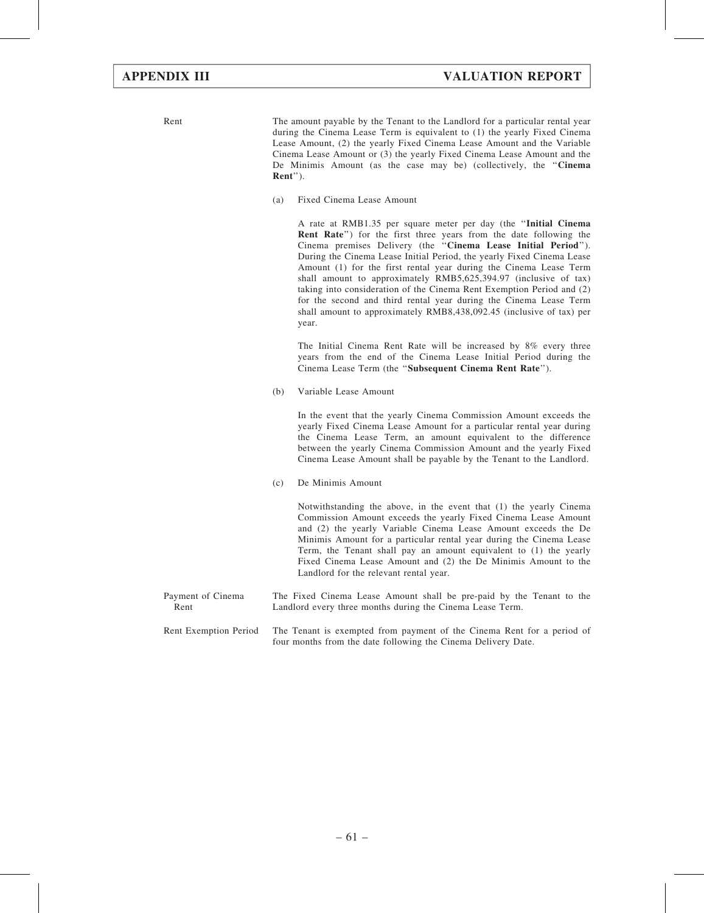Rent The amount payable by the Tenant to the Landlord for a particular rental year during the Cinema Lease Term is equivalent to (1) the yearly Fixed Cinema Lease Amount, (2) the yearly Fixed Cinema Lease Amount and the Variable Cinema Lease Amount or (3) the yearly Fixed Cinema Lease Amount and the De Minimis Amount (as the case may be) (collectively, the ''Cinema Rent'').

(a) Fixed Cinema Lease Amount

A rate at RMB1.35 per square meter per day (the ''Initial Cinema Rent Rate'') for the first three years from the date following the Cinema premises Delivery (the ''Cinema Lease Initial Period''). During the Cinema Lease Initial Period, the yearly Fixed Cinema Lease Amount (1) for the first rental year during the Cinema Lease Term shall amount to approximately RMB5,625,394.97 (inclusive of tax) taking into consideration of the Cinema Rent Exemption Period and (2) for the second and third rental year during the Cinema Lease Term shall amount to approximately RMB8,438,092.45 (inclusive of tax) per year.

The Initial Cinema Rent Rate will be increased by 8% every three years from the end of the Cinema Lease Initial Period during the Cinema Lease Term (the ''Subsequent Cinema Rent Rate'').

(b) Variable Lease Amount

In the event that the yearly Cinema Commission Amount exceeds the yearly Fixed Cinema Lease Amount for a particular rental year during the Cinema Lease Term, an amount equivalent to the difference between the yearly Cinema Commission Amount and the yearly Fixed Cinema Lease Amount shall be payable by the Tenant to the Landlord.

(c) De Minimis Amount

Notwithstanding the above, in the event that (1) the yearly Cinema Commission Amount exceeds the yearly Fixed Cinema Lease Amount and (2) the yearly Variable Cinema Lease Amount exceeds the De Minimis Amount for a particular rental year during the Cinema Lease Term, the Tenant shall pay an amount equivalent to (1) the yearly Fixed Cinema Lease Amount and (2) the De Minimis Amount to the Landlord for the relevant rental year.

- Payment of Cinema Rent The Fixed Cinema Lease Amount shall be pre-paid by the Tenant to the Landlord every three months during the Cinema Lease Term.
- Rent Exemption Period The Tenant is exempted from payment of the Cinema Rent for a period of four months from the date following the Cinema Delivery Date.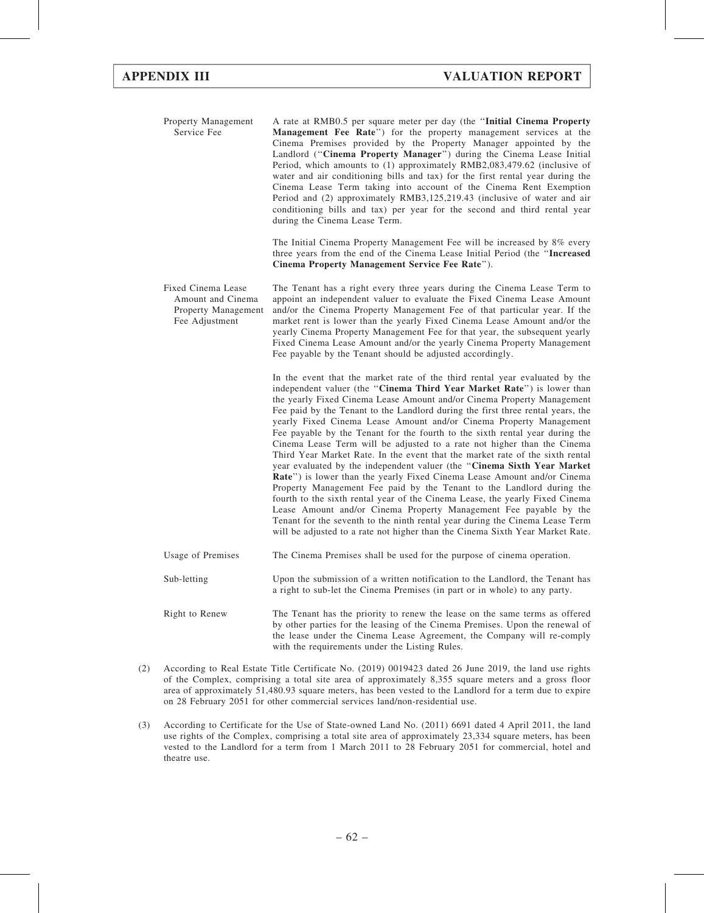Property Management Service Fee A rate at RMB0.5 per square meter per day (the ''Initial Cinema Property Management Fee Rate'') for the property management services at the Cinema Premises provided by the Property Manager appointed by the Landlord ("Cinema Property Manager") during the Cinema Lease Initial Period, which amounts to (1) approximately RMB2,083,479.62 (inclusive of water and air conditioning bills and tax) for the first rental year during the Cinema Lease Term taking into account of the Cinema Rent Exemption Period and (2) approximately RMB3,125,219.43 (inclusive of water and air conditioning bills and tax) per year for the second and third rental year during the Cinema Lease Term.

> The Initial Cinema Property Management Fee will be increased by 8% every three years from the end of the Cinema Lease Initial Period (the ''Increased Cinema Property Management Service Fee Rate'').

Fixed Cinema Lease Amount and Cinema Property Management Fee Adjustment The Tenant has a right every three years during the Cinema Lease Term to appoint an independent valuer to evaluate the Fixed Cinema Lease Amount and/or the Cinema Property Management Fee of that particular year. If the market rent is lower than the yearly Fixed Cinema Lease Amount and/or the yearly Cinema Property Management Fee for that year, the subsequent yearly Fixed Cinema Lease Amount and/or the yearly Cinema Property Management Fee payable by the Tenant should be adjusted accordingly.

> In the event that the market rate of the third rental year evaluated by the independent valuer (the "Cinema Third Year Market Rate") is lower than the yearly Fixed Cinema Lease Amount and/or Cinema Property Management Fee paid by the Tenant to the Landlord during the first three rental years, the yearly Fixed Cinema Lease Amount and/or Cinema Property Management Fee payable by the Tenant for the fourth to the sixth rental year during the Cinema Lease Term will be adjusted to a rate not higher than the Cinema Third Year Market Rate. In the event that the market rate of the sixth rental year evaluated by the independent valuer (the ''Cinema Sixth Year Market Rate'') is lower than the yearly Fixed Cinema Lease Amount and/or Cinema Property Management Fee paid by the Tenant to the Landlord during the fourth to the sixth rental year of the Cinema Lease, the yearly Fixed Cinema Lease Amount and/or Cinema Property Management Fee payable by the Tenant for the seventh to the ninth rental year during the Cinema Lease Term will be adjusted to a rate not higher than the Cinema Sixth Year Market Rate.

| Usage of Premises | The Cinema Premises shall be used for the purpose of cinema operation.                                                                                                                                                                |
|-------------------|---------------------------------------------------------------------------------------------------------------------------------------------------------------------------------------------------------------------------------------|
| Sub-letting       | Upon the submission of a written notification to the Landlord, the Tenant has<br>a right to sub-let the Cinema Premises (in part or in whole) to any party.                                                                           |
| Right to Renew    | The Tenant has the priority to renew the lease on the same terms as offered<br>by other parties for the leasing of the Cinema Premises. Upon the renewal of<br>the lease under the Cinema Lease Agreement, the Company will re-comply |

(2) According to Real Estate Title Certificate No. (2019) 0019423 dated 26 June 2019, the land use rights of the Complex, comprising a total site area of approximately 8,355 square meters and a gross floor area of approximately 51,480.93 square meters, has been vested to the Landlord for a term due to expire on 28 February 2051 for other commercial services land/non-residential use.

with the requirements under the Listing Rules.

(3) According to Certificate for the Use of State-owned Land No. (2011) 6691 dated 4 April 2011, the land use rights of the Complex, comprising a total site area of approximately 23,334 square meters, has been vested to the Landlord for a term from 1 March 2011 to 28 February 2051 for commercial, hotel and theatre use.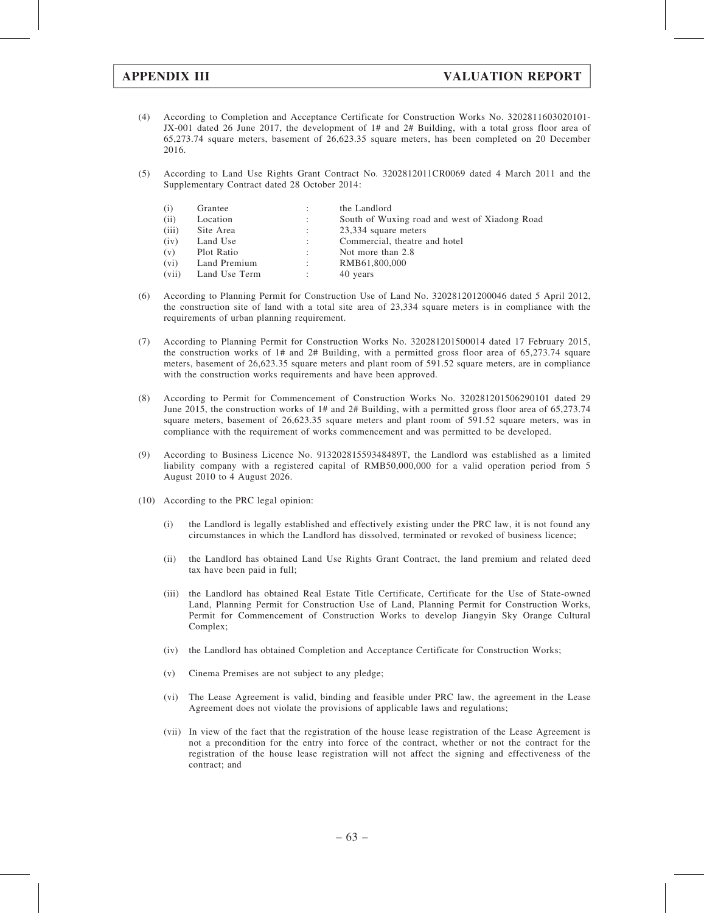- (4) According to Completion and Acceptance Certificate for Construction Works No. 3202811603020101- JX-001 dated 26 June 2017, the development of 1# and 2# Building, with a total gross floor area of 65,273.74 square meters, basement of 26,623.35 square meters, has been completed on 20 December 2016.
- (5) According to Land Use Rights Grant Contract No. 3202812011CR0069 dated 4 March 2011 and the Supplementary Contract dated 28 October 2014:

| (i)               | Grantee       |                      | the Landlord                                  |
|-------------------|---------------|----------------------|-----------------------------------------------|
| (ii)              | Location      | $\ddot{\phantom{a}}$ | South of Wuxing road and west of Xiadong Road |
| (iii)             | Site Area     |                      | 23,334 square meters                          |
| (iv)              | Land Use      | ÷                    | Commercial, theatre and hotel                 |
| (v)               | Plot Ratio    | $\ddot{\phantom{a}}$ | Not more than 2.8                             |
| (v <sub>i</sub> ) | Land Premium  | ÷                    | RMB61,800,000                                 |
| (vii)             | Land Use Term |                      | 40 years                                      |

- (6) According to Planning Permit for Construction Use of Land No. 320281201200046 dated 5 April 2012, the construction site of land with a total site area of 23,334 square meters is in compliance with the requirements of urban planning requirement.
- (7) According to Planning Permit for Construction Works No. 320281201500014 dated 17 February 2015, the construction works of 1# and 2# Building, with a permitted gross floor area of 65,273.74 square meters, basement of 26,623.35 square meters and plant room of 591.52 square meters, are in compliance with the construction works requirements and have been approved.
- (8) According to Permit for Commencement of Construction Works No. 320281201506290101 dated 29 June 2015, the construction works of 1# and 2# Building, with a permitted gross floor area of 65,273.74 square meters, basement of 26,623.35 square meters and plant room of 591.52 square meters, was in compliance with the requirement of works commencement and was permitted to be developed.
- (9) According to Business Licence No. 91320281559348489T, the Landlord was established as a limited liability company with a registered capital of RMB50,000,000 for a valid operation period from 5 August 2010 to 4 August 2026.
- (10) According to the PRC legal opinion:
	- (i) the Landlord is legally established and effectively existing under the PRC law, it is not found any circumstances in which the Landlord has dissolved, terminated or revoked of business licence;
	- (ii) the Landlord has obtained Land Use Rights Grant Contract, the land premium and related deed tax have been paid in full;
	- (iii) the Landlord has obtained Real Estate Title Certificate, Certificate for the Use of State-owned Land, Planning Permit for Construction Use of Land, Planning Permit for Construction Works, Permit for Commencement of Construction Works to develop Jiangyin Sky Orange Cultural Complex;
	- (iv) the Landlord has obtained Completion and Acceptance Certificate for Construction Works;
	- (v) Cinema Premises are not subject to any pledge;
	- (vi) The Lease Agreement is valid, binding and feasible under PRC law, the agreement in the Lease Agreement does not violate the provisions of applicable laws and regulations;
	- (vii) In view of the fact that the registration of the house lease registration of the Lease Agreement is not a precondition for the entry into force of the contract, whether or not the contract for the registration of the house lease registration will not affect the signing and effectiveness of the contract; and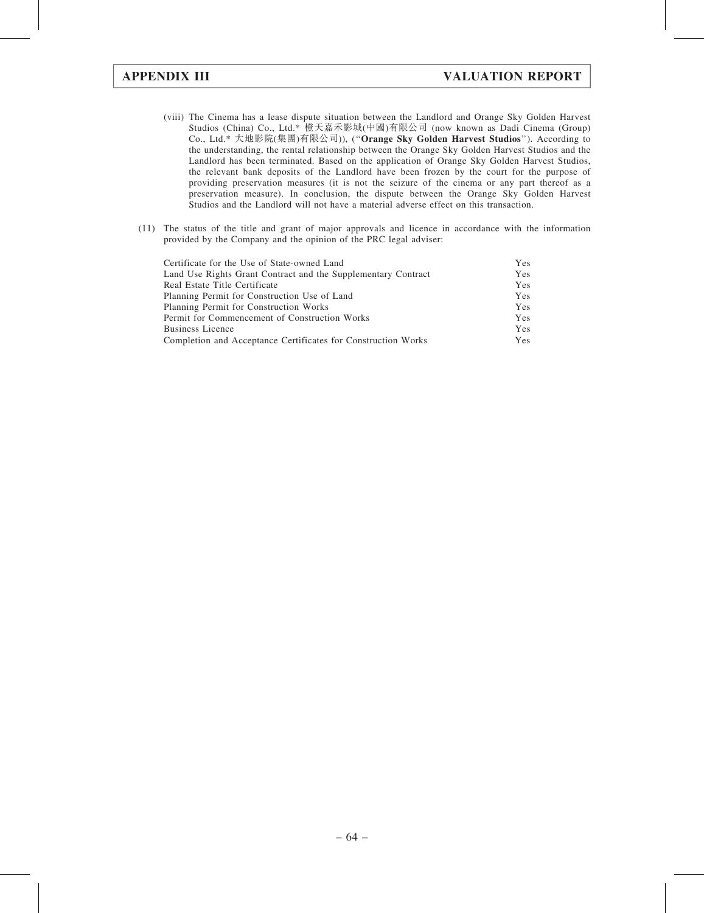- (viii) The Cinema has a lease dispute situation between the Landlord and Orange Sky Golden Harvest Studios (China) Co., Ltd.\* 橙天嘉禾影城(中國)有限公司 (now known as Dadi Cinema (Group) Co., Ltd.\* 大地影院(集團)有限公司)), (''Orange Sky Golden Harvest Studios''). According to the understanding, the rental relationship between the Orange Sky Golden Harvest Studios and the Landlord has been terminated. Based on the application of Orange Sky Golden Harvest Studios, the relevant bank deposits of the Landlord have been frozen by the court for the purpose of providing preservation measures (it is not the seizure of the cinema or any part thereof as a preservation measure). In conclusion, the dispute between the Orange Sky Golden Harvest Studios and the Landlord will not have a material adverse effect on this transaction.
- (11) The status of the title and grant of major approvals and licence in accordance with the information provided by the Company and the opinion of the PRC legal adviser:

| Certificate for the Use of State-owned Land                   | Yes |
|---------------------------------------------------------------|-----|
| Land Use Rights Grant Contract and the Supplementary Contract | Yes |
| Real Estate Title Certificate                                 | Yes |
| Planning Permit for Construction Use of Land                  | Yes |
| Planning Permit for Construction Works                        | Yes |
| Permit for Commencement of Construction Works                 | Yes |
| <b>Business Licence</b>                                       | Yes |
| Completion and Acceptance Certificates for Construction Works | Yes |
|                                                               |     |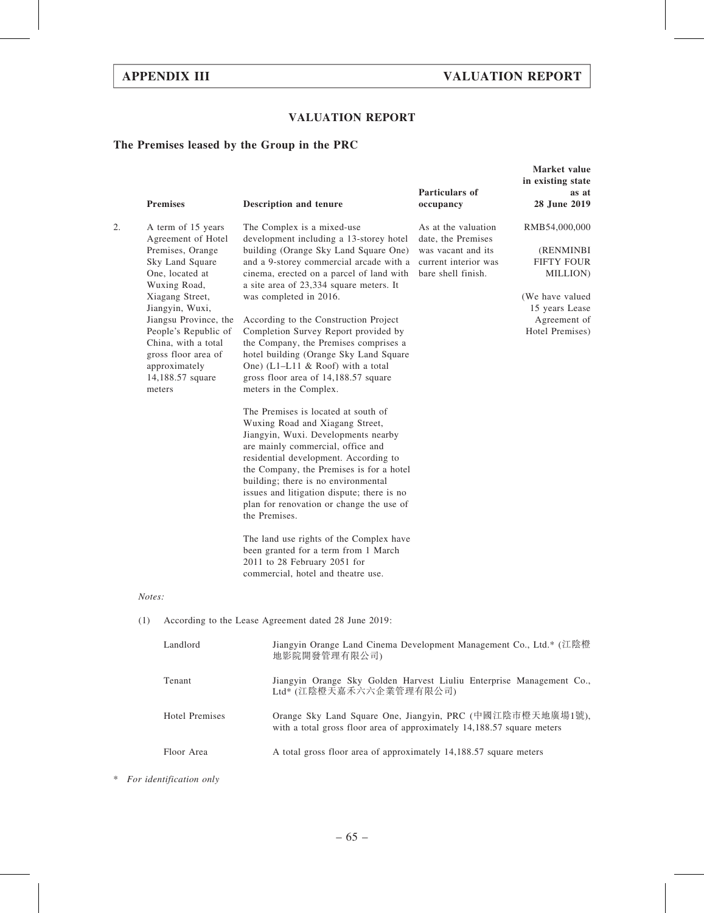Market value

## VALUATION REPORT

## The Premises leased by the Group in the PRC

|    | <b>Premises</b>                                                                                                                                                                                                                                                                                        | Description and tenure                                                                                                                                                                                                                                                                                                                                                                                                                                                                                                                                                                                                                                                                                                                                                                                                                                                                                                                                                                                                                                                                                         | Particulars of<br>occupancy                                                                                                         | in existing state<br>as at<br>28 June 2019                                                                                          |  |  |  |
|----|--------------------------------------------------------------------------------------------------------------------------------------------------------------------------------------------------------------------------------------------------------------------------------------------------------|----------------------------------------------------------------------------------------------------------------------------------------------------------------------------------------------------------------------------------------------------------------------------------------------------------------------------------------------------------------------------------------------------------------------------------------------------------------------------------------------------------------------------------------------------------------------------------------------------------------------------------------------------------------------------------------------------------------------------------------------------------------------------------------------------------------------------------------------------------------------------------------------------------------------------------------------------------------------------------------------------------------------------------------------------------------------------------------------------------------|-------------------------------------------------------------------------------------------------------------------------------------|-------------------------------------------------------------------------------------------------------------------------------------|--|--|--|
| 2. | A term of 15 years<br>Agreement of Hotel<br>Premises, Orange<br>Sky Land Square<br>One, located at<br>Wuxing Road,<br>Xiagang Street,<br>Jiangyin, Wuxi,<br>Jiangsu Province, the<br>People's Republic of<br>China, with a total<br>gross floor area of<br>approximately<br>14,188.57 square<br>meters | The Complex is a mixed-use<br>development including a 13-storey hotel<br>building (Orange Sky Land Square One)<br>and a 9-storey commercial arcade with a<br>cinema, erected on a parcel of land with<br>a site area of 23,334 square meters. It<br>was completed in 2016.<br>According to the Construction Project<br>Completion Survey Report provided by<br>the Company, the Premises comprises a<br>hotel building (Orange Sky Land Square<br>One) (L1-L11 $\&$ Roof) with a total<br>gross floor area of 14,188.57 square<br>meters in the Complex.<br>The Premises is located at south of<br>Wuxing Road and Xiagang Street,<br>Jiangyin, Wuxi. Developments nearby<br>are mainly commercial, office and<br>residential development. According to<br>the Company, the Premises is for a hotel<br>building; there is no environmental<br>issues and litigation dispute; there is no<br>plan for renovation or change the use of<br>the Premises.<br>The land use rights of the Complex have<br>been granted for a term from 1 March<br>2011 to 28 February 2051 for<br>commercial, hotel and theatre use. | As at the valuation<br>date, the Premises<br>was vacant and its<br>current interior was<br>bare shell finish.                       | RMB54,000,000<br>(RENMINBI<br><b>FIFTY FOUR</b><br>MILLION)<br>(We have valued<br>15 years Lease<br>Agreement of<br>Hotel Premises) |  |  |  |
|    | Notes:                                                                                                                                                                                                                                                                                                 |                                                                                                                                                                                                                                                                                                                                                                                                                                                                                                                                                                                                                                                                                                                                                                                                                                                                                                                                                                                                                                                                                                                |                                                                                                                                     |                                                                                                                                     |  |  |  |
|    | (1)                                                                                                                                                                                                                                                                                                    | According to the Lease Agreement dated 28 June 2019:                                                                                                                                                                                                                                                                                                                                                                                                                                                                                                                                                                                                                                                                                                                                                                                                                                                                                                                                                                                                                                                           |                                                                                                                                     |                                                                                                                                     |  |  |  |
|    | Landlord<br>Jiangyin Orange Land Cinema Development Management Co., Ltd.* (江陰橙<br>地影院開發管理有限公司)                                                                                                                                                                                                         |                                                                                                                                                                                                                                                                                                                                                                                                                                                                                                                                                                                                                                                                                                                                                                                                                                                                                                                                                                                                                                                                                                                |                                                                                                                                     |                                                                                                                                     |  |  |  |
|    | Tenant                                                                                                                                                                                                                                                                                                 |                                                                                                                                                                                                                                                                                                                                                                                                                                                                                                                                                                                                                                                                                                                                                                                                                                                                                                                                                                                                                                                                                                                | Jiangyin Orange Sky Golden Harvest Liuliu Enterprise Management Co.,<br>Ltd* (江陰橙天嘉禾六六企業管理有限公司)                                     |                                                                                                                                     |  |  |  |
|    | <b>Hotel Premises</b>                                                                                                                                                                                                                                                                                  |                                                                                                                                                                                                                                                                                                                                                                                                                                                                                                                                                                                                                                                                                                                                                                                                                                                                                                                                                                                                                                                                                                                | Orange Sky Land Square One, Jiangyin, PRC (中國江陰市橙天地廣場1號),<br>with a total gross floor area of approximately 14,188.57 square meters |                                                                                                                                     |  |  |  |
|    | Floor Area                                                                                                                                                                                                                                                                                             | A total gross floor area of approximately 14,188.57 square meters                                                                                                                                                                                                                                                                                                                                                                                                                                                                                                                                                                                                                                                                                                                                                                                                                                                                                                                                                                                                                                              |                                                                                                                                     |                                                                                                                                     |  |  |  |
|    |                                                                                                                                                                                                                                                                                                        |                                                                                                                                                                                                                                                                                                                                                                                                                                                                                                                                                                                                                                                                                                                                                                                                                                                                                                                                                                                                                                                                                                                |                                                                                                                                     |                                                                                                                                     |  |  |  |

\* For identification only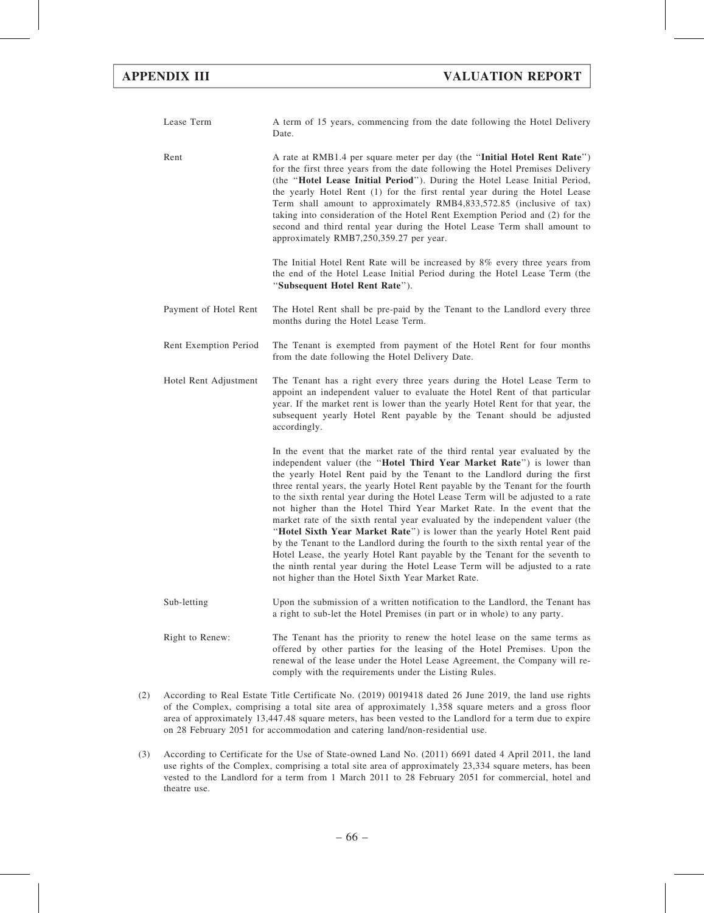| Lease Term            | A term of 15 years, commencing from the date following the Hotel Delivery<br>Date.                                                                                                                                                                                                                                                                                                                                                                                                                                                                                                                                                                                                                                                                                                                                                                                                                                                                    |
|-----------------------|-------------------------------------------------------------------------------------------------------------------------------------------------------------------------------------------------------------------------------------------------------------------------------------------------------------------------------------------------------------------------------------------------------------------------------------------------------------------------------------------------------------------------------------------------------------------------------------------------------------------------------------------------------------------------------------------------------------------------------------------------------------------------------------------------------------------------------------------------------------------------------------------------------------------------------------------------------|
| Rent                  | A rate at RMB1.4 per square meter per day (the "Initial Hotel Rent Rate")<br>for the first three years from the date following the Hotel Premises Delivery<br>(the "Hotel Lease Initial Period"). During the Hotel Lease Initial Period,<br>the yearly Hotel Rent (1) for the first rental year during the Hotel Lease<br>Term shall amount to approximately RMB4,833,572.85 (inclusive of tax)<br>taking into consideration of the Hotel Rent Exemption Period and (2) for the<br>second and third rental year during the Hotel Lease Term shall amount to<br>approximately RMB7,250,359.27 per year.                                                                                                                                                                                                                                                                                                                                                |
|                       | The Initial Hotel Rent Rate will be increased by $8\%$ every three years from<br>the end of the Hotel Lease Initial Period during the Hotel Lease Term (the<br>"Subsequent Hotel Rent Rate").                                                                                                                                                                                                                                                                                                                                                                                                                                                                                                                                                                                                                                                                                                                                                         |
| Payment of Hotel Rent | The Hotel Rent shall be pre-paid by the Tenant to the Landlord every three<br>months during the Hotel Lease Term.                                                                                                                                                                                                                                                                                                                                                                                                                                                                                                                                                                                                                                                                                                                                                                                                                                     |
| Rent Exemption Period | The Tenant is exempted from payment of the Hotel Rent for four months<br>from the date following the Hotel Delivery Date.                                                                                                                                                                                                                                                                                                                                                                                                                                                                                                                                                                                                                                                                                                                                                                                                                             |
| Hotel Rent Adjustment | The Tenant has a right every three years during the Hotel Lease Term to<br>appoint an independent valuer to evaluate the Hotel Rent of that particular<br>year. If the market rent is lower than the yearly Hotel Rent for that year, the<br>subsequent yearly Hotel Rent payable by the Tenant should be adjusted<br>accordingly.                                                                                                                                                                                                                                                                                                                                                                                                                                                                                                                                                                                                                    |
|                       | In the event that the market rate of the third rental year evaluated by the<br>independent valuer (the "Hotel Third Year Market Rate") is lower than<br>the yearly Hotel Rent paid by the Tenant to the Landlord during the first<br>three rental years, the yearly Hotel Rent payable by the Tenant for the fourth<br>to the sixth rental year during the Hotel Lease Term will be adjusted to a rate<br>not higher than the Hotel Third Year Market Rate. In the event that the<br>market rate of the sixth rental year evaluated by the independent valuer (the<br>"Hotel Sixth Year Market Rate") is lower than the yearly Hotel Rent paid<br>by the Tenant to the Landlord during the fourth to the sixth rental year of the<br>Hotel Lease, the yearly Hotel Rant payable by the Tenant for the seventh to<br>the ninth rental year during the Hotel Lease Term will be adjusted to a rate<br>not higher than the Hotel Sixth Year Market Rate. |
| Sub-letting           | Upon the submission of a written notification to the Landlord, the Tenant has<br>a right to sub-let the Hotel Premises (in part or in whole) to any party.                                                                                                                                                                                                                                                                                                                                                                                                                                                                                                                                                                                                                                                                                                                                                                                            |
| Right to Renew:       | The Tenant has the priority to renew the hotel lease on the same terms as<br>offered by other parties for the leasing of the Hotel Premises. Upon the<br>renewal of the lease under the Hotel Lease Agreement, the Company will re-<br>comply with the requirements under the Listing Rules.                                                                                                                                                                                                                                                                                                                                                                                                                                                                                                                                                                                                                                                          |

- (2) According to Real Estate Title Certificate No. (2019) 0019418 dated 26 June 2019, the land use rights of the Complex, comprising a total site area of approximately 1,358 square meters and a gross floor area of approximately 13,447.48 square meters, has been vested to the Landlord for a term due to expire on 28 February 2051 for accommodation and catering land/non-residential use.
- (3) According to Certificate for the Use of State-owned Land No. (2011) 6691 dated 4 April 2011, the land use rights of the Complex, comprising a total site area of approximately 23,334 square meters, has been vested to the Landlord for a term from 1 March 2011 to 28 February 2051 for commercial, hotel and theatre use.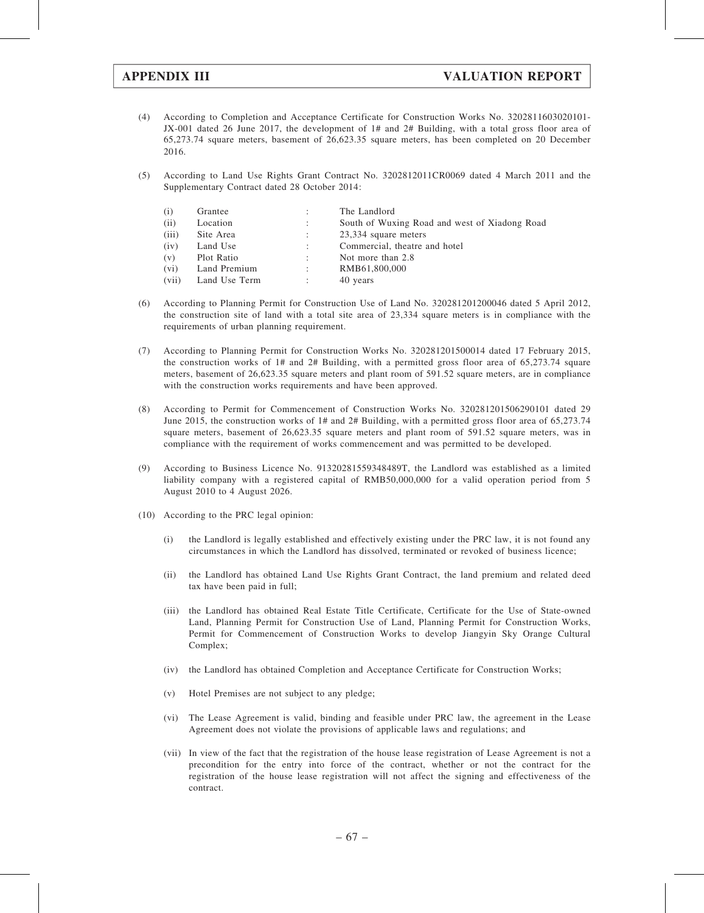- (4) According to Completion and Acceptance Certificate for Construction Works No. 3202811603020101- JX-001 dated 26 June 2017, the development of 1# and 2# Building, with a total gross floor area of 65,273.74 square meters, basement of 26,623.35 square meters, has been completed on 20 December 2016.
- (5) According to Land Use Rights Grant Contract No. 3202812011CR0069 dated 4 March 2011 and the Supplementary Contract dated 28 October 2014:

| (i)     | Grantee       | ÷ | The Landlord                                  |
|---------|---------------|---|-----------------------------------------------|
| (ii)    | Location      |   | South of Wuxing Road and west of Xiadong Road |
| (iii)   | Site Area     |   | 23,334 square meters                          |
| (iv)    | Land Use      | ÷ | Commercial, theatre and hotel                 |
| (v)     | Plot Ratio    |   | Not more than 2.8                             |
| $(v_i)$ | Land Premium  | ÷ | RMB61,800,000                                 |
| (vii)   | Land Use Term |   | 40 years                                      |

- (6) According to Planning Permit for Construction Use of Land No. 320281201200046 dated 5 April 2012, the construction site of land with a total site area of 23,334 square meters is in compliance with the requirements of urban planning requirement.
- (7) According to Planning Permit for Construction Works No. 320281201500014 dated 17 February 2015, the construction works of 1# and 2# Building, with a permitted gross floor area of 65,273.74 square meters, basement of 26,623.35 square meters and plant room of 591.52 square meters, are in compliance with the construction works requirements and have been approved.
- (8) According to Permit for Commencement of Construction Works No. 320281201506290101 dated 29 June 2015, the construction works of 1# and 2# Building, with a permitted gross floor area of 65,273.74 square meters, basement of 26,623.35 square meters and plant room of 591.52 square meters, was in compliance with the requirement of works commencement and was permitted to be developed.
- (9) According to Business Licence No. 91320281559348489T, the Landlord was established as a limited liability company with a registered capital of RMB50,000,000 for a valid operation period from 5 August 2010 to 4 August 2026.
- (10) According to the PRC legal opinion:
	- (i) the Landlord is legally established and effectively existing under the PRC law, it is not found any circumstances in which the Landlord has dissolved, terminated or revoked of business licence;
	- (ii) the Landlord has obtained Land Use Rights Grant Contract, the land premium and related deed tax have been paid in full;
	- (iii) the Landlord has obtained Real Estate Title Certificate, Certificate for the Use of State-owned Land, Planning Permit for Construction Use of Land, Planning Permit for Construction Works, Permit for Commencement of Construction Works to develop Jiangyin Sky Orange Cultural Complex;
	- (iv) the Landlord has obtained Completion and Acceptance Certificate for Construction Works;
	- (v) Hotel Premises are not subject to any pledge;
	- (vi) The Lease Agreement is valid, binding and feasible under PRC law, the agreement in the Lease Agreement does not violate the provisions of applicable laws and regulations; and
	- (vii) In view of the fact that the registration of the house lease registration of Lease Agreement is not a precondition for the entry into force of the contract, whether or not the contract for the registration of the house lease registration will not affect the signing and effectiveness of the contract.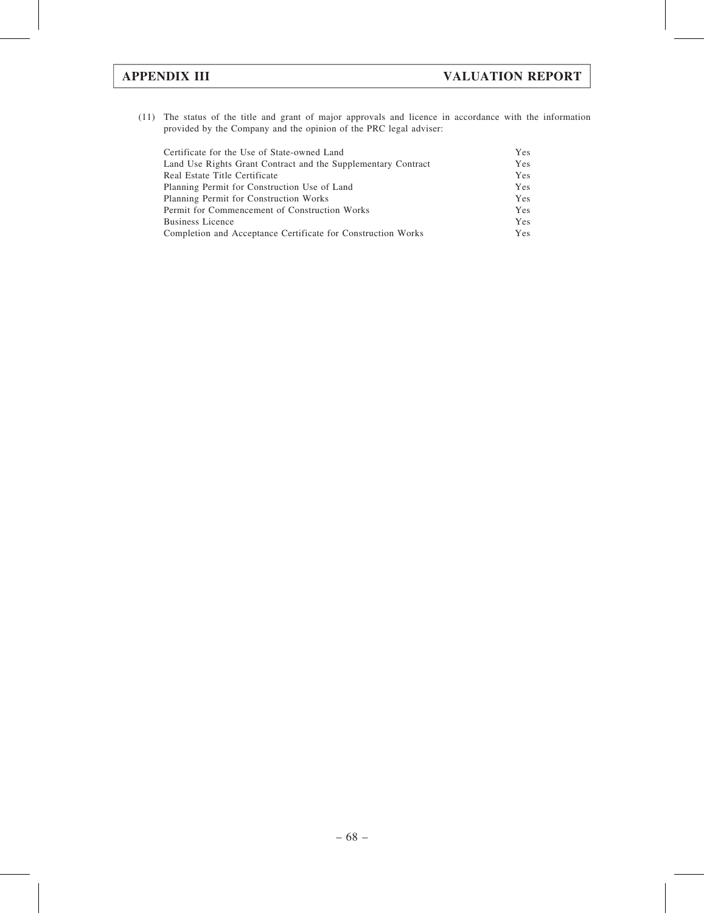(11) The status of the title and grant of major approvals and licence in accordance with the information provided by the Company and the opinion of the PRC legal adviser:

| Certificate for the Use of State-owned Land                   | Yes |
|---------------------------------------------------------------|-----|
| Land Use Rights Grant Contract and the Supplementary Contract | Yes |
| Real Estate Title Certificate                                 | Yes |
| Planning Permit for Construction Use of Land                  | Yes |
| Planning Permit for Construction Works                        | Yes |
| Permit for Commencement of Construction Works                 | Yes |
| <b>Business Licence</b>                                       | Yes |
| Completion and Acceptance Certificate for Construction Works  | Yes |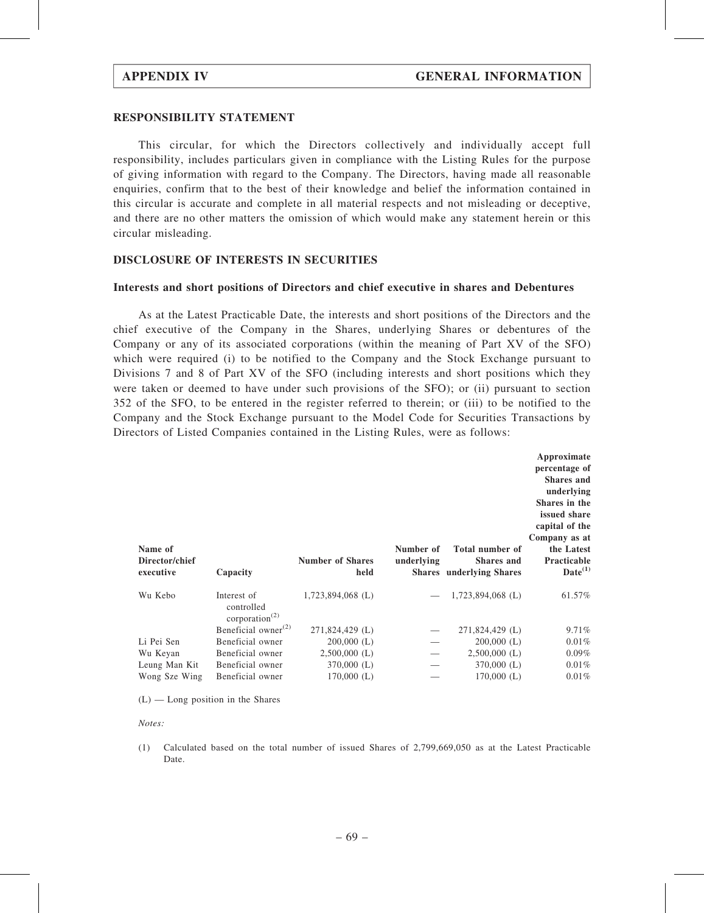#### RESPONSIBILITY STATEMENT

This circular, for which the Directors collectively and individually accept full responsibility, includes particulars given in compliance with the Listing Rules for the purpose of giving information with regard to the Company. The Directors, having made all reasonable enquiries, confirm that to the best of their knowledge and belief the information contained in this circular is accurate and complete in all material respects and not misleading or deceptive, and there are no other matters the omission of which would make any statement herein or this circular misleading.

#### DISCLOSURE OF INTERESTS IN SECURITIES

#### Interests and short positions of Directors and chief executive in shares and Debentures

As at the Latest Practicable Date, the interests and short positions of the Directors and the chief executive of the Company in the Shares, underlying Shares or debentures of the Company or any of its associated corporations (within the meaning of Part XV of the SFO) which were required (i) to be notified to the Company and the Stock Exchange pursuant to Divisions 7 and 8 of Part XV of the SFO (including interests and short positions which they were taken or deemed to have under such provisions of the SFO); or (ii) pursuant to section 352 of the SFO, to be entered in the register referred to therein; or (iii) to be notified to the Company and the Stock Exchange pursuant to the Model Code for Securities Transactions by Directors of Listed Companies contained in the Listing Rules, were as follows:

| Name of<br>Director/chief<br>executive | Capacity                                                             | <b>Number of Shares</b><br>held | Number of<br>underlying | Total number of<br><b>Shares</b> and<br><b>Shares</b> underlying Shares | Approximate<br>percentage of<br><b>Shares</b> and<br>underlying<br>Shares in the<br>issued share<br>capital of the<br>Company as at<br>the Latest<br>Practicable<br>$Date^{(1)}$ |
|----------------------------------------|----------------------------------------------------------------------|---------------------------------|-------------------------|-------------------------------------------------------------------------|----------------------------------------------------------------------------------------------------------------------------------------------------------------------------------|
| Wu Kebo                                | Interest of<br>controlled<br>corporation <sup><math>(2)</math></sup> | $1,723,894,068$ (L)             |                         | 1,723,894,068 (L)                                                       | 61.57%                                                                                                                                                                           |
|                                        | Beneficial owner $^{(2)}$                                            | 271,824,429 (L)                 |                         | 271,824,429 (L)                                                         | 9.71%                                                                                                                                                                            |
| Li Pei Sen                             |                                                                      |                                 |                         |                                                                         |                                                                                                                                                                                  |
|                                        | Beneficial owner                                                     | $200,000$ (L)                   |                         | $200,000$ (L)                                                           | 0.01%                                                                                                                                                                            |
| Wu Keyan                               | Beneficial owner                                                     | $2,500,000$ (L)                 |                         | $2,500,000$ (L)                                                         | $0.09\%$                                                                                                                                                                         |
| Leung Man Kit                          | Beneficial owner                                                     | $370,000$ (L)                   |                         | $370,000$ (L)                                                           | 0.01%                                                                                                                                                                            |

 $(L)$  — Long position in the Shares

Notes:

(1) Calculated based on the total number of issued Shares of 2,799,669,050 as at the Latest Practicable Date.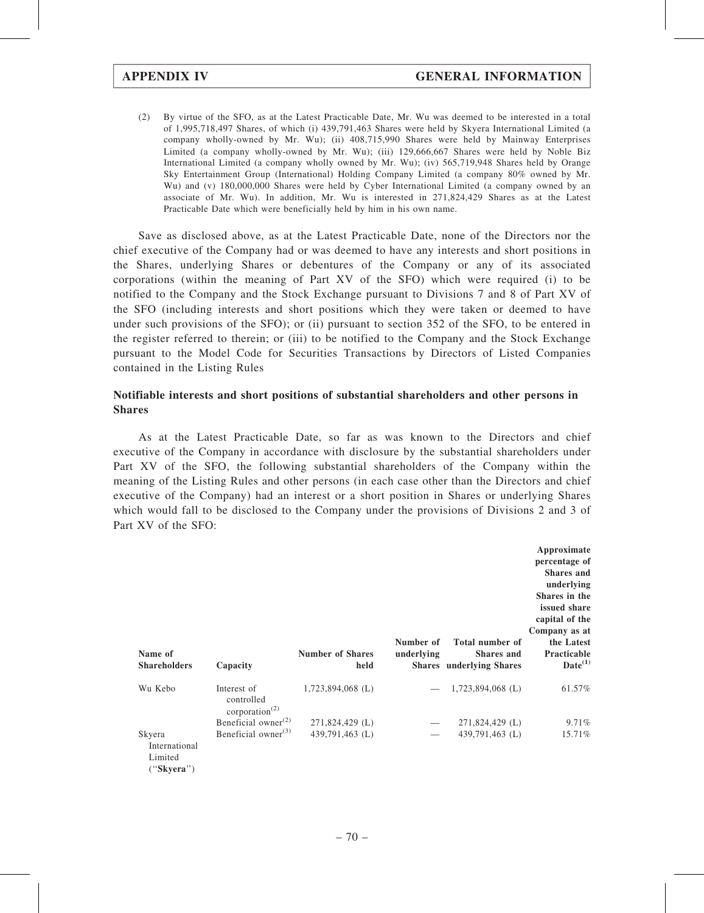(2) By virtue of the SFO, as at the Latest Practicable Date, Mr. Wu was deemed to be interested in a total of 1,995,718,497 Shares, of which (i) 439,791,463 Shares were held by Skyera International Limited (a company wholly-owned by Mr. Wu); (ii) 408,715,990 Shares were held by Mainway Enterprises Limited (a company wholly-owned by Mr. Wu); (iii) 129,666,667 Shares were held by Noble Biz International Limited (a company wholly owned by Mr. Wu); (iv) 565,719,948 Shares held by Orange Sky Entertainment Group (International) Holding Company Limited (a company 80% owned by Mr. Wu) and (v) 180,000,000 Shares were held by Cyber International Limited (a company owned by an associate of Mr. Wu). In addition, Mr. Wu is interested in 271,824,429 Shares as at the Latest Practicable Date which were beneficially held by him in his own name.

Save as disclosed above, as at the Latest Practicable Date, none of the Directors nor the chief executive of the Company had or was deemed to have any interests and short positions in the Shares, underlying Shares or debentures of the Company or any of its associated corporations (within the meaning of Part XV of the SFO) which were required (i) to be notified to the Company and the Stock Exchange pursuant to Divisions 7 and 8 of Part XV of the SFO (including interests and short positions which they were taken or deemed to have under such provisions of the SFO); or (ii) pursuant to section 352 of the SFO, to be entered in the register referred to therein; or (iii) to be notified to the Company and the Stock Exchange pursuant to the Model Code for Securities Transactions by Directors of Listed Companies contained in the Listing Rules

### Notifiable interests and short positions of substantial shareholders and other persons in Shares

As at the Latest Practicable Date, so far as was known to the Directors and chief executive of the Company in accordance with disclosure by the substantial shareholders under Part XV of the SFO, the following substantial shareholders of the Company within the meaning of the Listing Rules and other persons (in each case other than the Directors and chief executive of the Company) had an interest or a short position in Shares or underlying Shares which would fall to be disclosed to the Company under the provisions of Divisions 2 and 3 of Part XV of the SFO:

| Name of<br><b>Shareholders</b>                   | Capacity                                                             | <b>Number of Shares</b><br>held | Number of<br>underlying | Total number of<br><b>Shares</b> and<br><b>Shares</b> underlying Shares | Approximate<br>percentage of<br><b>Shares</b> and<br>underlying<br>Shares in the<br>issued share<br>capital of the<br>Company as at<br>the Latest<br>Practicable<br>$Date^{(1)}$ |
|--------------------------------------------------|----------------------------------------------------------------------|---------------------------------|-------------------------|-------------------------------------------------------------------------|----------------------------------------------------------------------------------------------------------------------------------------------------------------------------------|
| Wu Kebo                                          | Interest of<br>controlled<br>corporation <sup><math>(2)</math></sup> | $1,723,894,068$ (L)             |                         | $1,723,894,068$ (L)                                                     | 61.57%                                                                                                                                                                           |
|                                                  | Beneficial owner $^{(2)}$                                            | 271,824,429 (L)                 |                         | 271,824,429 (L)                                                         | 9.71%                                                                                                                                                                            |
| Skyera<br>International<br>Limited<br>("Skyera") | Beneficial owner $^{(3)}$                                            | 439,791,463 (L)                 |                         | 439,791,463 (L)                                                         | 15.71%                                                                                                                                                                           |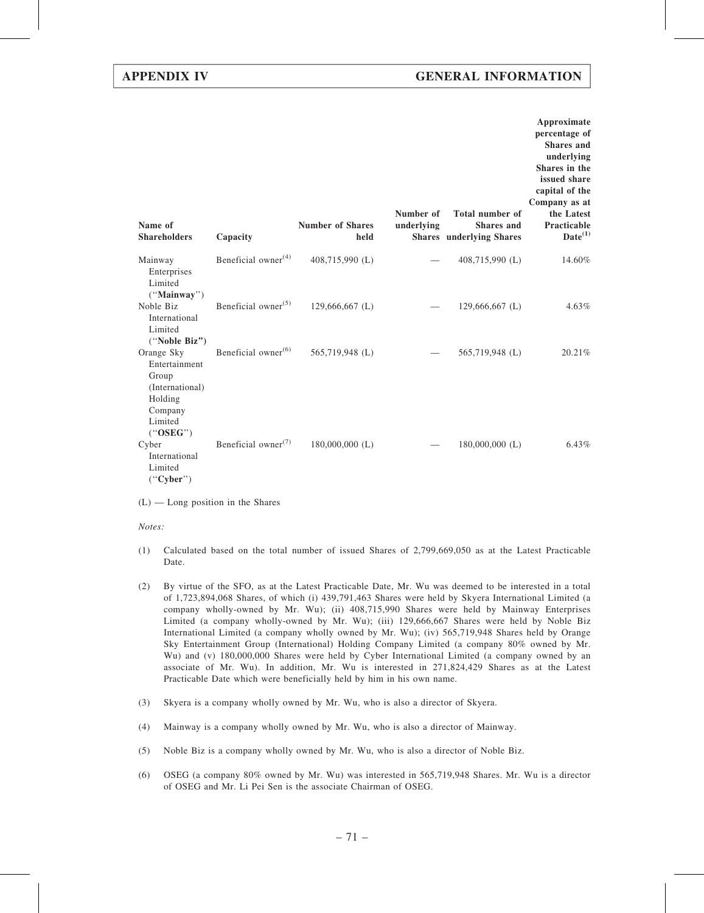| Name of<br><b>Shareholders</b>                                                                       | Capacity                                     | <b>Number of Shares</b><br>held | Number of<br>underlying | <b>Total number of</b><br><b>Shares</b> and<br><b>Shares</b> underlying Shares | Approximate<br>percentage of<br><b>Shares</b> and<br>underlying<br>Shares in the<br>issued share<br>capital of the<br>Company as at<br>the Latest<br>Practicable<br>$Date^{(1)}$ |
|------------------------------------------------------------------------------------------------------|----------------------------------------------|---------------------------------|-------------------------|--------------------------------------------------------------------------------|----------------------------------------------------------------------------------------------------------------------------------------------------------------------------------|
| Mainway<br>Enterprises<br>Limited<br>("Mainway")                                                     | Beneficial owner $(4)$                       | 408,715,990 (L)                 |                         | 408,715,990 (L)                                                                | 14.60%                                                                                                                                                                           |
| Noble Biz<br>International<br>Limited<br>("Noble Biz")                                               | Beneficial owner <sup><math>(5)</math></sup> | 129,666,667 (L)                 |                         | $129,666,667$ (L)                                                              | $4.63\%$                                                                                                                                                                         |
| Orange Sky<br>Entertainment<br>Group<br>(International)<br>Holding<br>Company<br>Limited<br>("OSEG") | Beneficial owner <sup>(6)</sup>              | 565,719,948 (L)                 |                         | 565,719,948 (L)                                                                | 20.21%                                                                                                                                                                           |
| Cyber<br>International<br>Limited<br>("Cyber")                                                       | Beneficial owner <sup><math>(7)</math></sup> | $180,000,000$ (L)               |                         | $180,000,000$ (L)                                                              | $6.43\%$                                                                                                                                                                         |

 $(L)$  — Long position in the Shares

Notes:

- (1) Calculated based on the total number of issued Shares of 2,799,669,050 as at the Latest Practicable Date.
- (2) By virtue of the SFO, as at the Latest Practicable Date, Mr. Wu was deemed to be interested in a total of 1,723,894,068 Shares, of which (i) 439,791,463 Shares were held by Skyera International Limited (a company wholly-owned by Mr. Wu); (ii) 408,715,990 Shares were held by Mainway Enterprises Limited (a company wholly-owned by Mr. Wu); (iii) 129,666,667 Shares were held by Noble Biz International Limited (a company wholly owned by Mr. Wu); (iv) 565,719,948 Shares held by Orange Sky Entertainment Group (International) Holding Company Limited (a company 80% owned by Mr. Wu) and (v) 180,000,000 Shares were held by Cyber International Limited (a company owned by an associate of Mr. Wu). In addition, Mr. Wu is interested in 271,824,429 Shares as at the Latest Practicable Date which were beneficially held by him in his own name.
- (3) Skyera is a company wholly owned by Mr. Wu, who is also a director of Skyera.
- (4) Mainway is a company wholly owned by Mr. Wu, who is also a director of Mainway.
- (5) Noble Biz is a company wholly owned by Mr. Wu, who is also a director of Noble Biz.
- (6) OSEG (a company 80% owned by Mr. Wu) was interested in 565,719,948 Shares. Mr. Wu is a director of OSEG and Mr. Li Pei Sen is the associate Chairman of OSEG.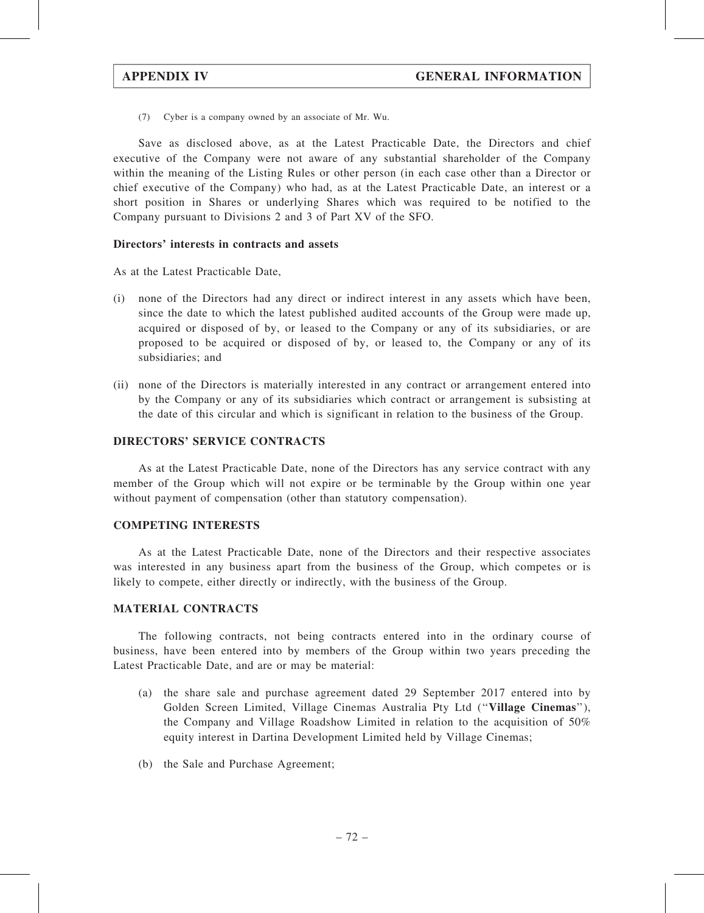(7) Cyber is a company owned by an associate of Mr. Wu.

Save as disclosed above, as at the Latest Practicable Date, the Directors and chief executive of the Company were not aware of any substantial shareholder of the Company within the meaning of the Listing Rules or other person (in each case other than a Director or chief executive of the Company) who had, as at the Latest Practicable Date, an interest or a short position in Shares or underlying Shares which was required to be notified to the Company pursuant to Divisions 2 and 3 of Part XV of the SFO.

#### Directors' interests in contracts and assets

As at the Latest Practicable Date,

- (i) none of the Directors had any direct or indirect interest in any assets which have been, since the date to which the latest published audited accounts of the Group were made up, acquired or disposed of by, or leased to the Company or any of its subsidiaries, or are proposed to be acquired or disposed of by, or leased to, the Company or any of its subsidiaries; and
- (ii) none of the Directors is materially interested in any contract or arrangement entered into by the Company or any of its subsidiaries which contract or arrangement is subsisting at the date of this circular and which is significant in relation to the business of the Group.

#### DIRECTORS' SERVICE CONTRACTS

As at the Latest Practicable Date, none of the Directors has any service contract with any member of the Group which will not expire or be terminable by the Group within one year without payment of compensation (other than statutory compensation).

#### COMPETING INTERESTS

As at the Latest Practicable Date, none of the Directors and their respective associates was interested in any business apart from the business of the Group, which competes or is likely to compete, either directly or indirectly, with the business of the Group.

#### MATERIAL CONTRACTS

The following contracts, not being contracts entered into in the ordinary course of business, have been entered into by members of the Group within two years preceding the Latest Practicable Date, and are or may be material:

- (a) the share sale and purchase agreement dated 29 September 2017 entered into by Golden Screen Limited, Village Cinemas Australia Pty Ltd (''Village Cinemas''), the Company and Village Roadshow Limited in relation to the acquisition of 50% equity interest in Dartina Development Limited held by Village Cinemas;
- (b) the Sale and Purchase Agreement;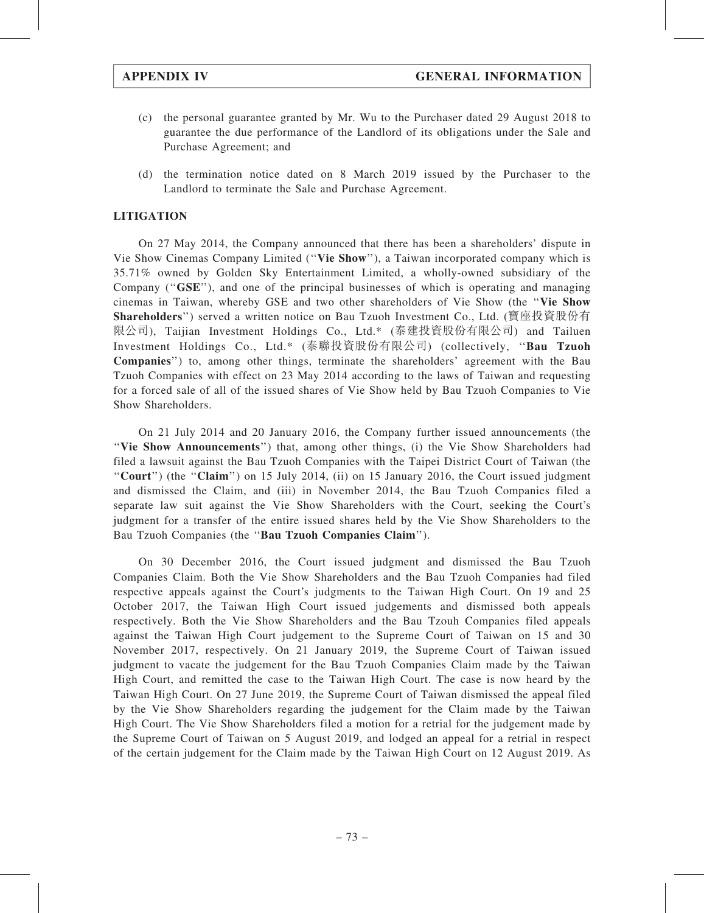- (c) the personal guarantee granted by Mr. Wu to the Purchaser dated 29 August 2018 to guarantee the due performance of the Landlord of its obligations under the Sale and Purchase Agreement; and
- (d) the termination notice dated on 8 March 2019 issued by the Purchaser to the Landlord to terminate the Sale and Purchase Agreement.

### LITIGATION

On 27 May 2014, the Company announced that there has been a shareholders' dispute in Vie Show Cinemas Company Limited (''Vie Show''), a Taiwan incorporated company which is 35.71% owned by Golden Sky Entertainment Limited, a wholly-owned subsidiary of the Company ("GSE"), and one of the principal businesses of which is operating and managing cinemas in Taiwan, whereby GSE and two other shareholders of Vie Show (the ''Vie Show Shareholders'') served a written notice on Bau Tzuoh Investment Co., Ltd. (寶座投資股份有 限公司), Taijian Investment Holdings Co., Ltd.\* (泰建投資股份有限公司) and Tailuen Investment Holdings Co., Ltd.\* (泰聯投資股份有限公司) (collectively, ''Bau Tzuoh Companies'') to, among other things, terminate the shareholders' agreement with the Bau Tzuoh Companies with effect on 23 May 2014 according to the laws of Taiwan and requesting for a forced sale of all of the issued shares of Vie Show held by Bau Tzuoh Companies to Vie Show Shareholders.

On 21 July 2014 and 20 January 2016, the Company further issued announcements (the "Vie Show Announcements") that, among other things, (i) the Vie Show Shareholders had filed a lawsuit against the Bau Tzuoh Companies with the Taipei District Court of Taiwan (the "Court") (the "Claim") on 15 July 2014, (ii) on 15 January 2016, the Court issued judgment and dismissed the Claim, and (iii) in November 2014, the Bau Tzuoh Companies filed a separate law suit against the Vie Show Shareholders with the Court, seeking the Court's judgment for a transfer of the entire issued shares held by the Vie Show Shareholders to the Bau Tzuoh Companies (the ''Bau Tzuoh Companies Claim'').

On 30 December 2016, the Court issued judgment and dismissed the Bau Tzuoh Companies Claim. Both the Vie Show Shareholders and the Bau Tzuoh Companies had filed respective appeals against the Court's judgments to the Taiwan High Court. On 19 and 25 October 2017, the Taiwan High Court issued judgements and dismissed both appeals respectively. Both the Vie Show Shareholders and the Bau Tzouh Companies filed appeals against the Taiwan High Court judgement to the Supreme Court of Taiwan on 15 and 30 November 2017, respectively. On 21 January 2019, the Supreme Court of Taiwan issued judgment to vacate the judgement for the Bau Tzuoh Companies Claim made by the Taiwan High Court, and remitted the case to the Taiwan High Court. The case is now heard by the Taiwan High Court. On 27 June 2019, the Supreme Court of Taiwan dismissed the appeal filed by the Vie Show Shareholders regarding the judgement for the Claim made by the Taiwan High Court. The Vie Show Shareholders filed a motion for a retrial for the judgement made by the Supreme Court of Taiwan on 5 August 2019, and lodged an appeal for a retrial in respect of the certain judgement for the Claim made by the Taiwan High Court on 12 August 2019. As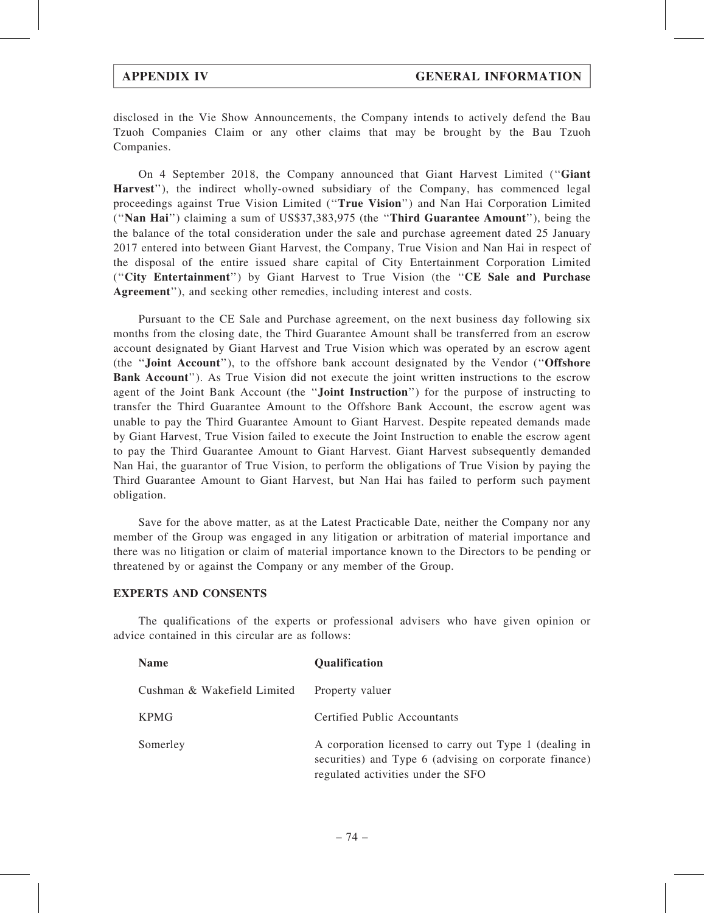disclosed in the Vie Show Announcements, the Company intends to actively defend the Bau Tzuoh Companies Claim or any other claims that may be brought by the Bau Tzuoh Companies.

On 4 September 2018, the Company announced that Giant Harvest Limited (''Giant Harvest''), the indirect wholly-owned subsidiary of the Company, has commenced legal proceedings against True Vision Limited (''True Vision'') and Nan Hai Corporation Limited (''Nan Hai'') claiming a sum of US\$37,383,975 (the ''Third Guarantee Amount''), being the the balance of the total consideration under the sale and purchase agreement dated 25 January 2017 entered into between Giant Harvest, the Company, True Vision and Nan Hai in respect of the disposal of the entire issued share capital of City Entertainment Corporation Limited (''City Entertainment'') by Giant Harvest to True Vision (the ''CE Sale and Purchase Agreement''), and seeking other remedies, including interest and costs.

Pursuant to the CE Sale and Purchase agreement, on the next business day following six months from the closing date, the Third Guarantee Amount shall be transferred from an escrow account designated by Giant Harvest and True Vision which was operated by an escrow agent (the ''Joint Account''), to the offshore bank account designated by the Vendor (''Offshore Bank Account''). As True Vision did not execute the joint written instructions to the escrow agent of the Joint Bank Account (the ''Joint Instruction'') for the purpose of instructing to transfer the Third Guarantee Amount to the Offshore Bank Account, the escrow agent was unable to pay the Third Guarantee Amount to Giant Harvest. Despite repeated demands made by Giant Harvest, True Vision failed to execute the Joint Instruction to enable the escrow agent to pay the Third Guarantee Amount to Giant Harvest. Giant Harvest subsequently demanded Nan Hai, the guarantor of True Vision, to perform the obligations of True Vision by paying the Third Guarantee Amount to Giant Harvest, but Nan Hai has failed to perform such payment obligation.

Save for the above matter, as at the Latest Practicable Date, neither the Company nor any member of the Group was engaged in any litigation or arbitration of material importance and there was no litigation or claim of material importance known to the Directors to be pending or threatened by or against the Company or any member of the Group.

#### EXPERTS AND CONSENTS

The qualifications of the experts or professional advisers who have given opinion or advice contained in this circular are as follows:

| <b>Name</b>                 | <b>Qualification</b>                                                                                                                                   |
|-----------------------------|--------------------------------------------------------------------------------------------------------------------------------------------------------|
| Cushman & Wakefield Limited | Property valuer                                                                                                                                        |
| <b>KPMG</b>                 | Certified Public Accountants                                                                                                                           |
| Somerley                    | A corporation licensed to carry out Type 1 (dealing in<br>securities) and Type 6 (advising on corporate finance)<br>regulated activities under the SFO |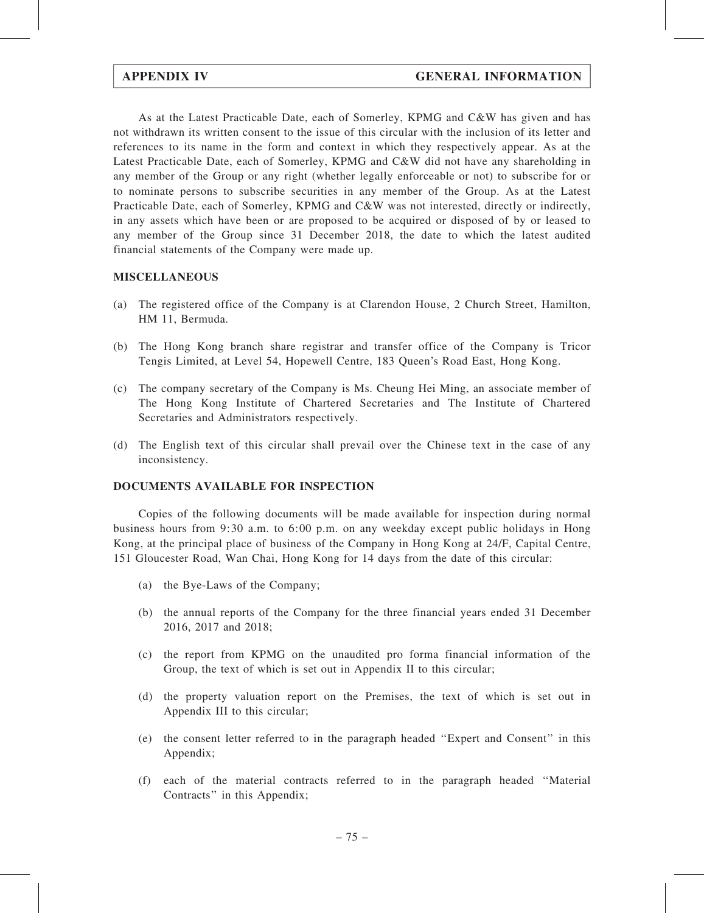As at the Latest Practicable Date, each of Somerley, KPMG and C&W has given and has not withdrawn its written consent to the issue of this circular with the inclusion of its letter and references to its name in the form and context in which they respectively appear. As at the Latest Practicable Date, each of Somerley, KPMG and C&W did not have any shareholding in any member of the Group or any right (whether legally enforceable or not) to subscribe for or to nominate persons to subscribe securities in any member of the Group. As at the Latest Practicable Date, each of Somerley, KPMG and C&W was not interested, directly or indirectly, in any assets which have been or are proposed to be acquired or disposed of by or leased to any member of the Group since 31 December 2018, the date to which the latest audited financial statements of the Company were made up.

### MISCELLANEOUS

- (a) The registered office of the Company is at Clarendon House, 2 Church Street, Hamilton, HM 11, Bermuda.
- (b) The Hong Kong branch share registrar and transfer office of the Company is Tricor Tengis Limited, at Level 54, Hopewell Centre, 183 Queen's Road East, Hong Kong.
- (c) The company secretary of the Company is Ms. Cheung Hei Ming, an associate member of The Hong Kong Institute of Chartered Secretaries and The Institute of Chartered Secretaries and Administrators respectively.
- (d) The English text of this circular shall prevail over the Chinese text in the case of any inconsistency.

#### DOCUMENTS AVAILABLE FOR INSPECTION

Copies of the following documents will be made available for inspection during normal business hours from 9:30 a.m. to 6:00 p.m. on any weekday except public holidays in Hong Kong, at the principal place of business of the Company in Hong Kong at 24/F, Capital Centre, 151 Gloucester Road, Wan Chai, Hong Kong for 14 days from the date of this circular:

- (a) the Bye-Laws of the Company;
- (b) the annual reports of the Company for the three financial years ended 31 December 2016, 2017 and 2018;
- (c) the report from KPMG on the unaudited pro forma financial information of the Group, the text of which is set out in Appendix II to this circular;
- (d) the property valuation report on the Premises, the text of which is set out in Appendix III to this circular;
- (e) the consent letter referred to in the paragraph headed ''Expert and Consent'' in this Appendix;
- (f) each of the material contracts referred to in the paragraph headed ''Material Contracts'' in this Appendix;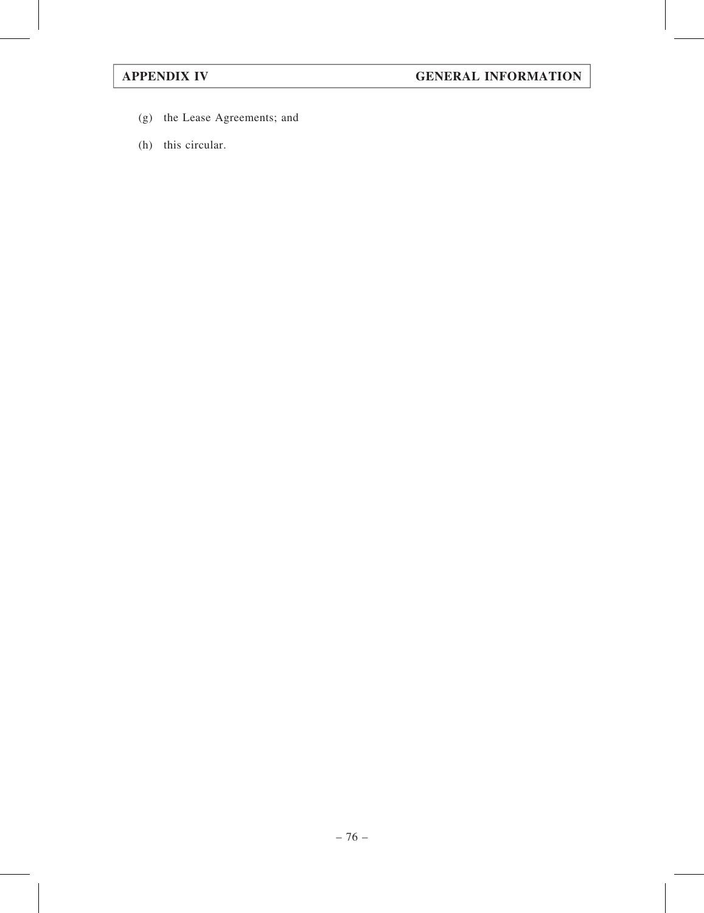- (g) the Lease Agreements; and
- (h) this circular.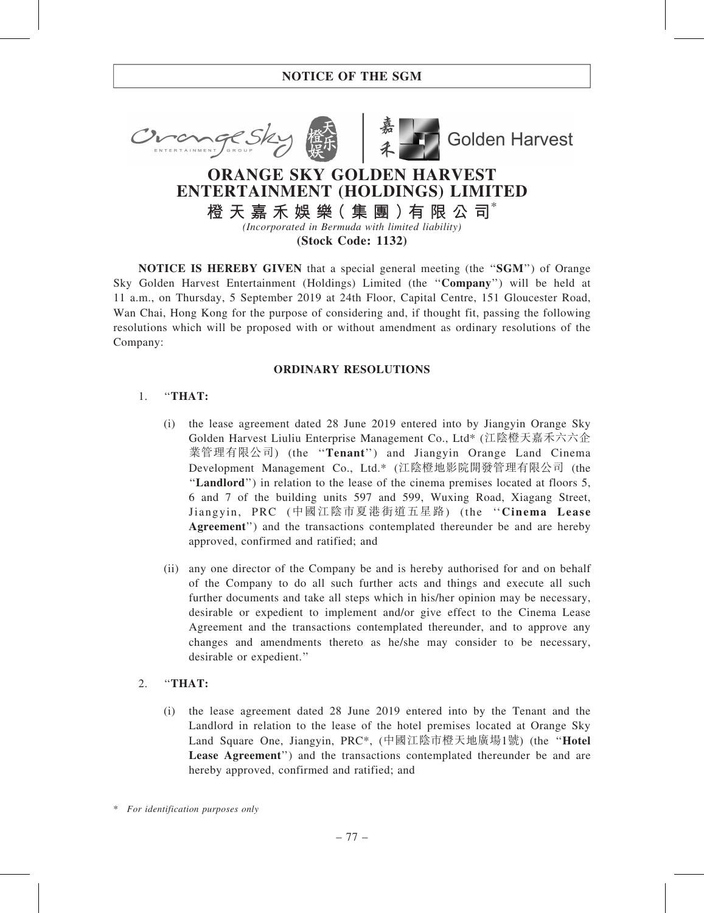



**Golden Harvest** 

# ORANGE SKY GOLDEN HARVEST ENTERTAINMENT (HOLDINGS) LIMITED

橙 天 嘉 禾 娛 樂( 集 團 )有 限 公 司\* (Incorporated in Bermuda with limited liability)

(Stock Code: 1132)

**NOTICE IS HEREBY GIVEN** that a special general meeting (the "SGM") of Orange Sky Golden Harvest Entertainment (Holdings) Limited (the ''Company'') will be held at 11 a.m., on Thursday, 5 September 2019 at 24th Floor, Capital Centre, 151 Gloucester Road, Wan Chai, Hong Kong for the purpose of considering and, if thought fit, passing the following resolutions which will be proposed with or without amendment as ordinary resolutions of the Company:

# ORDINARY RESOLUTIONS

## 1. ''THAT:

- (i) the lease agreement dated 28 June 2019 entered into by Jiangyin Orange Sky Golden Harvest Liuliu Enterprise Management Co., Ltd\* (江陰橙天嘉禾六六企 業管理有限公司) (the "Tenant") and Jiangyin Orange Land Cinema Development Management Co., Ltd.\* (江陰橙地影院開發管理有限公司 (the ''Landlord'') in relation to the lease of the cinema premises located at floors 5, 6 and 7 of the building units 597 and 599, Wuxing Road, Xiagang Street, Jiangyin, PRC (中國江陰市夏港街道五星路) (the ''Cinema Lease Agreement") and the transactions contemplated thereunder be and are hereby approved, confirmed and ratified; and
- (ii) any one director of the Company be and is hereby authorised for and on behalf of the Company to do all such further acts and things and execute all such further documents and take all steps which in his/her opinion may be necessary, desirable or expedient to implement and/or give effect to the Cinema Lease Agreement and the transactions contemplated thereunder, and to approve any changes and amendments thereto as he/she may consider to be necessary, desirable or expedient.''

# 2. ''THAT:

(i) the lease agreement dated 28 June 2019 entered into by the Tenant and the Landlord in relation to the lease of the hotel premises located at Orange Sky Land Square One, Jiangyin, PRC\*, (中國江陰市橙天地廣場1號) (the ''Hotel Lease Agreement'') and the transactions contemplated thereunder be and are hereby approved, confirmed and ratified; and

<sup>\*</sup> For identification purposes only